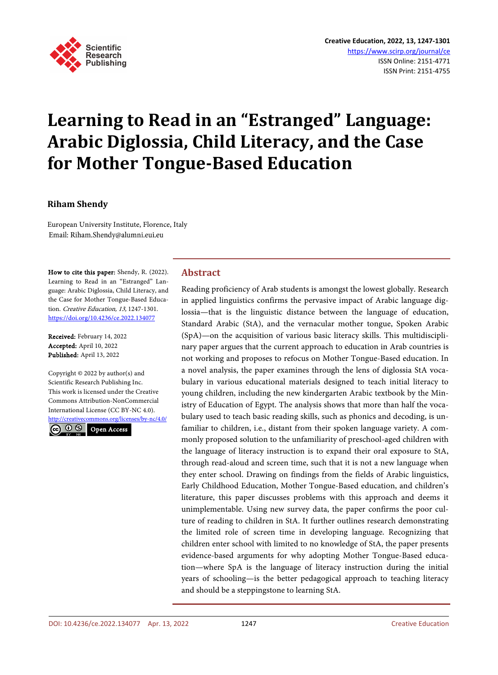

# **Learning to Read in an "Estranged" Language: Arabic Diglossia, Child Literacy, and the Case for Mother Tongue-Based Education**

## **Riham Shendy**

European University Institute, Florence, Italy Email: Riham.Shendy@alumni.eui.eu

How to cite this paper: Shendy, R. (2022). Learning to Read in an "Estranged" Language: Arabic Diglossia, Child Literacy, and the Case for Mother Tongue-Based Education. Creative Education, 13, 1247-1301. <https://doi.org/10.4236/ce.2022.134077>

Received: February 14, 2022 Accepted: April 10, 2022 Published: April 13, 2022

Copyright  $©$  2022 by author(s) and Scientific Research Publishing Inc. This work is licensed under the Creative Commons Attribution-NonCommercial International License (CC BY-NC 4.0). <http://creativecommons.org/licenses/by-nc/4.0/>

 $\odot$   $\odot$ Open Access

# **Abstract**

Reading proficiency of Arab students is amongst the lowest globally. Research in applied linguistics confirms the pervasive impact of Arabic language diglossia—that is the linguistic distance between the language of education, Standard Arabic (StA), and the vernacular mother tongue, Spoken Arabic (SpA)—on the acquisition of various basic literacy skills. This multidisciplinary paper argues that the current approach to education in Arab countries is not working and proposes to refocus on Mother Tongue-Based education. In a novel analysis, the paper examines through the lens of diglossia StA vocabulary in various educational materials designed to teach initial literacy to young children, including the new kindergarten Arabic textbook by the Ministry of Education of Egypt. The analysis shows that more than half the vocabulary used to teach basic reading skills, such as phonics and decoding, is unfamiliar to children, i.e., distant from their spoken language variety. A commonly proposed solution to the unfamiliarity of preschool-aged children with the language of literacy instruction is to expand their oral exposure to StA, through read-aloud and screen time, such that it is not a new language when they enter school. Drawing on findings from the fields of Arabic linguistics, Early Childhood Education, Mother Tongue-Based education, and children's literature, this paper discusses problems with this approach and deems it unimplementable. Using new survey data, the paper confirms the poor culture of reading to children in StA. It further outlines research demonstrating the limited role of screen time in developing language. Recognizing that children enter school with limited to no knowledge of StA, the paper presents evidence-based arguments for why adopting Mother Tongue-Based education—where SpA is the language of literacy instruction during the initial years of schooling—is the better pedagogical approach to teaching literacy and should be a steppingstone to learning StA.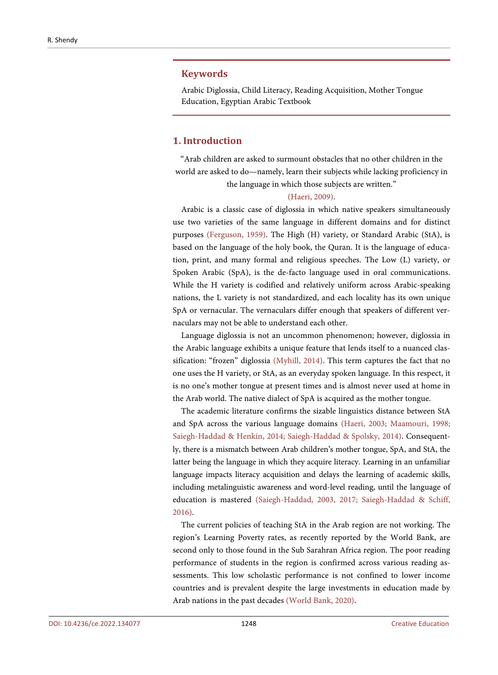#### **Keywords**

Arabic Diglossia, Child Literacy, Reading Acquisition, Mother Tongue Education, Egyptian Arabic Textbook

# **1. Introduction**

"Arab children are asked to surmount obstacles that no other children in the world are asked to do—namely, learn their subjects while lacking proficiency in the language in which those subjects are written."

#### [\(Haeri, 2009\).](#page-48-0)

Arabic is a classic case of diglossia in which native speakers simultaneously use two varieties of the same language in different domains and for distinct purposes [\(Ferguson, 1959\).](#page-48-1) The High (H) variety, or Standard Arabic (StA), is based on the language of the holy book, the Quran. It is the language of education, print, and many formal and religious speeches. The Low (L) variety, or Spoken Arabic (SpA), is the de-facto language used in oral communications. While the H variety is codified and relatively uniform across Arabic-speaking nations, the L variety is not standardized, and each locality has its own unique SpA or vernacular. The vernaculars differ enough that speakers of different vernaculars may not be able to understand each other.

Language diglossia is not an uncommon phenomenon; however, diglossia in the Arabic language exhibits a unique feature that lends itself to a nuanced classification: "frozen" diglossia [\(Myhill, 2014\).](#page-50-0) This term captures the fact that no one uses the H variety, or StA, as an everyday spoken language. In this respect, it is no one's mother tongue at present times and is almost never used at home in the Arab world. The native dialect of SpA is acquired as the mother tongue.

The academic literature confirms the sizable linguistics distance between StA and SpA across the various language domains [\(Haeri, 2003;](#page-48-2) [Maamouri, 1998;](#page-50-1) [Saiegh-Haddad & Henkin, 2014;](#page-52-0) Saiegh-Haddad [& Spolsky, 2014\).](#page-52-1) Consequently, there is a mismatch between Arab children's mother tongue, SpA, and StA, the latter being the language in which they acquire literacy. Learning in an unfamiliar language impacts literacy acquisition and delays the learning of academic skills, including metalinguistic awareness and word-level reading, until the language of education is mastered [\(Saiegh-Haddad, 2003,](#page-51-0) [2017;](#page-51-1) [Saiegh-Haddad & Schiff,](#page-52-2)  [2016\).](#page-52-2)

The current policies of teaching StA in the Arab region are not working. The region's Learning Poverty rates, as recently reported by the World Bank, are second only to those found in the Sub Sarahran Africa region. The poor reading performance of students in the region is confirmed across various reading assessments. This low scholastic performance is not confined to lower income countries and is prevalent despite the large investments in education made by Arab nations in the past decades (World [Bank, 2020\).](#page-54-0)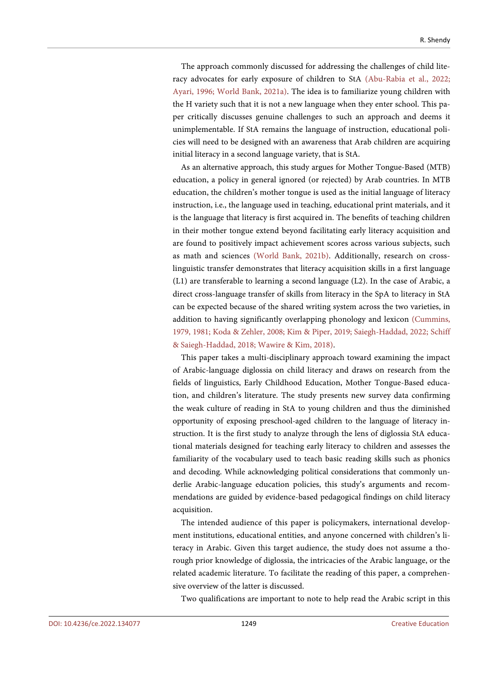The approach commonly discussed for addressing the challenges of child literacy advocates for early exposure of children to StA [\(Abu-Rabia](#page-47-0) et al., 2022; [Ayari, 1996;](#page-47-1) [World Bank, 2021a\).](#page-54-1) The idea is to familiarize young children with the H variety such that it is not a new language when they enter school. This paper critically discusses genuine challenges to such an approach and deems it unimplementable. If StA remains the language of instruction, educational policies will need to be designed with an awareness that Arab children are acquiring initial literacy in a second language variety, that is StA.

As an alternative approach, this study argues for Mother Tongue-Based (MTB) education, a policy in general ignored (or rejected) by Arab countries. In MTB education, the children's mother tongue is used as the initial language of literacy instruction, i.e., the language used in teaching, educational print materials, and it is the language that literacy is first acquired in. The benefits of teaching children in their mother tongue extend beyond facilitating early literacy acquisition and are found to positively impact achievement scores across various subjects, such as math and sciences [\(World Bank, 2021b\).](#page-54-2) Additionally, research on crosslinguistic transfer demonstrates that literacy acquisition skills in a first language (L1) are transferable to learning a second language (L2). In the case of Arabic, a direct cross-language transfer of skills from literacy in the SpA to literacy in StA can be expected because of the shared writing system across the two varieties, in addition to having significantly overlapping phonology and lexicon [\(Cummins,](#page-47-2)  [1979,](#page-47-2) [1981;](#page-47-3) [Koda & Zehler, 2008;](#page-49-0) [Kim & Piper, 2019;](#page-49-1) [Saiegh-Haddad,](#page-52-3) 2022; [Schiff](#page-52-4)  [& Saiegh-Haddad, 2018;](#page-52-4) [Wawire & Kim, 2018\).](#page-54-3)

This paper takes a multi-disciplinary approach toward examining the impact of Arabic-language diglossia on child literacy and draws on research from the fields of linguistics, Early Childhood Education, Mother Tongue-Based education, and children's literature. The study presents new survey data confirming the weak culture of reading in StA to young children and thus the diminished opportunity of exposing preschool-aged children to the language of literacy instruction. It is the first study to analyze through the lens of diglossia StA educational materials designed for teaching early literacy to children and assesses the familiarity of the vocabulary used to teach basic reading skills such as phonics and decoding. While acknowledging political considerations that commonly underlie Arabic-language education policies, this study's arguments and recommendations are guided by evidence-based pedagogical findings on child literacy acquisition.

The intended audience of this paper is policymakers, international development institutions, educational entities, and anyone concerned with children's literacy in Arabic. Given this target audience, the study does not assume a thorough prior knowledge of diglossia, the intricacies of the Arabic language, or the related academic literature. To facilitate the reading of this paper, a comprehensive overview of the latter is discussed.

Two qualifications are important to note to help read the Arabic script in this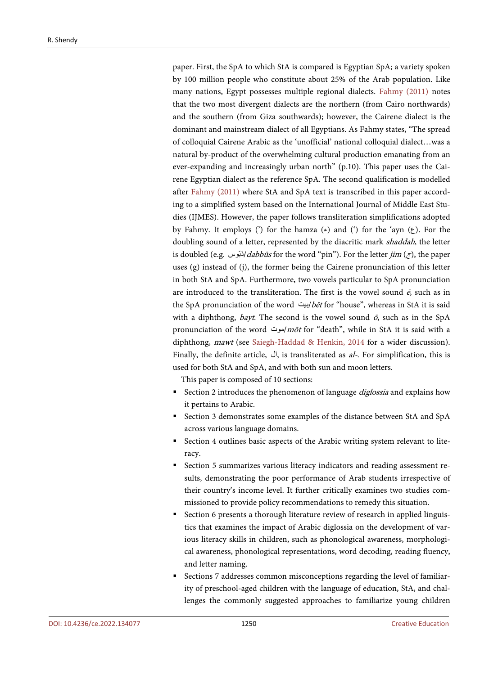paper. First, the SpA to which StA is compared is Egyptian SpA; a variety spoken by 100 million people who constitute about 25% of the Arab population. Like many nations, Egypt possesses multiple regional dialects. [Fahmy \(2011\)](#page-48-3) notes that the two most divergent dialects are the northern (from Cairo northwards) and the southern (from Giza southwards); however, the Cairene dialect is the dominant and mainstream dialect of all Egyptians. As Fahmy states, "The spread of colloquial Cairene Arabic as the 'unofficial' national colloquial dialect…was a natural by-product of the overwhelming cultural production emanating from an ever-expanding and increasingly urban north" (p.10). This paper uses the Cairene Egyptian dialect as the reference SpA. The second qualification is modelled after [Fahmy \(2011\)](#page-48-3) where StA and SpA text is transcribed in this paper according to a simplified system based on the International Journal of Middle East Studies (IJMES). However, the paper follows transliteration simplifications adopted by Fahmy. It employs (') for the hamza  $(\epsilon)$  and (') for the 'ayn  $(\epsilon)$ . For the doubling sound of a letter, represented by the diacritic mark shaddah, the letter is doubled (e.g. دَبَوس/ dabbūs for the word "pin"). For the letter jim (ج), the paper uses  $(g)$  instead of  $(i)$ , the former being the Cairene pronunciation of this letter in both StA and SpA. Furthermore, two vowels particular to SpA pronunciation are introduced to the transliteration. The first is the vowel sound  $\vec{e}$ , such as in the SpA pronunciation of the word /ابیت/bēt for "house", whereas in StA it is said with a diphthong, *bayt*. The second is the vowel sound  $\bar{\phi}$ , such as in the SpA pronunciation of the word *موت mōt* for "death", while in StA it is said with a diphthong, mawt (see [Saiegh-Haddad & Henkin,](#page-52-0) 2014 for a wider discussion). Finally, the definite article, ال, is transliterated as al-. For simplification, this is used for both StA and SpA, and with both sun and moon letters.

This paper is composed of 10 sections:

- Section 2 introduces the phenomenon of language *diglossia* and explains how it pertains to Arabic.
- Section 3 demonstrates some examples of the distance between StA and SpA across various language domains.
- Section 4 outlines basic aspects of the Arabic writing system relevant to literacy.
- Section 5 summarizes various literacy indicators and reading assessment results, demonstrating the poor performance of Arab students irrespective of their country's income level. It further critically examines two studies commissioned to provide policy recommendations to remedy this situation.
- Section 6 presents a thorough literature review of research in applied linguistics that examines the impact of Arabic diglossia on the development of various literacy skills in children, such as phonological awareness, morphological awareness, phonological representations, word decoding, reading fluency, and letter naming.
- Sections 7 addresses common misconceptions regarding the level of familiarity of preschool-aged children with the language of education, StA, and challenges the commonly suggested approaches to familiarize young children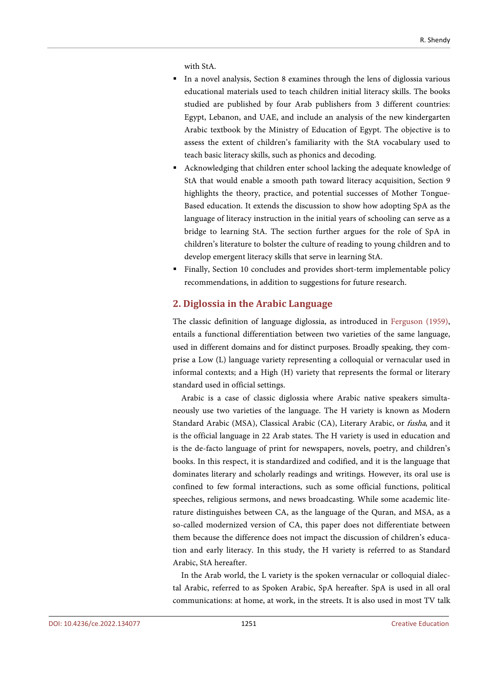with StA.

- In a novel analysis, Section 8 examines through the lens of diglossia various educational materials used to teach children initial literacy skills. The books studied are published by four Arab publishers from 3 different countries: Egypt, Lebanon, and UAE, and include an analysis of the new kindergarten Arabic textbook by the Ministry of Education of Egypt. The objective is to assess the extent of children's familiarity with the StA vocabulary used to teach basic literacy skills, such as phonics and decoding.
- Acknowledging that children enter school lacking the adequate knowledge of StA that would enable a smooth path toward literacy acquisition, Section 9 highlights the theory, practice, and potential successes of Mother Tongue-Based education. It extends the discussion to show how adopting SpA as the language of literacy instruction in the initial years of schooling can serve as a bridge to learning StA. The section further argues for the role of SpA in children's literature to bolster the culture of reading to young children and to develop emergent literacy skills that serve in learning StA.
- Finally, Section 10 concludes and provides short-term implementable policy recommendations, in addition to suggestions for future research.

# **2. Diglossia in the Arabic Language**

The classic definition of language diglossia, as introduced in [Ferguson \(1959\),](#page-48-1)  entails a functional differentiation between two varieties of the same language, used in different domains and for distinct purposes. Broadly speaking, they comprise a Low (L) language variety representing a colloquial or vernacular used in informal contexts; and a High (H) variety that represents the formal or literary standard used in official settings.

Arabic is a case of classic diglossia where Arabic native speakers simultaneously use two varieties of the language. The H variety is known as Modern Standard Arabic (MSA), Classical Arabic (CA), Literary Arabic, or fusha, and it is the official language in 22 Arab states. The H variety is used in education and is the de-facto language of print for newspapers, novels, poetry, and children's books. In this respect, it is standardized and codified, and it is the language that dominates literary and scholarly readings and writings. However, its oral use is confined to few formal interactions, such as some official functions, political speeches, religious sermons, and news broadcasting. While some academic literature distinguishes between CA, as the language of the Quran, and MSA, as a so-called modernized version of CA, this paper does not differentiate between them because the difference does not impact the discussion of children's education and early literacy. In this study, the H variety is referred to as Standard Arabic, StA hereafter.

In the Arab world, the L variety is the spoken vernacular or colloquial dialectal Arabic, referred to as Spoken Arabic, SpA hereafter. SpA is used in all oral communications: at home, at work, in the streets. It is also used in most TV talk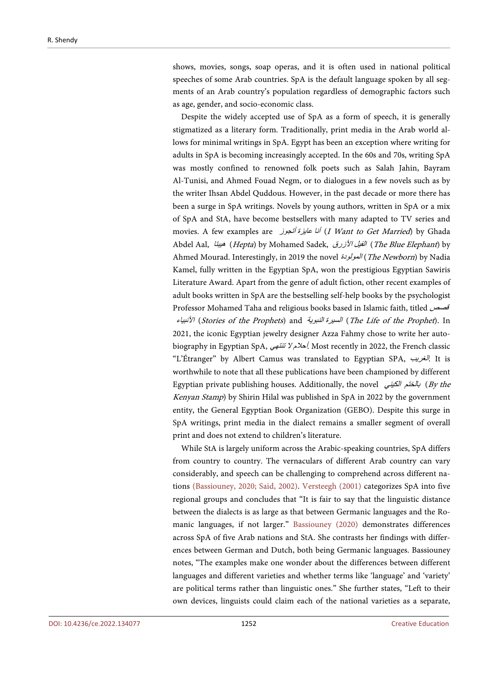shows, movies, songs, soap operas, and it is often used in national political speeches of some Arab countries. SpA is the default language spoken by all segments of an Arab country's population regardless of demographic factors such as age, gender, and socio-economic class.

Despite the widely accepted use of SpA as a form of speech, it is generally stigmatized as a literary form. Traditionally, print media in the Arab world allows for minimal writings in SpA. Egypt has been an exception where writing for adults in SpA is becoming increasingly accepted. In the 60s and 70s, writing SpA was mostly confined to renowned folk poets such as Salah Jahin, Bayram Al-Tunisi, and Ahmed Fouad Negm, or to dialogues in a few novels such as by the writer Ihsan Abdel Quddous. However, in the past decade or more there has been a surge in SpA writings. Novels by young authors, written in SpA or a mix of SpA and StA, have become bestsellers with many adapted to TV series and movies. A few examples are أنا عایزة أنجوز I Want to Get Married) by Ghada Abdel Aal, الفیل الأزرق (Hepta) by Mohamed Sadek, الفیل الأزرق الفیل الأزرق الفیل الأزرق الفیل الفیل الفیل ال Ahmed Mourad. Interestingly, in 2019 the novel المولودة) The Newborn) by Nadia Kamel, fully written in the Egyptian SpA, won the prestigious Egyptian Sawiris Literature Award. Apart from the genre of adult fiction, other recent examples of adult books written in SpA are the bestselling self-help books by the psychologist Professor Mohamed Taha and religious books based in Islamic faith, titled قصص الأنبیاء) Stories of the Prophets) and النبویة السیرة) The Life of the Prophet). In 2021, the iconic Egyptian jewelry designer Azza Fahmy chose to write her autobiography in Egyptian SpA, تنتھي لا أحلام. Most recently in 2022, the French classic "L'Étranger" by Albert Camus was translated to Egyptian SPA, الغریب. It is worthwhile to note that all these publications have been championed by different Egyptian private publishing houses. Additionally, the novel بالختم الكيني (By the Kenyan Stamp) by Shirin Hilal was published in SpA in 2022 by the government entity, the General Egyptian Book Organization (GEBO). Despite this surge in SpA writings, print media in the dialect remains a smaller segment of overall print and does not extend to children's literature.

While StA is largely uniform across the Arabic-speaking countries, SpA differs from country to country. The vernaculars of different Arab country can vary considerably, and speech can be challenging to comprehend across different nations [\(Bassiouney, 2020;](#page-47-4) [Said, 2002\).](#page-51-2) [Versteegh \(2001\)](#page-53-0) categorizes SpA into five regional groups and concludes that "It is fair to say that the linguistic distance between the dialects is as large as that between Germanic languages and the Romanic languages, if not larger." [Bassiouney \(2020\)](#page-47-4) demonstrates differences across SpA of five Arab nations and StA. She contrasts her findings with differences between German and Dutch, both being Germanic languages. Bassiouney notes, "The examples make one wonder about the differences between different languages and different varieties and whether terms like 'language' and 'variety' are political terms rather than linguistic ones." She further states, "Left to their own devices, linguists could claim each of the national varieties as a separate,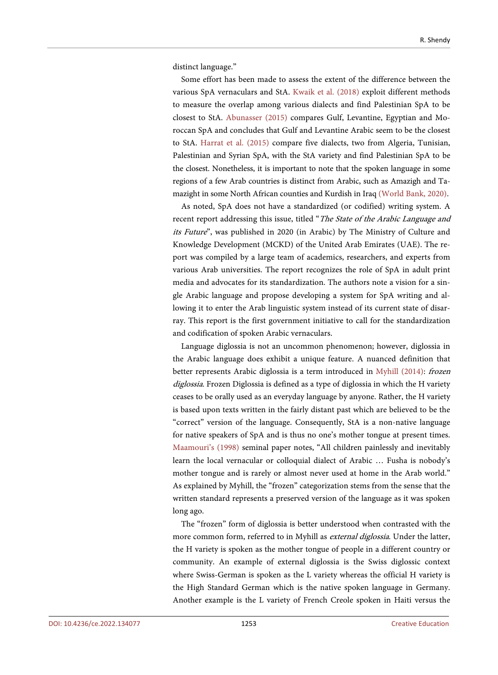distinct language."

Some effort has been made to assess the extent of the difference between the various SpA vernaculars and StA. [Kwaik et al.](#page-49-2) (2018) exploit different methods to measure the overlap among various dialects and find Palestinian SpA to be closest to StA. [Abunasser \(2015\)](#page-46-0) compares Gulf, Levantine, Egyptian and Moroccan SpA and concludes that Gulf and Levantine Arabic seem to be the closest to StA. [Harrat et al. \(2015\)](#page-48-4) compare five dialects, two from Algeria, Tunisian, Palestinian and Syrian SpA, with the StA variety and find Palestinian SpA to be the closest. Nonetheless, it is important to note that the spoken language in some regions of a few Arab countries is distinct from Arabic, such as Amazigh and Tamazight in some North African counties and Kurdish in Ira[q \(World Bank, 2020\).](#page-54-0)

As noted, SpA does not have a standardized (or codified) writing system. A recent report addressing this issue, titled "The State of the Arabic Language and its Future", was published in 2020 (in Arabic) by The Ministry of Culture and Knowledge Development (MCKD) of the United Arab Emirates (UAE). The report was compiled by a large team of academics, researchers, and experts from various Arab universities. The report recognizes the role of SpA in adult print media and advocates for its standardization. The authors note a vision for a single Arabic language and propose developing a system for SpA writing and allowing it to enter the Arab linguistic system instead of its current state of disarray. This report is the first government initiative to call for the standardization and codification of spoken Arabic vernaculars.

Language diglossia is not an uncommon phenomenon; however, diglossia in the Arabic language does exhibit a unique feature. A nuanced definition that better represents Arabic diglossia is a term introduced in [Myhill \(2014\):](#page-50-0) frozen diglossia. Frozen Diglossia is defined as a type of diglossia in which the H variety ceases to be orally used as an everyday language by anyone. Rather, the H variety is based upon texts written in the fairly distant past which are believed to be the "correct" version of the language. Consequently, StA is a non-native language for native speakers of SpA and is thus no one's mother tongue at present times. [Maamouri's \(1998\)](#page-50-1) seminal paper notes, "All children painlessly and inevitably learn the local vernacular or colloquial dialect of Arabic … Fusha is nobody's mother tongue and is rarely or almost never used at home in the Arab world." As explained by Myhill, the "frozen" categorization stems from the sense that the written standard represents a preserved version of the language as it was spoken long ago.

The "frozen" form of diglossia is better understood when contrasted with the more common form, referred to in Myhill as external diglossia. Under the latter, the H variety is spoken as the mother tongue of people in a different country or community. An example of external diglossia is the Swiss diglossic context where Swiss-German is spoken as the L variety whereas the official H variety is the High Standard German which is the native spoken language in Germany. Another example is the L variety of French Creole spoken in Haiti versus the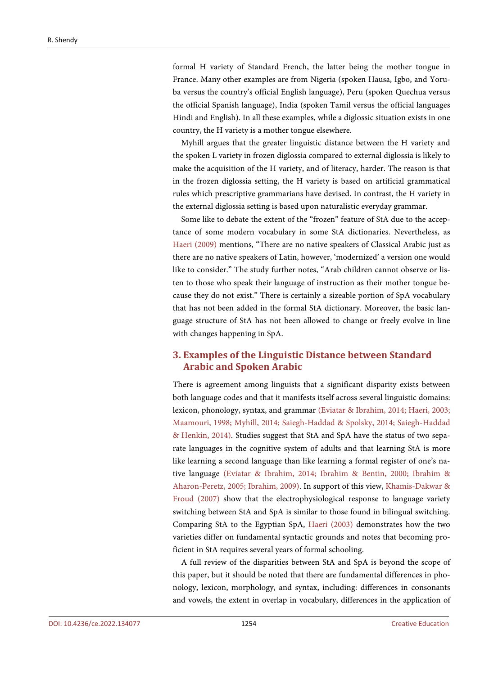formal H variety of Standard French, the latter being the mother tongue in France. Many other examples are from Nigeria (spoken Hausa, Igbo, and Yoruba versus the country's official English language), Peru (spoken Quechua versus the official Spanish language), India (spoken Tamil versus the official languages Hindi and English). In all these examples, while a diglossic situation exists in one country, the H variety is a mother tongue elsewhere.

Myhill argues that the greater linguistic distance between the H variety and the spoken L variety in frozen diglossia compared to external diglossia is likely to make the acquisition of the H variety, and of literacy, harder. The reason is that in the frozen diglossia setting, the H variety is based on artificial grammatical rules which prescriptive grammarians have devised. In contrast, the H variety in the external diglossia setting is based upon naturalistic everyday grammar.

Some like to debate the extent of the "frozen" feature of StA due to the acceptance of some modern vocabulary in some StA dictionaries. Nevertheless, as [Haeri \(2009\)](#page-48-0) mentions, "There are no native speakers of Classical Arabic just as there are no native speakers of Latin, however, 'modernized' a version one would like to consider." The study further notes, "Arab children cannot observe or listen to those who speak their language of instruction as their mother tongue because they do not exist." There is certainly a sizeable portion of SpA vocabulary that has not been added in the formal StA dictionary. Moreover, the basic language structure of StA has not been allowed to change or freely evolve in line with changes happening in SpA.

# **3. Examples of the Linguistic Distance between Standard Arabic and Spoken Arabic**

There is agreement among linguists that a significant disparity exists between both language codes and that it manifests itself across several linguistic domains: lexicon, phonology, syntax, and grammar [\(Eviatar & Ibrahim, 2014;](#page-48-5) [Haeri, 2003;](#page-48-2) [Maamouri, 1998;](#page-50-1) [Myhill, 2014;](#page-50-0) [Saiegh-Haddad & Spolsky, 2014;](#page-52-1) [Saiegh-Haddad](#page-52-0)  [& Henkin,](#page-52-0) 2014). Studies suggest that StA and SpA have the status of two separate languages in the cognitive system of adults and that learning StA is more like learning a second language than like learning a formal register of one's native language [\(Eviatar & Ibrahim, 2014;](#page-48-5) [Ibrahim & Bentin, 2000;](#page-49-3) [Ibrahim &](#page-49-4)  [Aharon-Peretz, 2005;](#page-49-4) [Ibrahim, 2009\).](#page-49-5) In support of this view, [Khamis-Dakwar &](#page-49-6)  [Froud \(2007\)](#page-49-6) show that the electrophysiological response to language variety switching between StA and SpA is similar to those found in bilingual switching. Comparing StA to the Egyptian SpA, [Haeri \(2003\)](#page-48-2) demonstrates how the two varieties differ on fundamental syntactic grounds and notes that becoming proficient in StA requires several years of formal schooling.

A full review of the disparities between StA and SpA is beyond the scope of this paper, but it should be noted that there are fundamental differences in phonology, lexicon, morphology, and syntax, including: differences in consonants and vowels, the extent in overlap in vocabulary, differences in the application of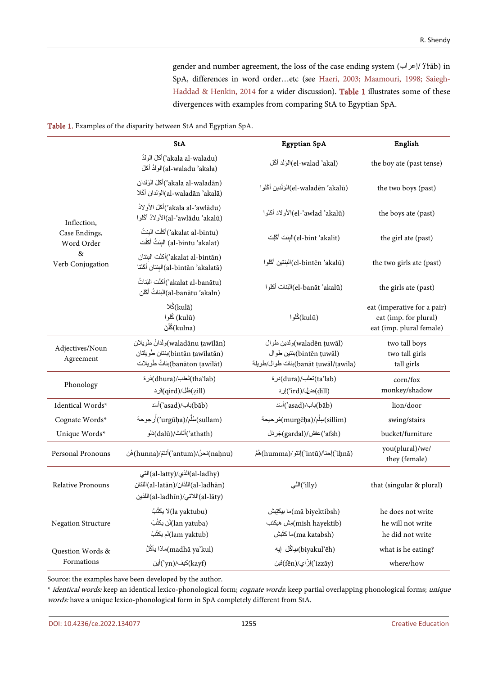gender and number agreement, the loss of the case ending system (إعراب/'i'rāb) in SpA, differences in word order…etc (see [Haeri, 2003;](#page-48-2) [Maamouri, 1998;](#page-50-1) [Saiegh-](#page-52-0)[Haddad & Henkin, 2014](#page-52-0) for a wider discussion). [Table 1](#page-8-0) illustrates some of these divergences with examples from comparing StA to Egyptian SpA.

<span id="page-8-0"></span>

|  |  |  |  | Table 1. Examples of the disparity between StA and Egyptian SpA. |
|--|--|--|--|------------------------------------------------------------------|
|--|--|--|--|------------------------------------------------------------------|

|                                    | <b>StA</b>                                                                                                | Egyptian SpA                                                                                 | English                                                                          |
|------------------------------------|-----------------------------------------------------------------------------------------------------------|----------------------------------------------------------------------------------------------|----------------------------------------------------------------------------------|
|                                    | (akala al-waladu')أكلَ الولدُ<br>(al-waladu 'akala)الولدُ أكلَ                                            | (el-walad 'akal)الوَلَد أكَل                                                                 | the boy ate (past tense)                                                         |
|                                    | (akala al-waladān')أكلَ الوَلدان<br>(al-waladān 'akalā)الوَلدان أكَلا                                     | (el-waladēn 'akalū)المَرَلَدين أكَلوا                                                        | the two boys (past)                                                              |
| Inflection,                        | (akala al-'awlādu')أكلَ الأولادُ<br>(al-'awlādu 'akalū)الأولادُ أكَلوا                                    | (el-'awlad 'akalū)الأولاد أكلوا                                                              | the boys ate (past)                                                              |
| Case Endings,<br>Word Order        | (akalat al-bintu')أكلّت البنتُ<br>(al-bintu 'akalat) البنتُ أكلَت                                         | (el-bint 'akalit)البِنت أكَلِت                                                               | the girl ate (past)                                                              |
| 8 <sub>x</sub><br>Verb Conjugation | (akalat al-bintān')أكلّت البنتان<br>(al-bintān 'akalatā)البنتان أكَلتا                                    | (el-bintēn 'akalū)البِنتين أكَلوا                                                            | the two girls ate (past)                                                         |
|                                    | (akalat al-banātu')أكلَت البَناتُ<br>(al-banātu 'akaln)البناتُ أكَلن                                      | (el-banāt 'akalū)البَنات أكلوا                                                               | the girls ate (past)                                                             |
|                                    | (kulā)كُلا<br>(kulū) كُلوا<br>(kulna)ڭلْنَ                                                                | (kulū)ڭلوا                                                                                   | eat (imperative for a pair)<br>eat (imp. for plural)<br>eat (imp. plural female) |
| Adjectives/Noun<br>Agreement       | (waladānu ṭawīlān)ولَدانُ طَوِيلان<br>(bintān ţawīlatān)بنتان طَويلتان<br>(banāton ṭawīlāt)بناتٌ طَوِيلات | (waladēn ṭuwāl)ولدين طوال<br>(bintēn țuwāl)بنتين طوال<br>(banāt ţuwāl/ṭawīla)بنات طوال/طويلة | two tall boys<br>two tall girls<br>tall girls                                    |
| Phonology                          | (thaʻlab)نْعْلب/(dhura)دْرة<br>(zill)ظل/(qird)فرد                                                         | (ta'lab)نعلب/(dura)درة<br>(dill)ضل/'ird) ارد                                                 | corn/fox<br>monkey/shadow                                                        |
| Identical Words*                   | (bāb)باب/(asad)أسَد)                                                                                      | (bāb)باب/(asad) أسَد                                                                         | lion/door                                                                        |
| Cognate Words*                     | (sullam)سُلَّم/(urgūḥa')أُرجوحة                                                                           | (sillim)سِلَّم/(murgēḥa)مُرحيحة                                                              | swing/stairs                                                                     |
| Unique Words*                      | (athath) أثاث/(dalū)دَلو                                                                                  | (afsh)عفش/(gardal)جَردَل                                                                     | bucket/furniture                                                                 |
| Personal Pronouns                  | (naḥnu)نحنُ/(antum)أنتمُ/(hunna)هُن                                                                       | (ʾiḥnā)احنا/(ʾintū)انتو/(humma) هُمَّ                                                        | you(plural)/we/<br>they (female)                                                 |
| Relative Pronouns                  | (al-ladhy)الذي/(al-latty)التي<br>(al-ladhān)اللذان/(al-latān)اللتان)<br>(al-lāty)اللاتي/(al-ladhīn)اللذين | (illy')اللي                                                                                  | that (singular & plural)                                                         |
| <b>Negation Structure</b>          | (la yaktubu)لا يكثُبُ<br>(lan yatuba)أن يكثُبَ<br>(lam yaktub)لم يكثُبُ                                   | (mā biyektibsh)ما بيكتِبش<br>(mish hayektib)مِش هيكتب<br>(ma katabsh)ما كَتَبش               | he does not write<br>he will not write<br>he did not write                       |
| Question Words &                   | (madhā ya'kul)ماذا يأكُلُ                                                                                 | (biyakul'ēh)بياڭل إيه                                                                        | what is he eating?                                                               |
| Formations                         | (kayf)كيف/(yn)أين                                                                                         | (izzāy')إِزَّاي/(fēn)فين                                                                     | where/how                                                                        |

Source: the examples have been developed by the author.

\* identical words: keep an identical lexico-phonological form; cognate words: keep partial overlapping phonological forms; unique words: have a unique lexico-phonological form in SpA completely different from StA.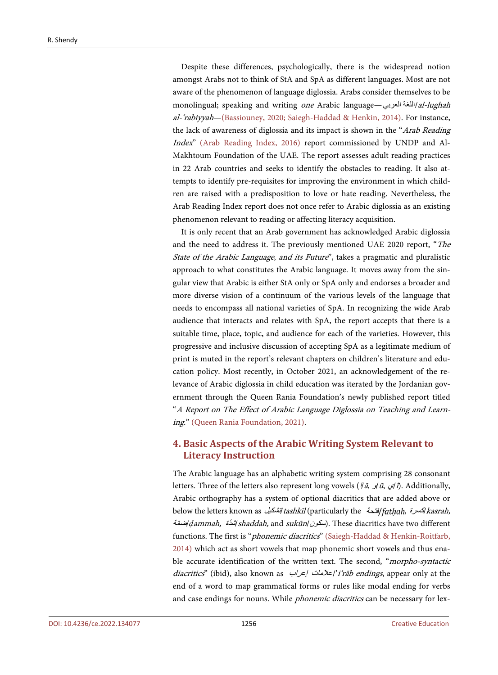Despite these differences, psychologically, there is the widespread notion amongst Arabs not to think of StA and SpA as different languages. Most are not aware of the phenomenon of language diglossia. Arabs consider themselves to be monolingual; speaking and writing one Arabic language—اللغة العربي – al-lughah al-'rabiyyah[—\(Bassiouney, 2020;](#page-47-4) [Saiegh-Haddad & Henkin, 2014\).](#page-52-0) For instance, the lack of awareness of diglossia and its impact is shown in the "Arab Reading Index" [\(Arab Reading Index,](#page-47-5) 2016) report commissioned by UNDP and Al-Makhtoum Foundation of the UAE. The report assesses adult reading practices in 22 Arab countries and seeks to identify the obstacles to reading. It also attempts to identify pre-requisites for improving the environment in which children are raised with a predisposition to love or hate reading. Nevertheless, the Arab Reading Index report does not once refer to Arabic diglossia as an existing phenomenon relevant to reading or affecting literacy acquisition.

It is only recent that an Arab government has acknowledged Arabic diglossia and the need to address it. The previously mentioned UAE 2020 report, "The State of the Arabic Language, and its Future", takes a pragmatic and pluralistic approach to what constitutes the Arabic language. It moves away from the singular view that Arabic is either StA only or SpA only and endorses a broader and more diverse vision of a continuum of the various levels of the language that needs to encompass all national varieties of SpA. In recognizing the wide Arab audience that interacts and relates with SpA, the report accepts that there is a suitable time, place, topic, and audience for each of the varieties. However, this progressive and inclusive discussion of accepting SpA as a legitimate medium of print is muted in the report's relevant chapters on children's literature and education policy. Most recently, in October 2021, an acknowledgement of the relevance of Arabic diglossia in child education was iterated by the Jordanian government through the Queen Rania Foundation's newly published report titled "A Report on The Effect of Arabic Language Diglossia on Teaching and Learning." [\(Queen Rania Foundation, 2021\).](#page-51-3)

# **4. Basic Aspects of the Arabic Writing System Relevant to Literacy Instruction**

The Arabic language has an alphabetic writing system comprising 28 consonant letters. Three of the letters also represent long vowels  $(\frac{\pi}{4}, \frac{\pi}{2}, \frac{\pi}{6}, \frac{\pi}{6})$ . Additionally, Arabic orthography has a system of optional diacritics that are added above or below the letters known as *تشكیل tashkīl* (particularly the *أفتحة) kasrah,* ضمةّ /*ḍ*ammah, شدةّ /shaddah, and sukūn/سكون(. These diacritics have two different functions. The first is "phonemic diacritics" (Saiegh-Haddad & Henkin-Roitfarb, [2014\)](#page-52-0) which act as short vowels that map phonemic short vowels and thus enable accurate identification of the written text. The second, "*morpho-syntactic* diacritics" (ibid), also known as  $/$ علامات /علامات /'i'rāb endings, appear only at the end of a word to map grammatical forms or rules like modal ending for verbs and case endings for nouns. While *phonemic diacritics* can be necessary for lex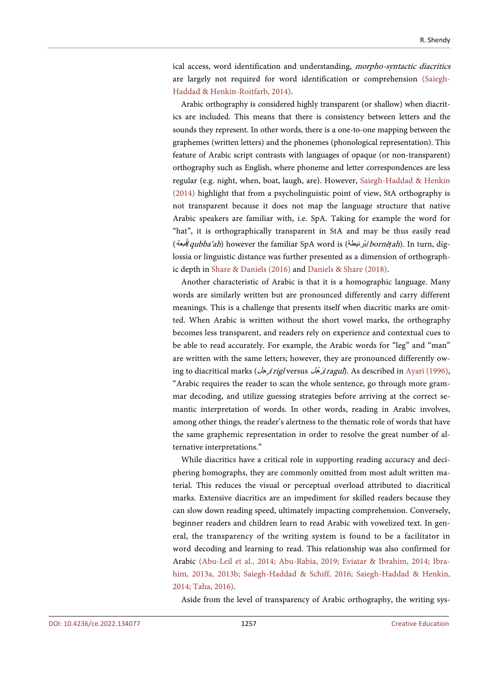ical access, word identification and understanding, morpho-syntactic diacritics are largely not required for word identification or comprehension [\(Saiegh-](#page-52-0)[Haddad & Henkin-Roitfarb, 2014\).](#page-52-0)

Arabic orthography is considered highly transparent (or shallow) when diacritics are included. This means that there is consistency between letters and the sounds they represent. In other words, there is a one-to-one mapping between the graphemes (written letters) and the phonemes (phonological representation). This feature of Arabic script contrasts with languages of opaque (or non-transparent) orthography such as English, where phoneme and letter correspondences are less regular (e.g. night, when, boat, laugh, are). However, [Saiegh-Haddad & Henkin](#page-52-0)  [\(2014\)](#page-52-0) highlight that from a psycholinguistic point of view, StA orthography is not transparent because it does not map the language structure that native Arabic speakers are familiar with, i.e. SpA. Taking for example the word for "hat", it is orthographically transparent in StA and may be thus easily read ُبعة) ق/qubba'ah) however the familiar SpA word is (رنیطةُب/bornē*ṭ*ah). In turn, diglossia or linguistic distance was further presented as a dimension of orthographic depth in [Share & Daniels \(2016\)](#page-52-5) and [Daniels & Share \(2018\).](#page-48-6)

Another characteristic of Arabic is that it is a homographic language. Many words are similarly written but are pronounced differently and carry different meanings. This is a challenge that presents itself when diacritic marks are omitted. When Arabic is written without the short vowel marks, the orthography becomes less transparent, and readers rely on experience and contextual cues to be able to read accurately. For example, the Arabic words for "leg" and "man" are written with the same letters; however, they are pronounced differently owing to diacritical marks (رجلِ /rigl versus جلُ رَ /ragul). As described in [Ayari \(1996\),](#page-47-1)  "Arabic requires the reader to scan the whole sentence, go through more grammar decoding, and utilize guessing strategies before arriving at the correct semantic interpretation of words. In other words, reading in Arabic involves, among other things, the reader's alertness to the thematic role of words that have the same graphemic representation in order to resolve the great number of alternative interpretations."

While diacritics have a critical role in supporting reading accuracy and deciphering homographs, they are commonly omitted from most adult written material. This reduces the visual or perceptual overload attributed to diacritical marks. Extensive diacritics are an impediment for skilled readers because they can slow down reading speed, ultimately impacting comprehension. Conversely, beginner readers and children learn to read Arabic with vowelized text. In general, the transparency of the writing system is found to be a facilitator in word decoding and learning to read. This relationship was also confirmed for Arabic [\(Abu-Leil et al., 2014;](#page-46-1) [Abu-Rabia, 2019;](#page-47-6) [Eviatar & Ibrahim, 2014;](#page-48-5) [Ibra](#page-49-7)[him, 2013a,](#page-49-7) [2013b;](#page-49-8) [Saiegh-Haddad & Schiff, 2016;](#page-52-2) [Saiegh-Haddad & Henkin,](#page-52-0)  [2014;](#page-52-0) [Taha, 2016\).](#page-52-6)

Aside from the level of transparency of Arabic orthography, the writing sys-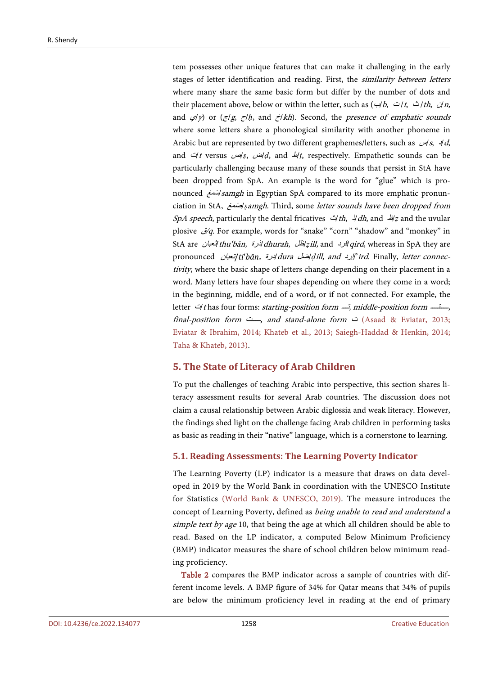tem possesses other unique features that can make it challenging in the early stages of letter identification and reading. First, the similarity between letters where many share the same basic form but differ by the number of dots and their placement above, below or within the letter, such as (ب/b, ت /t, ث /th, ن/n, and <sup>ي</sup>/y) or (ج/g, ح/*ḥ*, and خ/kh). Second, the presence of emphatic sounds where some letters share a phonological similarity with another phoneme in Arabic but are represented by two different graphemes/letters, such as  $\forall$ s,  $\forall$ d, and ت/<sup>t</sup> versus ص/*ṣ*, ض/*ḍ*, and <sup>ط</sup>/*ṭ*, respectively. Empathetic sounds can be particularly challenging because many of these sounds that persist in StA have been dropped from SpA. An example is the word for "glue" which is pronounced سمغَ /samgh in Egyptian SpA compared to its more emphatic pronunciation in StA, صمغَ /*ṣ*amgh. Third, some letter sounds have been dropped from SpA speech, particularly the dental fricatives  $\Delta t$ th,  $\Delta t$  and  $\Delta t$ <sup>z</sup> and the uvular plosive ق/q. For example, words for "snake" "corn" "shadow" and "monkey" in StA are ثعبان/thu'bān, ذرة/dhurah, ظل/*ẓ*ill, and قرد/qird, whereas in SpA they are pronounced *اردة (dill, and إردا) dura المطل and إردان* /*dill, and إنعبان*//*ird. Finally, letter connec*tivity, where the basic shape of letters change depending on their placement in a word. Many letters have four shapes depending on where they come in a word; in the beginning, middle, end of a word, or if not connected. For example, the letter  $\exists$ t has four forms: starting-position form  $\exists$ , middle-position form  $\exists$ . final-position form ـــــت, and stand-alone form ت) [Asaad & Eviatar, 2013;](#page-47-7) [Eviatar & Ibrahim, 2014;](#page-48-5) [Khateb et al., 2013;](#page-49-9) [Saiegh-Haddad & Henkin, 2014;](#page-52-0) [Taha & Khateb, 2013\).](#page-53-1)

## **5. The State of Literacy of Arab Children**

To put the challenges of teaching Arabic into perspective, this section shares literacy assessment results for several Arab countries. The discussion does not claim a causal relationship between Arabic diglossia and weak literacy. However, the findings shed light on the challenge facing Arab children in performing tasks as basic as reading in their "native" language, which is a cornerstone to learning.

#### **5.1. Reading Assessments: The Learning Poverty Indicator**

The Learning Poverty (LP) indicator is a measure that draws on data developed in 2019 by the World Bank in coordination with the UNESCO Institute for Statistics [\(World Bank & UNESCO, 2019\).](#page-54-4) The measure introduces the concept of Learning Poverty, defined as being unable to read and understand a simple text by age 10, that being the age at which all children should be able to read. Based on the LP indicator, a computed Below Minimum Proficiency (BMP) indicator measures the share of school children below minimum reading proficiency.

[Table 2](#page-12-0) compares the BMP indicator across a sample of countries with different income levels. A BMP figure of 34% for Qatar means that 34% of pupils are below the minimum proficiency level in reading at the end of primary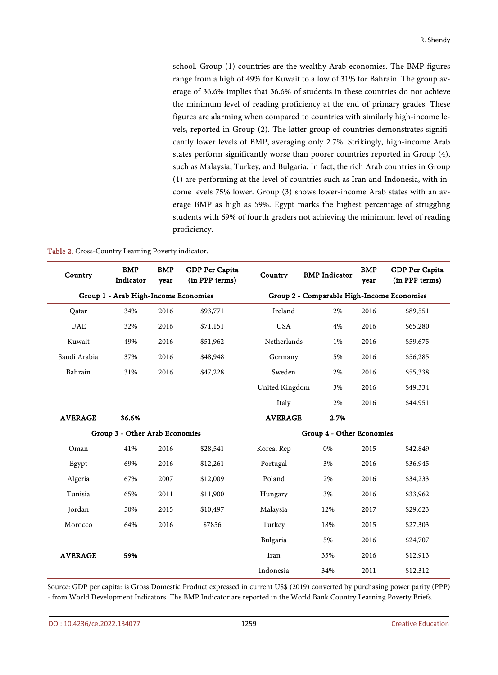school. Group (1) countries are the wealthy Arab economies. The BMP figures range from a high of 49% for Kuwait to a low of 31% for Bahrain. The group average of 36.6% implies that 36.6% of students in these countries do not achieve the minimum level of reading proficiency at the end of primary grades. These figures are alarming when compared to countries with similarly high-income levels, reported in Group (2). The latter group of countries demonstrates significantly lower levels of BMP, averaging only 2.7%. Strikingly, high-income Arab states perform significantly worse than poorer countries reported in Group (4), such as Malaysia, Turkey, and Bulgaria. In fact, the rich Arab countries in Group (1) are performing at the level of countries such as Iran and Indonesia, with income levels 75% lower. Group (3) shows lower-income Arab states with an average BMP as high as 59%. Egypt marks the highest percentage of struggling students with 69% of fourth graders not achieving the minimum level of reading proficiency.

<span id="page-12-0"></span>

|  | Table 2. Cross-Country Learning Poverty indicator. |  |  |  |
|--|----------------------------------------------------|--|--|--|
|--|----------------------------------------------------|--|--|--|

| Country        | <b>BMP</b><br>Indicator              | <b>BMP</b><br>year | GDP Per Capita<br>(in PPP terms) | Country                   | <b>BMP</b> Indicator                       | <b>BMP</b><br>year | GDP Per Capita<br>(in PPP terms) |  |
|----------------|--------------------------------------|--------------------|----------------------------------|---------------------------|--------------------------------------------|--------------------|----------------------------------|--|
|                | Group 1 - Arab High-Income Economies |                    |                                  |                           | Group 2 - Comparable High-Income Economies |                    |                                  |  |
| Qatar          | 34%                                  | 2016               | \$93,771                         | Ireland                   | 2%                                         | 2016               | \$89,551                         |  |
| <b>UAE</b>     | 32%                                  | 2016               | \$71,151                         | <b>USA</b>                | 4%                                         | 2016               | \$65,280                         |  |
| Kuwait         | 49%                                  | 2016               | \$51,962                         | Netherlands               | 1%                                         | 2016               | \$59,675                         |  |
| Saudi Arabia   | 37%                                  | 2016               | \$48,948                         | Germany                   | 5%                                         | 2016               | \$56,285                         |  |
| Bahrain        | 31%                                  | 2016               | \$47,228                         | Sweden                    | 2%                                         | 2016               | \$55,338                         |  |
|                |                                      |                    |                                  | United Kingdom            | 3%                                         | 2016               | \$49,334                         |  |
|                |                                      |                    |                                  | Italy                     | 2%                                         | 2016               | \$44,951                         |  |
| <b>AVERAGE</b> | 36.6%                                |                    |                                  | <b>AVERAGE</b>            | 2.7%                                       |                    |                                  |  |
|                | Group 3 - Other Arab Economies       |                    |                                  | Group 4 - Other Economies |                                            |                    |                                  |  |
| Oman           | 41%                                  | 2016               | \$28,541                         | Korea, Rep                | $0\%$                                      | 2015               | \$42,849                         |  |
| Egypt          | 69%                                  | 2016               | \$12,261                         | Portugal                  | 3%                                         | 2016               | \$36,945                         |  |
| Algeria        | 67%                                  | 2007               | \$12,009                         | Poland                    | 2%                                         | 2016               | \$34,233                         |  |
| Tunisia        | 65%                                  | 2011               | \$11,900                         | Hungary                   | 3%                                         | 2016               | \$33,962                         |  |
| Jordan         | 50%                                  | 2015               | \$10,497                         | Malaysia                  | 12%                                        | 2017               | \$29,623                         |  |
| Morocco        | 64%                                  | 2016               | \$7856                           | Turkey                    | 18%                                        | 2015               | \$27,303                         |  |
|                |                                      |                    |                                  | Bulgaria                  | 5%                                         | 2016               | \$24,707                         |  |
| <b>AVERAGE</b> | 59%                                  |                    |                                  | Iran                      | 35%                                        | 2016               | \$12,913                         |  |
|                |                                      |                    |                                  | Indonesia                 | 34%                                        | 2011               | \$12,312                         |  |

Source: GDP per capita: is Gross Domestic Product expressed in current US\$ (2019) converted by purchasing power parity (PPP) - from World Development Indicators. The BMP Indicator are reported in the World Bank Country Learning Poverty Briefs.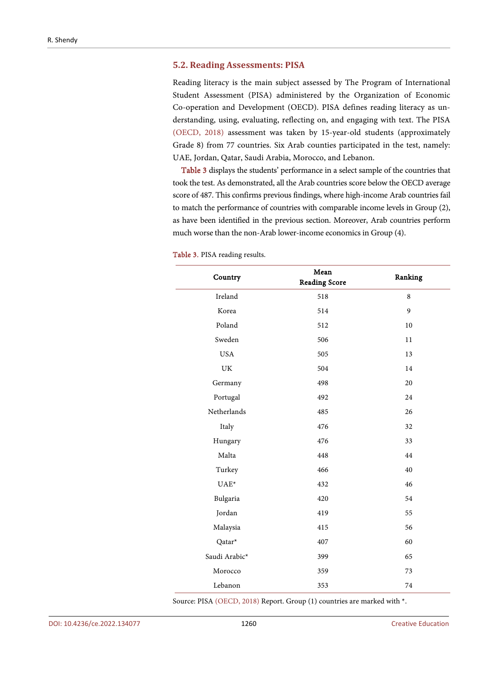#### **5.2. Reading Assessments: PISA**

Reading literacy is the main subject assessed by The Program of International Student Assessment (PISA) administered by the Organization of Economic Co-operation and Development (OECD). PISA defines reading literacy as understanding, using, evaluating, reflecting on, and engaging with text. The PISA [\(OECD,](#page-50-2) 2018) assessment was taken by 15-year-old students (approximately Grade 8) from 77 countries. Six Arab counties participated in the test, namely: UAE, Jordan, Qatar, Saudi Arabia, Morocco, and Lebanon.

[Table 3](#page-13-0) displays the students' performance in a select sample of the countries that took the test. As demonstrated, all the Arab countries score below the OECD average score of 487. This confirms previous findings, where high-income Arab countries fail to match the performance of countries with comparable income levels in Group (2), as have been identified in the previous section. Moreover, Arab countries perform much worse than the non-Arab lower-income economics in Group (4).

| Country                           | Mean<br><b>Reading Score</b> | Ranking |
|-----------------------------------|------------------------------|---------|
| Ireland                           | 518                          | 8       |
| Korea                             | 514                          | 9       |
| Poland                            | 512                          | 10      |
| Sweden                            | 506                          | 11      |
| <b>USA</b>                        | 505                          | 13      |
| $\ensuremath{\mathrm{UK}}\xspace$ | 504                          | 14      |
| Germany                           | 498                          | 20      |
| Portugal                          | 492                          | 24      |
| Netherlands                       | 485                          | 26      |
| Italy                             | 476                          | 32      |
| Hungary                           | 476                          | 33      |
| Malta                             | 448                          | 44      |
| Turkey                            | 466                          | 40      |
| $UAE^*$                           | 432                          | 46      |
| Bulgaria                          | 420                          | 54      |
| Jordan                            | 419                          | 55      |
| Malaysia                          | 415                          | 56      |
| Qatar*                            | 407                          | 60      |
| Saudi Arabic*                     | 399                          | 65      |
| Morocco                           | 359                          | 73      |
| Lebanon                           | 353                          | 74      |

#### <span id="page-13-0"></span>Table 3. PISA reading results.

Source: PISA [\(OECD,](#page-50-2) 2018) Report. Group (1) countries are marked with \*.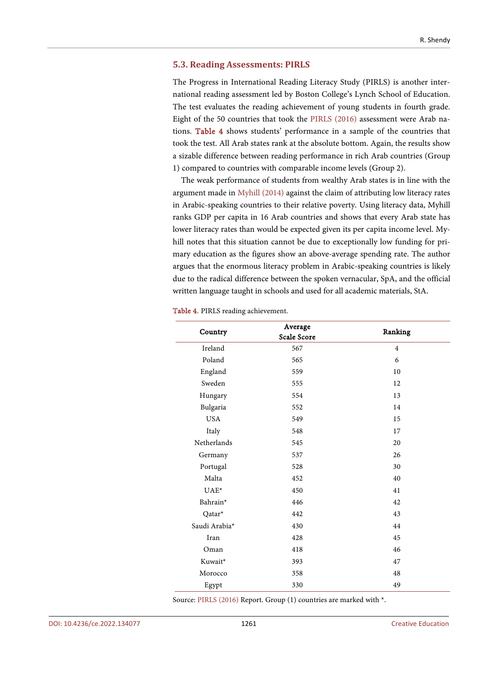#### **5.3. Reading Assessments: PIRLS**

The Progress in International Reading Literacy Study (PIRLS) is another international reading assessment led by Boston College's Lynch School of Education. The test evaluates the reading achievement of young students in fourth grade. Eight of the 50 countries that took the [PIRLS \(2016\)](#page-51-4) assessment were Arab nations. [Table 4](#page-14-0) shows students' performance in a sample of the countries that took the test. All Arab states rank at the absolute bottom. Again, the results show a sizable difference between reading performance in rich Arab countries (Group 1) compared to countries with comparable income levels (Group 2).

The weak performance of students from wealthy Arab states is in line with the argument made in [Myhill \(2014\)](#page-50-0) against the claim of attributing low literacy rates in Arabic-speaking countries to their relative poverty. Using literacy data, Myhill ranks GDP per capita in 16 Arab countries and shows that every Arab state has lower literacy rates than would be expected given its per capita income level. Myhill notes that this situation cannot be due to exceptionally low funding for primary education as the figures show an above-average spending rate. The author argues that the enormous literacy problem in Arabic-speaking countries is likely due to the radical difference between the spoken vernacular, SpA, and the official written language taught in schools and used for all academic materials, StA.

| Country              | Average<br>Scale Score | Ranking        |  |  |
|----------------------|------------------------|----------------|--|--|
| Ireland              | 567                    | $\overline{4}$ |  |  |
| Poland               | 565                    | 6              |  |  |
|                      |                        |                |  |  |
| England              | 559                    | 10             |  |  |
| Sweden               | 555                    | 12             |  |  |
| Hungary              | 554                    | 13             |  |  |
| Bulgaria             | 552                    | 14             |  |  |
| <b>USA</b>           | 549                    | 15             |  |  |
| Italy                | 548                    | 17             |  |  |
| Netherlands          | 545                    | 20             |  |  |
| Germany              | 537                    | 26             |  |  |
| Portugal             | 528                    | 30             |  |  |
| Malta                | 452                    | 40             |  |  |
| $UAE^*$              | 450                    | 41             |  |  |
| Bahrain <sup>*</sup> | 446                    | 42             |  |  |
| Qatar*               | 442                    | 43             |  |  |
| Saudi Arabia*        | 430                    | 44             |  |  |
| Iran                 | 428                    | 45             |  |  |
| Oman                 | 418                    | 46             |  |  |
| Kuwait*              | 393                    | 47             |  |  |
| Morocco              | 358                    | 48             |  |  |
| Egypt                | 330                    | 49             |  |  |

<span id="page-14-0"></span>Table 4. PIRLS reading achievement.

Source: [PIRLS \(2016\)](#page-51-4) Report. Group (1) countries are marked with \*.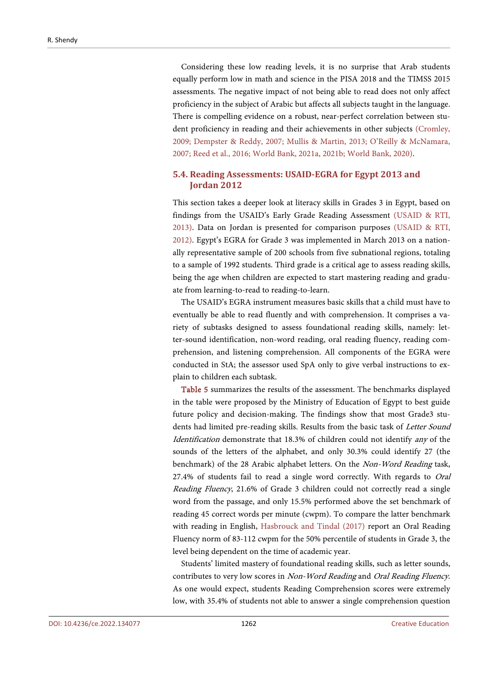Considering these low reading levels, it is no surprise that Arab students equally perform low in math and science in the PISA 2018 and the TIMSS 2015 assessments. The negative impact of not being able to read does not only affect proficiency in the subject of Arabic but affects all subjects taught in the language. There is compelling evidence on a robust, near-perfect correlation between student proficiency in reading and their achievements in other subjects [\(Cromley,](#page-47-8)  [2009;](#page-47-8) [Dempster & Reddy, 2007;](#page-48-7) [Mullis & Martin, 2013;](#page-50-3) [O'Reilly & McNamara,](#page-50-4)  [2007;](#page-50-4) Reed [et al., 2016;](#page-51-5) [World Bank,](#page-54-1) 2021a, [2021b;](#page-54-2) [World Bank, 2020\).](#page-54-0)

# **5.4. Reading Assessments: USAID-EGRA for Egypt 2013 and Jordan 2012**

This section takes a deeper look at literacy skills in Grades 3 in Egypt, based on findings from the USAID's Early Grade Reading Assessment [\(USAID](#page-53-2) & RTI, [2013\).](#page-53-2) Data on Jordan is presented for comparison purposes [\(USAID](#page-53-3) & RTI, [2012\).](#page-53-3) Egypt's EGRA for Grade 3 was implemented in March 2013 on a nationally representative sample of 200 schools from five subnational regions, totaling to a sample of 1992 students. Third grade is a critical age to assess reading skills, being the age when children are expected to start mastering reading and graduate from learning-to-read to reading-to-learn.

The USAID's EGRA instrument measures basic skills that a child must have to eventually be able to read fluently and with comprehension. It comprises a variety of subtasks designed to assess foundational reading skills, namely: letter-sound identification, non-word reading, oral reading fluency, reading comprehension, and listening comprehension. All components of the EGRA were conducted in StA; the assessor used SpA only to give verbal instructions to explain to children each subtask.

[Table 5](#page-16-0) summarizes the results of the assessment. The benchmarks displayed in the table were proposed by the Ministry of Education of Egypt to best guide future policy and decision-making. The findings show that most Grade3 students had limited pre-reading skills. Results from the basic task of Letter Sound Identification demonstrate that 18.3% of children could not identify any of the sounds of the letters of the alphabet, and only 30.3% could identify 27 (the benchmark) of the 28 Arabic alphabet letters. On the Non-Word Reading task, 27.4% of students fail to read a single word correctly. With regards to Oral Reading Fluency, 21.6% of Grade 3 children could not correctly read a single word from the passage, and only 15.5% performed above the set benchmark of reading 45 correct words per minute (cwpm). To compare the latter benchmark with reading in English, Hasbrouck and [Tindal \(2017\)](#page-48-8) report an Oral Reading Fluency norm of 83-112 cwpm for the 50% percentile of students in Grade 3, the level being dependent on the time of academic year.

Students' limited mastery of foundational reading skills, such as letter sounds, contributes to very low scores in Non-Word Reading and Oral Reading Fluency. As one would expect, students Reading Comprehension scores were extremely low, with 35.4% of students not able to answer a single comprehension question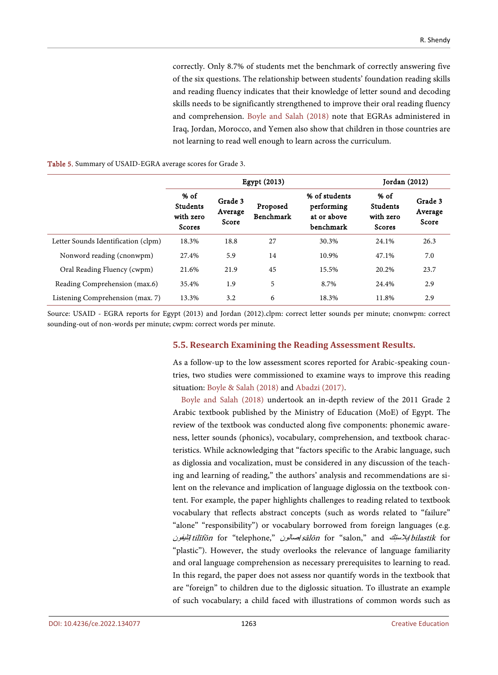correctly. Only 8.7% of students met the benchmark of correctly answering five of the six questions. The relationship between students' foundation reading skills and reading fluency indicates that their knowledge of letter sound and decoding skills needs to be significantly strengthened to improve their oral reading fluency and comprehension. Boyle and [Salah \(2018\)](#page-47-9) note that EGRAs administered in Iraq, Jordan, Morocco, and Yemen also show that children in those countries are not learning to read well enough to learn across the curriculum.

#### <span id="page-16-0"></span>Table 5. Summary of USAID-EGRA average scores for Grade 3.

|                                     | <b>Egypt (2013)</b>                                     |                             |                       |                                                         | Jordan (2012)                                           |                             |  |
|-------------------------------------|---------------------------------------------------------|-----------------------------|-----------------------|---------------------------------------------------------|---------------------------------------------------------|-----------------------------|--|
|                                     | $%$ of<br><b>Students</b><br>with zero<br><b>Scores</b> | Grade 3<br>Average<br>Score | Proposed<br>Benchmark | % of students<br>performing<br>at or above<br>benchmark | $%$ of<br><b>Students</b><br>with zero<br><b>Scores</b> | Grade 3<br>Average<br>Score |  |
| Letter Sounds Identification (clpm) | 18.3%                                                   | 18.8                        | 27                    | 30.3%                                                   | 24.1%                                                   | 26.3                        |  |
| Nonword reading (cnonwpm)           | 27.4%                                                   | 5.9                         | 14                    | 10.9%                                                   | 47.1%                                                   | 7.0                         |  |
| Oral Reading Fluency (cwpm)         | 21.6%                                                   | 21.9                        | 45                    | 15.5%                                                   | 20.2%                                                   | 23.7                        |  |
| Reading Comprehension (max.6)       | 35.4%                                                   | 1.9                         | 5                     | 8.7%                                                    | 24.4%                                                   | 2.9                         |  |
| Listening Comprehension (max. 7)    | 13.3%                                                   | 3.2                         | 6                     | 18.3%                                                   | 11.8%                                                   | 2.9                         |  |

Source: USAID - EGRA reports for Egypt (2013) and Jordan (2012).clpm: correct letter sounds per minute; cnonwpm: correct sounding-out of non-words per minute; cwpm: correct words per minute.

#### **5.5. Research Examining the Reading Assessment Results.**

As a follow-up to the low assessment scores reported for Arabic-speaking countries, two studies were commissioned to examine ways to improve this reading situation[: Boyle & Salah \(2018\)](#page-47-9) an[d Abadzi \(2017\).](#page-46-2)

Boyle and [Salah \(2018\)](#page-47-9) undertook an in-depth review of the 2011 Grade 2 Arabic textbook published by the Ministry of Education (MoE) of Egypt. The review of the textbook was conducted along five components: phonemic awareness, letter sounds (phonics), vocabulary, comprehension, and textbook characteristics. While acknowledging that "factors specific to the Arabic language, such as diglossia and vocalization, must be considered in any discussion of the teaching and learning of reading," the authors' analysis and recommendations are silent on the relevance and implication of language diglossia on the textbook content. For example, the paper highlights challenges to reading related to textbook vocabulary that reflects abstract concepts (such as words related to "failure" "alone" "responsibility") or vocabulary borrowed from foreign languages (e.g. الِبِلاستِكِ bilastik for "salon," and كِمستِكِ bilastik for "salon," and الِبَلْبِفُون "plastic"). However, the study overlooks the relevance of language familiarity and oral language comprehension as necessary prerequisites to learning to read. In this regard, the paper does not assess nor quantify words in the textbook that are "foreign" to children due to the diglossic situation. To illustrate an example of such vocabulary; a child faced with illustrations of common words such as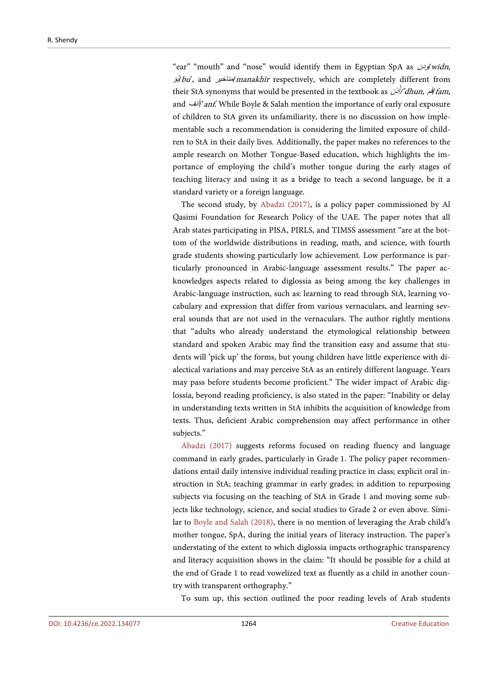"ear" "mouth" and "nose" would identify them in Egyptian SpA as *وبن widn*, <sup>ؤ</sup>ُب/bu', and مناخیر/manakhīr respectively, which are completely different from their StA synonyms that would be presented in the textbook as *أَفْر dhun, أَذن* am, and *أنف*/'anf. While Boyle & Salah mention the importance of early oral exposure of children to StA given its unfamiliarity, there is no discussion on how implementable such a recommendation is considering the limited exposure of children to StA in their daily lives. Additionally, the paper makes no references to the ample research on Mother Tongue-Based education, which highlights the importance of employing the child's mother tongue during the early stages of teaching literacy and using it as a bridge to teach a second language, be it a standard variety or a foreign language.

The second study, by [Abadzi \(2017\),](#page-46-2) is a policy paper commissioned by Al Qasimi Foundation for Research Policy of the UAE. The paper notes that all Arab states participating in PISA, PIRLS, and TIMSS assessment "are at the bottom of the worldwide distributions in reading, math, and science, with fourth grade students showing particularly low achievement. Low performance is particularly pronounced in Arabic-language assessment results." The paper acknowledges aspects related to diglossia as being among the key challenges in Arabic-language instruction, such as: learning to read through StA, learning vocabulary and expression that differ from various vernaculars, and learning several sounds that are not used in the vernaculars. The author rightly mentions that "adults who already understand the etymological relationship between standard and spoken Arabic may find the transition easy and assume that students will 'pick up' the forms, but young children have little experience with dialectical variations and may perceive StA as an entirely different language. Years may pass before students become proficient." The wider impact of Arabic diglossia, beyond reading proficiency, is also stated in the paper: "Inability or delay in understanding texts written in StA inhibits the acquisition of knowledge from texts. Thus, deficient Arabic comprehension may affect performance in other subjects."

[Abadzi \(2017\)](#page-46-2) suggests reforms focused on reading fluency and language command in early grades, particularly in Grade 1. The policy paper recommendations entail daily intensive individual reading practice in class; explicit oral instruction in StA; teaching grammar in early grades; in addition to repurposing subjects via focusing on the teaching of StA in Grade 1 and moving some subjects like technology, science, and social studies to Grade 2 or even above. Similar to [Boyle and Salah \(2018\),](#page-47-9) there is no mention of leveraging the Arab child's mother tongue, SpA, during the initial years of literacy instruction. The paper's understating of the extent to which diglossia impacts orthographic transparency and literacy acquisition shows in the claim: "It should be possible for a child at the end of Grade 1 to read vowelized text as fluently as a child in another country with transparent orthography."

To sum up, this section outlined the poor reading levels of Arab students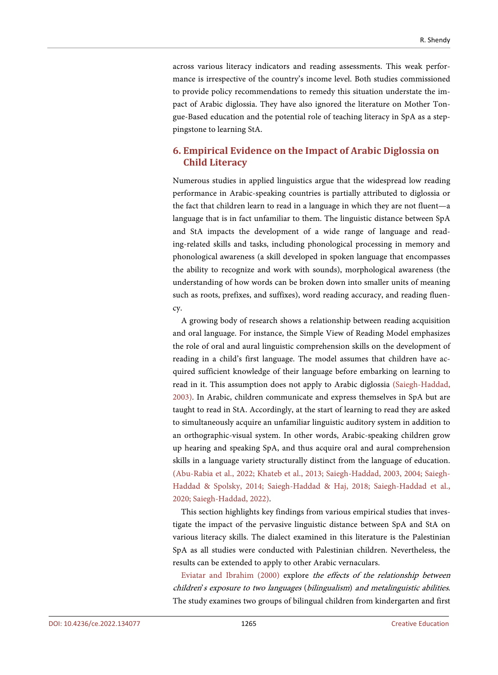across various literacy indicators and reading assessments. This weak performance is irrespective of the country's income level. Both studies commissioned to provide policy recommendations to remedy this situation understate the impact of Arabic diglossia. They have also ignored the literature on Mother Tongue-Based education and the potential role of teaching literacy in SpA as a steppingstone to learning StA.

# **6. Empirical Evidence on the Impact of Arabic Diglossia on Child Literacy**

Numerous studies in applied linguistics argue that the widespread low reading performance in Arabic-speaking countries is partially attributed to diglossia or the fact that children learn to read in a language in which they are not fluent—a language that is in fact unfamiliar to them. The linguistic distance between SpA and StA impacts the development of a wide range of language and reading-related skills and tasks, including phonological processing in memory and phonological awareness (a skill developed in spoken language that encompasses the ability to recognize and work with sounds), morphological awareness (the understanding of how words can be broken down into smaller units of meaning such as roots, prefixes, and suffixes), word reading accuracy, and reading fluency.

A growing body of research shows a relationship between reading acquisition and oral language. For instance, the Simple View of Reading Model emphasizes the role of oral and aural linguistic comprehension skills on the development of reading in a child's first language. The model assumes that children have acquired sufficient knowledge of their language before embarking on learning to read in it. This assumption does not apply to Arabic diglossia [\(Saiegh-Haddad,](#page-51-0)  [2003\).](#page-51-0) In Arabic, children communicate and express themselves in SpA but are taught to read in StA. Accordingly, at the start of learning to read they are asked to simultaneously acquire an unfamiliar linguistic auditory system in addition to an orthographic-visual system. In other words, Arabic-speaking children grow up hearing and speaking SpA, and thus acquire oral and aural comprehension skills in a language variety structurally distinct from the language of education. [\(Abu-Rabia et al., 2022;](#page-47-0) [Khateb et al., 2013;](#page-49-9) [Saiegh-Haddad, 2003,](#page-51-0) [2004;](#page-51-6) [Saiegh-](#page-52-1)[Haddad & Spolsky, 2014;](#page-52-1) [Saiegh-Haddad & Haj, 2018;](#page-51-7) [Saiegh-Haddad et al.,](#page-52-7)  [2020;](#page-52-7) [Saiegh-Haddad, 2022\).](#page-52-3)

This section highlights key findings from various empirical studies that investigate the impact of the pervasive linguistic distance between SpA and StA on various literacy skills. The dialect examined in this literature is the Palestinian SpA as all studies were conducted with Palestinian children. Nevertheless, the results can be extended to apply to other Arabic vernaculars.

[Eviatar and Ibrahim \(2000\)](#page-48-9) explore the effects of the relationship between children's exposure to two languages (bilingualism) and metalinguistic abilities. The study examines two groups of bilingual children from kindergarten and first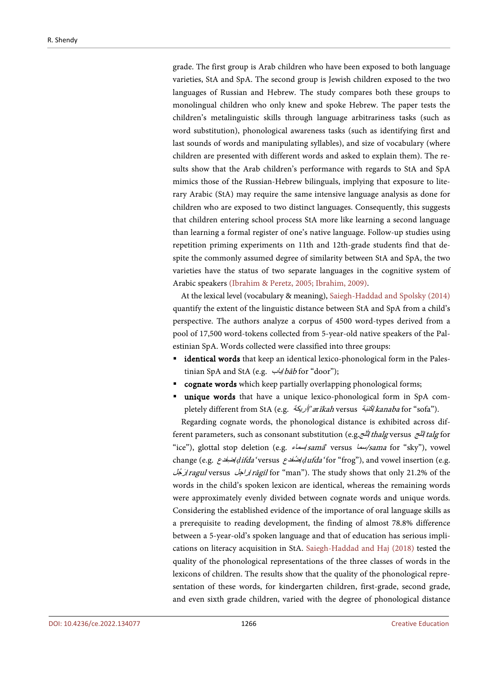grade. The first group is Arab children who have been exposed to both language varieties, StA and SpA. The second group is Jewish children exposed to the two languages of Russian and Hebrew. The study compares both these groups to monolingual children who only knew and spoke Hebrew. The paper tests the children's metalinguistic skills through language arbitrariness tasks (such as word substitution), phonological awareness tasks (such as identifying first and last sounds of words and manipulating syllables), and size of vocabulary (where children are presented with different words and asked to explain them). The results show that the Arab children's performance with regards to StA and SpA mimics those of the Russian-Hebrew bilinguals, implying that exposure to literary Arabic (StA) may require the same intensive language analysis as done for children who are exposed to two distinct languages. Consequently, this suggests that children entering school process StA more like learning a second language than learning a formal register of one's native language. Follow-up studies using repetition priming experiments on 11th and 12th-grade students find that despite the commonly assumed degree of similarity between StA and SpA, the two varieties have the status of two separate languages in the cognitive system of Arabic speakers [\(Ibrahim & Peretz, 2005;](#page-49-4) [Ibrahim, 2009\).](#page-49-5)

At the lexical level (vocabulary & meaning)[, Saiegh-Haddad and](#page-52-1) Spolsky (2014) quantify the extent of the linguistic distance between StA and SpA from a child's perspective. The authors analyze a corpus of 4500 word-types derived from a pool of 17,500 word-tokens collected from 5-year-old native speakers of the Palestinian SpA. Words collected were classified into three groups:

- identical words that keep an identical lexico-phonological form in the Palestinian SpA and StA (e.g.  $\frac{1}{4}$ bāb for "door");
- cognate words which keep partially overlapping phonological forms;
- unique words that have a unique lexico-phonological form in SpA completely different from StA (e.g. ألريكة/'ar*īkah* versus أنباه/'/'*kanaba* for "sofa").

Regarding cognate words, the phonological distance is exhibited across different parameters, such as consonant substitution (e.g. اَلَمْتِهِ thalg versus آَلَنج talg for "ice"), glottal stop deletion (e.g. سماء/samā' versus سما/sama for "sky"), vowel change (e.g. ضفدعِ /*ḍ*ifda' versus ضفدعُ /*ḍ*ufda' for "frog"), and vowel insertion (e.g. جلُ رَ /ragul versus راجلِ /rāgil for "man"). The study shows that only 21.2% of the words in the child's spoken lexicon are identical, whereas the remaining words were approximately evenly divided between cognate words and unique words. Considering the established evidence of the importance of oral language skills as a prerequisite to reading development, the finding of almost 78.8% difference between a 5-year-old's spoken language and that of education has serious implications on literacy acquisition in StA. [Saiegh-Haddad and](#page-51-7) Haj (2018) tested the quality of the phonological representations of the three classes of words in the lexicons of children. The results show that the quality of the phonological representation of these words, for kindergarten children, first-grade, second grade, and even sixth grade children, varied with the degree of phonological distance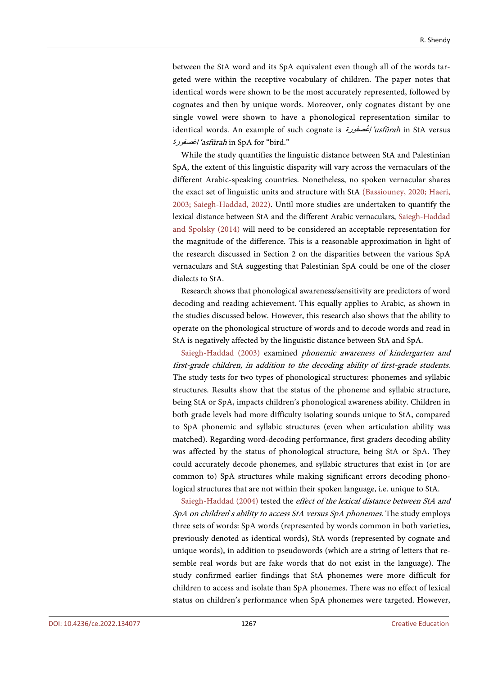between the StA word and its SpA equivalent even though all of the words targeted were within the receptive vocabulary of children. The paper notes that identical words were shown to be the most accurately represented, followed by cognates and then by unique words. Moreover, only cognates distant by one single vowel were shown to have a phonological representation similar to identical words. An example of such cognate is عصفورةُ /'usfūrah in StA versus عصفورةَ /'asfūrah in SpA for "bird."

While the study quantifies the linguistic distance between StA and Palestinian SpA, the extent of this linguistic disparity will vary across the vernaculars of the different Arabic-speaking countries. Nonetheless, no spoken vernacular shares the exact set of linguistic units and structure with StA [\(Bassiouney, 2020;](#page-47-4) [Haeri,](#page-48-2)  [2003;](#page-48-2) [Saiegh-Haddad, 2022\).](#page-52-3) Until more studies are undertaken to quantify the lexical distance between StA and the different Arabic vernaculars, [Saiegh-Haddad](#page-52-1)  and [Spolsky \(2014\)](#page-52-1) will need to be considered an acceptable representation for the magnitude of the difference. This is a reasonable approximation in light of the research discussed in Section 2 on the disparities between the various SpA vernaculars and StA suggesting that Palestinian SpA could be one of the closer dialects to StA.

Research shows that phonological awareness/sensitivity are predictors of word decoding and reading achievement. This equally applies to Arabic, as shown in the studies discussed below. However, this research also shows that the ability to operate on the phonological structure of words and to decode words and read in StA is negatively affected by the linguistic distance between StA and SpA.

[Saiegh-Haddad \(2003\)](#page-51-0) examined phonemic awareness of kindergarten and first-grade children, in addition to the decoding ability of first-grade students. The study tests for two types of phonological structures: phonemes and syllabic structures. Results show that the status of the phoneme and syllabic structure, being StA or SpA, impacts children's phonological awareness ability. Children in both grade levels had more difficulty isolating sounds unique to StA, compared to SpA phonemic and syllabic structures (even when articulation ability was matched). Regarding word-decoding performance, first graders decoding ability was affected by the status of phonological structure, being StA or SpA. They could accurately decode phonemes, and syllabic structures that exist in (or are common to) SpA structures while making significant errors decoding phonological structures that are not within their spoken language, i.e. unique to StA.

[Saiegh-Haddad \(2004\)](#page-51-6) tested the effect of the lexical distance between StA and SpA on children's ability to access StA versus SpA phonemes. The study employs three sets of words: SpA words (represented by words common in both varieties, previously denoted as identical words), StA words (represented by cognate and unique words), in addition to pseudowords (which are a string of letters that resemble real words but are fake words that do not exist in the language). The study confirmed earlier findings that StA phonemes were more difficult for children to access and isolate than SpA phonemes. There was no effect of lexical status on children's performance when SpA phonemes were targeted. However,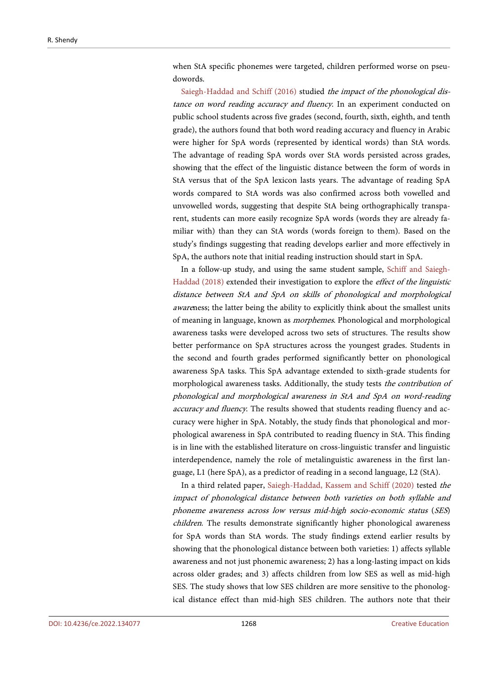when StA specific phonemes were targeted, children performed worse on pseudowords.

[Saiegh-Haddad and](#page-52-2) Schiff (2016) studied the impact of the phonological distance on word reading accuracy and fluency. In an experiment conducted on public school students across five grades (second, fourth, sixth, eighth, and tenth grade), the authors found that both word reading accuracy and fluency in Arabic were higher for SpA words (represented by identical words) than StA words. The advantage of reading SpA words over StA words persisted across grades, showing that the effect of the linguistic distance between the form of words in StA versus that of the SpA lexicon lasts years. The advantage of reading SpA words compared to StA words was also confirmed across both vowelled and unvowelled words, suggesting that despite StA being orthographically transparent, students can more easily recognize SpA words (words they are already familiar with) than they can StA words (words foreign to them). Based on the study's findings suggesting that reading develops earlier and more effectively in SpA, the authors note that initial reading instruction should start in SpA.

In a follow-up study, and using the same student sample, [Schiff and](#page-52-4) Saiegh-[Haddad \(2018\)](#page-52-4) extended their investigation to explore the effect of the linguistic distance between StA and SpA on skills of phonological and morphological awareness; the latter being the ability to explicitly think about the smallest units of meaning in language, known as morphemes. Phonological and morphological awareness tasks were developed across two sets of structures. The results show better performance on SpA structures across the youngest grades. Students in the second and fourth grades performed significantly better on phonological awareness SpA tasks. This SpA advantage extended to sixth-grade students for morphological awareness tasks. Additionally, the study tests the contribution of phonological and morphological awareness in StA and SpA on word-reading accuracy and fluency. The results showed that students reading fluency and accuracy were higher in SpA. Notably, the study finds that phonological and morphological awareness in SpA contributed to reading fluency in StA. This finding is in line with the established literature on cross-linguistic transfer and linguistic interdependence, namely the role of metalinguistic awareness in the first language, L1 (here SpA), as a predictor of reading in a second language, L2 (StA).

In a third related paper, [Saiegh-Haddad, Kassem and](#page-52-7) Schiff (2020) tested the impact of phonological distance between both varieties on both syllable and phoneme awareness across low versus mid-high socio-economic status (SES) children. The results demonstrate significantly higher phonological awareness for SpA words than StA words. The study findings extend earlier results by showing that the phonological distance between both varieties: 1) affects syllable awareness and not just phonemic awareness; 2) has a long-lasting impact on kids across older grades; and 3) affects children from low SES as well as mid-high SES. The study shows that low SES children are more sensitive to the phonological distance effect than mid-high SES children. The authors note that their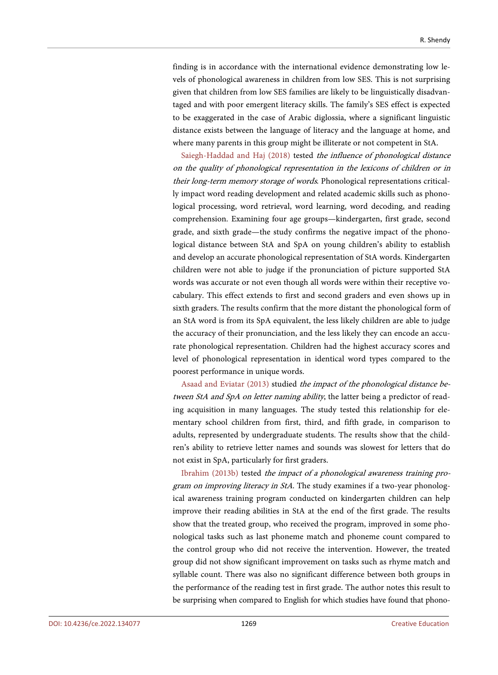finding is in accordance with the international evidence demonstrating low levels of phonological awareness in children from low SES. This is not surprising given that children from low SES families are likely to be linguistically disadvantaged and with poor emergent literacy skills. The family's SES effect is expected to be exaggerated in the case of Arabic diglossia, where a significant linguistic distance exists between the language of literacy and the language at home, and where many parents in this group might be illiterate or not competent in StA.

[Saiegh-Haddad and](#page-51-7) Haj (2018) tested the influence of phonological distance on the quality of phonological representation in the lexicons of children or in their long-term memory storage of words. Phonological representations critically impact word reading development and related academic skills such as phonological processing, word retrieval, word learning, word decoding, and reading comprehension. Examining four age groups—kindergarten, first grade, second grade, and sixth grade—the study confirms the negative impact of the phonological distance between StA and SpA on young children's ability to establish and develop an accurate phonological representation of StA words. Kindergarten children were not able to judge if the pronunciation of picture supported StA words was accurate or not even though all words were within their receptive vocabulary. This effect extends to first and second graders and even shows up in sixth graders. The results confirm that the more distant the phonological form of an StA word is from its SpA equivalent, the less likely children are able to judge the accuracy of their pronunciation, and the less likely they can encode an accurate phonological representation. Children had the highest accuracy scores and level of phonological representation in identical word types compared to the poorest performance in unique words.

Asaad and [Eviatar \(2013\)](#page-47-7) studied the impact of the phonological distance between StA and SpA on letter naming ability, the latter being a predictor of reading acquisition in many languages. The study tested this relationship for elementary school children from first, third, and fifth grade, in comparison to adults, represented by undergraduate students. The results show that the children's ability to retrieve letter names and sounds was slowest for letters that do not exist in SpA, particularly for first graders.

[Ibrahim \(2013b\)](#page-49-8) tested the impact of a phonological awareness training program on improving literacy in StA. The study examines if a two-year phonological awareness training program conducted on kindergarten children can help improve their reading abilities in StA at the end of the first grade. The results show that the treated group, who received the program, improved in some phonological tasks such as last phoneme match and phoneme count compared to the control group who did not receive the intervention. However, the treated group did not show significant improvement on tasks such as rhyme match and syllable count. There was also no significant difference between both groups in the performance of the reading test in first grade. The author notes this result to be surprising when compared to English for which studies have found that phono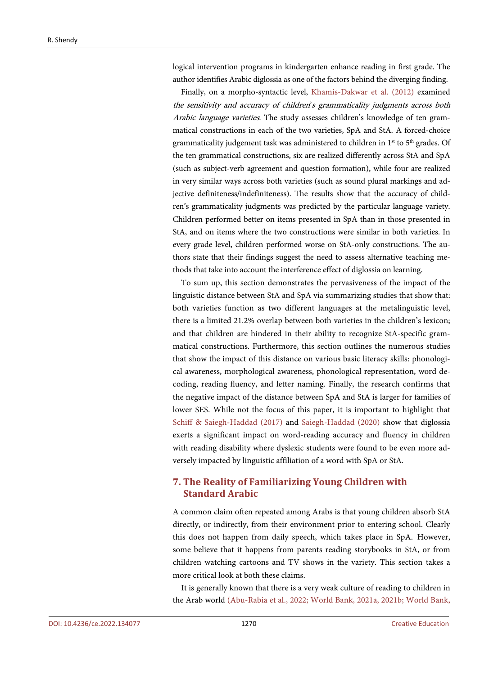logical intervention programs in kindergarten enhance reading in first grade. The author identifies Arabic diglossia as one of the factors behind the diverging finding.

Finally, on a morpho-syntactic level, [Khamis-Dakwar et al. \(2012\)](#page-49-10) examined the sensitivity and accuracy of children's grammaticality judgments across both Arabic language varieties. The study assesses children's knowledge of ten grammatical constructions in each of the two varieties, SpA and StA. A forced-choice grammaticality judgement task was administered to children in 1<sup>st</sup> to 5<sup>th</sup> grades. Of the ten grammatical constructions, six are realized differently across StA and SpA (such as subject-verb agreement and question formation), while four are realized in very similar ways across both varieties (such as sound plural markings and adjective definiteness/indefiniteness). The results show that the accuracy of children's grammaticality judgments was predicted by the particular language variety. Children performed better on items presented in SpA than in those presented in StA, and on items where the two constructions were similar in both varieties. In every grade level, children performed worse on StA-only constructions. The authors state that their findings suggest the need to assess alternative teaching methods that take into account the interference effect of diglossia on learning.

To sum up, this section demonstrates the pervasiveness of the impact of the linguistic distance between StA and SpA via summarizing studies that show that: both varieties function as two different languages at the metalinguistic level, there is a limited 21.2% overlap between both varieties in the children's lexicon; and that children are hindered in their ability to recognize StA-specific grammatical constructions. Furthermore, this section outlines the numerous studies that show the impact of this distance on various basic literacy skills: phonological awareness, morphological awareness, phonological representation, word decoding, reading fluency, and letter naming. Finally, the research confirms that the negative impact of the distance between SpA and StA is larger for families of lower SES. While not the focus of this paper, it is important to highlight that [Schiff & Saiegh-Haddad](#page-52-8) (2017) and [Saiegh-Haddad \(2020\)](#page-51-8) show that diglossia exerts a significant impact on word-reading accuracy and fluency in children with reading disability where dyslexic students were found to be even more adversely impacted by linguistic affiliation of a word with SpA or StA.

# **7. The Reality of Familiarizing Young Children with Standard Arabic**

A common claim often repeated among Arabs is that young children absorb StA directly, or indirectly, from their environment prior to entering school. Clearly this does not happen from daily speech, which takes place in SpA. However, some believe that it happens from parents reading storybooks in StA, or from children watching cartoons and TV shows in the variety. This section takes a more critical look at both these claims.

It is generally known that there is a very weak culture of reading to children in the Arab world [\(Abu-Rabia et al.,](#page-47-0) 2022; [World Bank,](#page-54-1) 2021a, [2021b;](#page-54-2) [World Bank,](#page-54-0)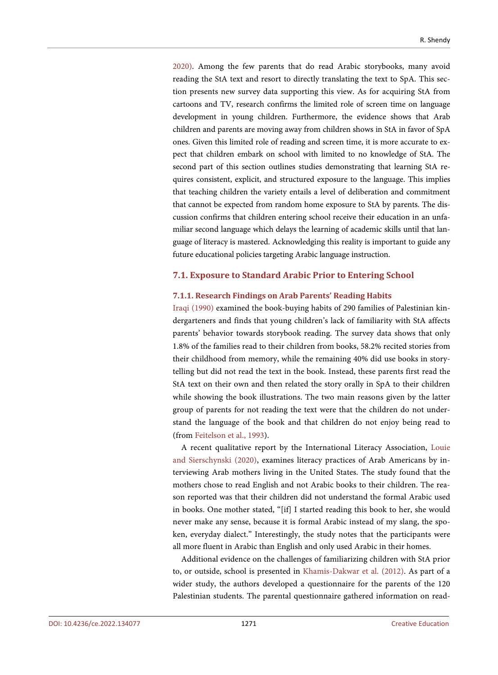2020). Among the few parents that do read Arabic storybooks, many avoid reading the StA text and resort to directly translating the text to SpA. This section presents new survey data supporting this view. As for acquiring StA from cartoons and TV, research confirms the limited role of screen time on language development in young children. Furthermore, the evidence shows that Arab children and parents are moving away from children shows in StA in favor of SpA ones. Given this limited role of reading and screen time, it is more accurate to expect that children embark on school with limited to no knowledge of StA. The second part of this section outlines studies demonstrating that learning StA requires consistent, explicit, and structured exposure to the language. This implies that teaching children the variety entails a level of deliberation and commitment that cannot be expected from random home exposure to StA by parents. The discussion confirms that children entering school receive their education in an unfamiliar second language which delays the learning of academic skills until that language of literacy is mastered. Acknowledging this reality is important to guide any future educational policies targeting Arabic language instruction.

#### **7.1. Exposure to Standard Arabic Prior to Entering School**

#### **7.1.1. Research Findings on Arab Parents' Reading Habits**

[Iraqi \(1990\)](#page-49-11) examined the book-buying habits of 290 families of Palestinian kindergarteners and finds that young children's lack of familiarity with StA affects parents' behavior towards storybook reading. The survey data shows that only 1.8% of the families read to their children from books, 58.2% recited stories from their childhood from memory, while the remaining 40% did use books in storytelling but did not read the text in the book. Instead, these parents first read the StA text on their own and then related the story orally in SpA to their children while showing the book illustrations. The two main reasons given by the latter group of parents for not reading the text were that the children do not understand the language of the book and that children do not enjoy being read to (from [Feitelson et al., 1993\)](#page-48-10).

A recent qualitative report by the International Literacy Association, [Louie](#page-50-5)  and [Sierschynski \(2020\),](#page-50-5) examines literacy practices of Arab Americans by interviewing Arab mothers living in the United States. The study found that the mothers chose to read English and not Arabic books to their children. The reason reported was that their children did not understand the formal Arabic used in books. One mother stated, "[if] I started reading this book to her, she would never make any sense, because it is formal Arabic instead of my slang, the spoken, everyday dialect." Interestingly, the study notes that the participants were all more fluent in Arabic than English and only used Arabic in their homes.

Additional evidence on the challenges of familiarizing children with StA prior to, or outside, school is presented in [Khamis-Dakwar et al. \(2012\).](#page-49-10) As part of a wider study, the authors developed a questionnaire for the parents of the 120 Palestinian students. The parental questionnaire gathered information on read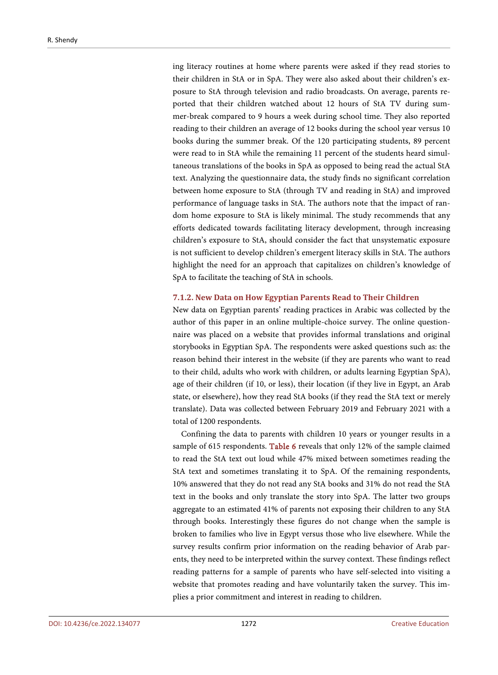ing literacy routines at home where parents were asked if they read stories to their children in StA or in SpA. They were also asked about their children's exposure to StA through television and radio broadcasts. On average, parents reported that their children watched about 12 hours of StA TV during summer-break compared to 9 hours a week during school time. They also reported reading to their children an average of 12 books during the school year versus 10 books during the summer break. Of the 120 participating students, 89 percent were read to in StA while the remaining 11 percent of the students heard simultaneous translations of the books in SpA as opposed to being read the actual StA text. Analyzing the questionnaire data, the study finds no significant correlation between home exposure to StA (through TV and reading in StA) and improved performance of language tasks in StA. The authors note that the impact of random home exposure to StA is likely minimal. The study recommends that any efforts dedicated towards facilitating literacy development, through increasing children's exposure to StA, should consider the fact that unsystematic exposure is not sufficient to develop children's emergent literacy skills in StA. The authors highlight the need for an approach that capitalizes on children's knowledge of SpA to facilitate the teaching of StA in schools.

#### **7.1.2. New Data on How Egyptian Parents Read to Their Children**

New data on Egyptian parents' reading practices in Arabic was collected by the author of this paper in an online multiple-choice survey. The online questionnaire was placed on a website that provides informal translations and original storybooks in Egyptian SpA. The respondents were asked questions such as: the reason behind their interest in the website (if they are parents who want to read to their child, adults who work with children, or adults learning Egyptian SpA), age of their children (if 10, or less), their location (if they live in Egypt, an Arab state, or elsewhere), how they read StA books (if they read the StA text or merely translate). Data was collected between February 2019 and February 2021 with a total of 1200 respondents.

Confining the data to parents with children 10 years or younger results in a sample of 615 respondents. [Table 6](#page-26-0) reveals that only 12% of the sample claimed to read the StA text out loud while 47% mixed between sometimes reading the StA text and sometimes translating it to SpA. Of the remaining respondents, 10% answered that they do not read any StA books and 31% do not read the StA text in the books and only translate the story into SpA. The latter two groups aggregate to an estimated 41% of parents not exposing their children to any StA through books. Interestingly these figures do not change when the sample is broken to families who live in Egypt versus those who live elsewhere. While the survey results confirm prior information on the reading behavior of Arab parents, they need to be interpreted within the survey context. These findings reflect reading patterns for a sample of parents who have self-selected into visiting a website that promotes reading and have voluntarily taken the survey. This implies a prior commitment and interest in reading to children.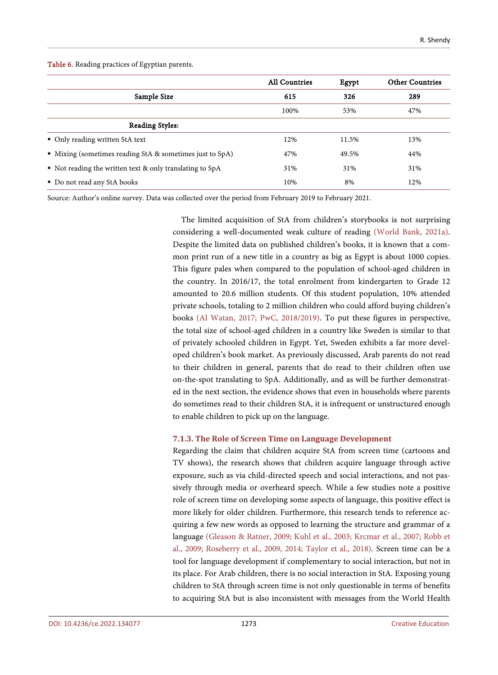<span id="page-26-0"></span>Table 6. Reading practices of Egyptian parents.

|                                                                       | <b>All Countries</b> | Egypt | <b>Other Countries</b> |
|-----------------------------------------------------------------------|----------------------|-------|------------------------|
| Sample Size                                                           | 615                  | 326   | 289                    |
|                                                                       | 100%                 | 53%   | 47%                    |
| <b>Reading Styles:</b>                                                |                      |       |                        |
| • Only reading written StA text                                       | 12%                  | 11.5% | 13%                    |
| $\blacksquare$ Mixing (sometimes reading StA & sometimes just to SpA) | 47%                  | 49.5% | 44%                    |
| Not reading the written text $\&$ only translating to SpA             | 31%                  | 31%   | 31%                    |
| • Do not read any StA books                                           | 10%                  | 8%    | 12%                    |

Source: Author's online survey. Data was collected over the period from February 2019 to February 2021.

The limited acquisition of StA from children's storybooks is not surprising considering a well-documented weak culture of reading [\(World Bank,](#page-54-1) 2021a). Despite the limited data on published children's books, it is known that a common print run of a new title in a country as big as Egypt is about 1000 copies. This figure pales when compared to the population of school-aged children in the country. In 2016/17, the total enrolment from kindergarten to Grade 12 amounted to 20.6 million students. Of this student population, 10% attended private schools, totaling to 2 million children who could afford buying children's books [\(Al Watan, 2017;](#page-47-10) [PwC, 2018/2019\).](#page-51-9) To put these figures in perspective, the total size of school-aged children in a country like Sweden is similar to that of privately schooled children in Egypt. Yet, Sweden exhibits a far more developed children's book market. As previously discussed, Arab parents do not read to their children in general, parents that do read to their children often use on-the-spot translating to SpA. Additionally, and as will be further demonstrated in the next section, the evidence shows that even in households where parents do sometimes read to their children StA, it is infrequent or unstructured enough to enable children to pick up on the language.

# **7.1.3. The Role of Screen Time on Language Development**

Regarding the claim that children acquire StA from screen time (cartoons and TV shows), the research shows that children acquire language through active exposure, such as via child-directed speech and social interactions, and not passively through media or overheard speech. While a few studies note a positive role of screen time on developing some aspects of language, this positive effect is more likely for older children. Furthermore, this research tends to reference acquiring a few new words as opposed to learning the structure and grammar of a language [\(Gleason & Ratner, 2009;](#page-48-11) [Kuhl et al., 2003;](#page-49-12) [Krcmar et al., 2007;](#page-49-13) [Robb et](#page-51-10)  [al., 2009;](#page-51-10) [Roseberry et al., 2009,](#page-51-11) [2014;](#page-51-12) [Taylor et al., 2018\).](#page-53-4) Screen time can be a tool for language development if complementary to social interaction, but not in its place. For Arab children, there is no social interaction in StA. Exposing young children to StA through screen time is not only questionable in terms of benefits to acquiring StA but is also inconsistent with messages from the World Health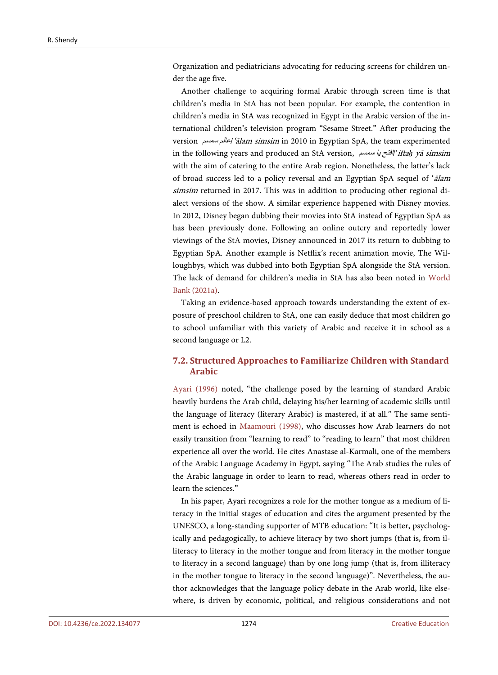Organization and pediatricians advocating for reducing screens for children under the age five.

Another challenge to acquiring formal Arabic through screen time is that children's media in StA has not been popular. For example, the contention in children's media in StA was recognized in Egypt in the Arabic version of the international children's television program "Sesame Street." After producing the version سمسم عالم/'ālam simsim in 2010 in Egyptian SpA, the team experimented in the following years and produced an StA version, سمسم یا افتح/'ifta*ḥ* yā simsim with the aim of catering to the entire Arab region. Nonetheless, the latter's lack of broad success led to a policy reversal and an Egyptian SpA sequel of 'ālam simsim returned in 2017. This was in addition to producing other regional dialect versions of the show. A similar experience happened with Disney movies. In 2012, Disney began dubbing their movies into StA instead of Egyptian SpA as has been previously done. Following an online outcry and reportedly lower viewings of the StA movies, Disney announced in 2017 its return to dubbing to Egyptian SpA. Another example is Netflix's recent animation movie, The Willoughbys, which was dubbed into both Egyptian SpA alongside the StA version. The lack of demand for children's media in StA has also been noted in [World](#page-54-1)  [Bank \(2021a\).](#page-54-1)

Taking an evidence-based approach towards understanding the extent of exposure of preschool children to StA, one can easily deduce that most children go to school unfamiliar with this variety of Arabic and receive it in school as a second language or L2.

# **7.2. Structured Approaches to Familiarize Children with Standard Arabic**

[Ayari \(1996\)](#page-47-1) noted, "the challenge posed by the learning of standard Arabic heavily burdens the Arab child, delaying his/her learning of academic skills until the language of literacy (literary Arabic) is mastered, if at all." The same sentiment is echoed in [Maamouri \(1998\),](#page-50-1) who discusses how Arab learners do not easily transition from "learning to read" to "reading to learn" that most children experience all over the world. He cites Anastase al-Karmali, one of the members of the Arabic Language Academy in Egypt, saying "The Arab studies the rules of the Arabic language in order to learn to read, whereas others read in order to learn the sciences."

In his paper, Ayari recognizes a role for the mother tongue as a medium of literacy in the initial stages of education and cites the argument presented by the UNESCO, a long-standing supporter of MTB education: "It is better, psychologically and pedagogically, to achieve literacy by two short jumps (that is, from illiteracy to literacy in the mother tongue and from literacy in the mother tongue to literacy in a second language) than by one long jump (that is, from illiteracy in the mother tongue to literacy in the second language)". Nevertheless, the author acknowledges that the language policy debate in the Arab world, like elsewhere, is driven by economic, political, and religious considerations and not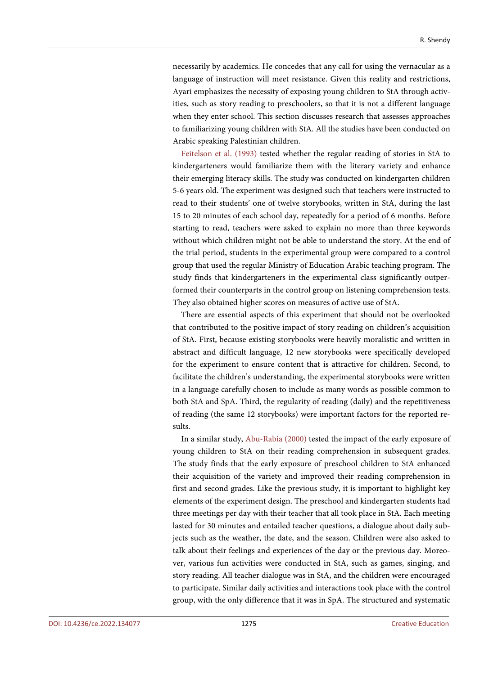necessarily by academics. He concedes that any call for using the vernacular as a language of instruction will meet resistance. Given this reality and restrictions, Ayari emphasizes the necessity of exposing young children to StA through activities, such as story reading to preschoolers, so that it is not a different language when they enter school. This section discusses research that assesses approaches to familiarizing young children with StA. All the studies have been conducted on Arabic speaking Palestinian children.

[Feitelson et al. \(1993\)](#page-48-10) tested whether the regular reading of stories in StA to kindergarteners would familiarize them with the literary variety and enhance their emerging literacy skills. The study was conducted on kindergarten children 5-6 years old. The experiment was designed such that teachers were instructed to read to their students' one of twelve storybooks, written in StA, during the last 15 to 20 minutes of each school day, repeatedly for a period of 6 months. Before starting to read, teachers were asked to explain no more than three keywords without which children might not be able to understand the story. At the end of the trial period, students in the experimental group were compared to a control group that used the regular Ministry of Education Arabic teaching program. The study finds that kindergarteners in the experimental class significantly outperformed their counterparts in the control group on listening comprehension tests. They also obtained higher scores on measures of active use of StA.

There are essential aspects of this experiment that should not be overlooked that contributed to the positive impact of story reading on children's acquisition of StA. First, because existing storybooks were heavily moralistic and written in abstract and difficult language, 12 new storybooks were specifically developed for the experiment to ensure content that is attractive for children. Second, to facilitate the children's understanding, the experimental storybooks were written in a language carefully chosen to include as many words as possible common to both StA and SpA. Third, the regularity of reading (daily) and the repetitiveness of reading (the same 12 storybooks) were important factors for the reported results.

In a similar study, [Abu-Rabia \(2000\)](#page-46-3) tested the impact of the early exposure of young children to StA on their reading comprehension in subsequent grades. The study finds that the early exposure of preschool children to StA enhanced their acquisition of the variety and improved their reading comprehension in first and second grades. Like the previous study, it is important to highlight key elements of the experiment design. The preschool and kindergarten students had three meetings per day with their teacher that all took place in StA. Each meeting lasted for 30 minutes and entailed teacher questions, a dialogue about daily subjects such as the weather, the date, and the season. Children were also asked to talk about their feelings and experiences of the day or the previous day. Moreover, various fun activities were conducted in StA, such as games, singing, and story reading. All teacher dialogue was in StA, and the children were encouraged to participate. Similar daily activities and interactions took place with the control group, with the only difference that it was in SpA. The structured and systematic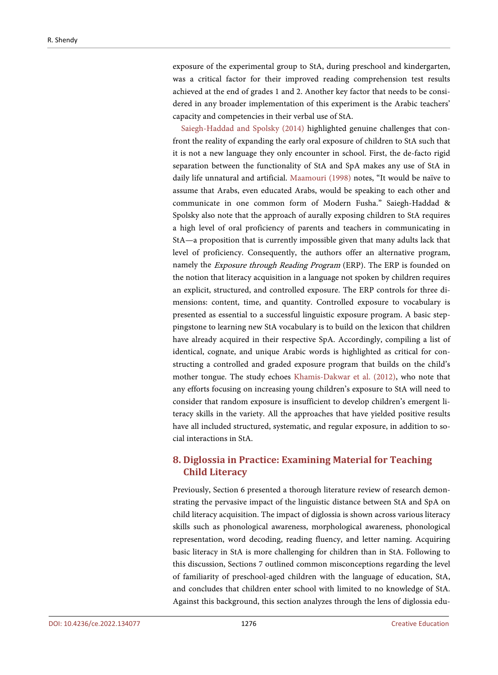exposure of the experimental group to StA, during preschool and kindergarten, was a critical factor for their improved reading comprehension test results achieved at the end of grades 1 and 2. Another key factor that needs to be considered in any broader implementation of this experiment is the Arabic teachers' capacity and competencies in their verbal use of StA.

[Saiegh-Haddad and](#page-52-1) Spolsky (2014) highlighted genuine challenges that confront the reality of expanding the early oral exposure of children to StA such that it is not a new language they only encounter in school. First, the de-facto rigid separation between the functionality of StA and SpA makes any use of StA in daily life unnatural and artificial. [Maamouri \(1998\)](#page-50-1) notes, "It would be naïve to assume that Arabs, even educated Arabs, would be speaking to each other and communicate in one common form of Modern Fusha." Saiegh-Haddad & Spolsky also note that the approach of aurally exposing children to StA requires a high level of oral proficiency of parents and teachers in communicating in StA—a proposition that is currently impossible given that many adults lack that level of proficiency. Consequently, the authors offer an alternative program, namely the Exposure through Reading Program (ERP). The ERP is founded on the notion that literacy acquisition in a language not spoken by children requires an explicit, structured, and controlled exposure. The ERP controls for three dimensions: content, time, and quantity. Controlled exposure to vocabulary is presented as essential to a successful linguistic exposure program. A basic steppingstone to learning new StA vocabulary is to build on the lexicon that children have already acquired in their respective SpA. Accordingly, compiling a list of identical, cognate, and unique Arabic words is highlighted as critical for constructing a controlled and graded exposure program that builds on the child's mother tongue. The study echoes [Khamis-Dakwar et al. \(2012\),](#page-49-10) who note that any efforts focusing on increasing young children's exposure to StA will need to consider that random exposure is insufficient to develop children's emergent literacy skills in the variety. All the approaches that have yielded positive results have all included structured, systematic, and regular exposure, in addition to social interactions in StA.

# **8. Diglossia in Practice: Examining Material for Teaching Child Literacy**

Previously, Section 6 presented a thorough literature review of research demonstrating the pervasive impact of the linguistic distance between StA and SpA on child literacy acquisition. The impact of diglossia is shown across various literacy skills such as phonological awareness, morphological awareness, phonological representation, word decoding, reading fluency, and letter naming. Acquiring basic literacy in StA is more challenging for children than in StA. Following to this discussion, Sections 7 outlined common misconceptions regarding the level of familiarity of preschool-aged children with the language of education, StA, and concludes that children enter school with limited to no knowledge of StA. Against this background, this section analyzes through the lens of diglossia edu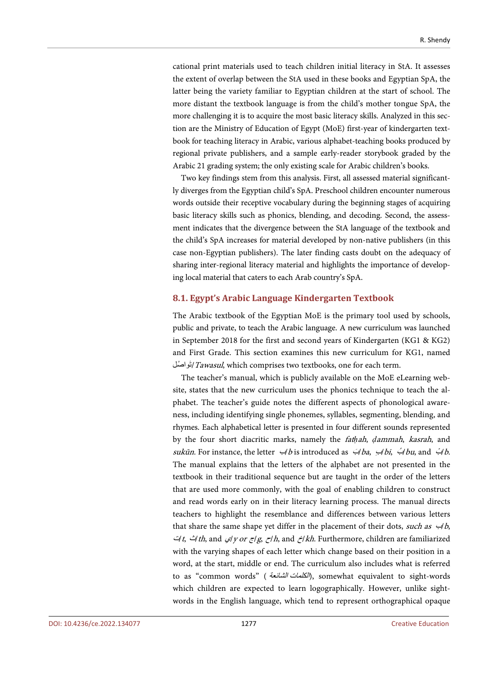cational print materials used to teach children initial literacy in StA. It assesses the extent of overlap between the StA used in these books and Egyptian SpA, the latter being the variety familiar to Egyptian children at the start of school. The more distant the textbook language is from the child's mother tongue SpA, the more challenging it is to acquire the most basic literacy skills. Analyzed in this section are the Ministry of Education of Egypt (MoE) first-year of kindergarten textbook for teaching literacy in Arabic, various alphabet-teaching books produced by regional private publishers, and a sample early-reader storybook graded by the Arabic 21 grading system; the only existing scale for Arabic children's books.

Two key findings stem from this analysis. First, all assessed material significantly diverges from the Egyptian child's SpA. Preschool children encounter numerous words outside their receptive vocabulary during the beginning stages of acquiring basic literacy skills such as phonics, blending, and decoding. Second, the assessment indicates that the divergence between the StA language of the textbook and the child's SpA increases for material developed by non-native publishers (in this case non-Egyptian publishers). The later finding casts doubt on the adequacy of sharing inter-regional literacy material and highlights the importance of developing local material that caters to each Arab country's SpA.

# **8.1. Egypt's Arabic Language Kindergarten Textbook**

The Arabic textbook of the Egyptian MoE is the primary tool used by schools, public and private, to teach the Arabic language. A new curriculum was launched in September 2018 for the first and second years of Kindergarten (KG1 & KG2) and First Grade. This section examines this new curriculum for KG1, named تُواصُلُ(*Tawasul*, which comprises two textbooks, one for each term.

The teacher's manual, which is publicly available on the MoE eLearning website, states that the new curriculum uses the phonics technique to teach the alphabet. The teacher's guide notes the different aspects of phonological awareness, including identifying single phonemes, syllables, segmenting, blending, and rhymes. Each alphabetical letter is presented in four different sounds represented by the four short diacritic marks, namely the fat*ḥ*ah, *ḍ*ammah, kasrah, and sukūn. For instance, the letter  $\forall b$  is introduced as  $\forall ba$ ,  $\forall b$ i,  $\forall bu$ , and  $\forall b$ . The manual explains that the letters of the alphabet are not presented in the textbook in their traditional sequence but are taught in the order of the letters that are used more commonly, with the goal of enabling children to construct and read words early on in their literacy learning process. The manual directs teachers to highlight the resemblance and differences between various letters that share the same shape yet differ in the placement of their dots, such as  $\leftrightarrow$ b, ت/t,  $\Delta t$ th, and  $\gamma/\gamma$ or  $\zeta/\zeta$ , and  $\zeta/kh$ . Furthermore, children are familiarized with the varying shapes of each letter which change based on their position in a word, at the start, middle or end. The curriculum also includes what is referred to as "common words" (الكل*مات الشائعة)*, somewhat equivalent to sight-words which children are expected to learn logographically. However, unlike sightwords in the English language, which tend to represent orthographical opaque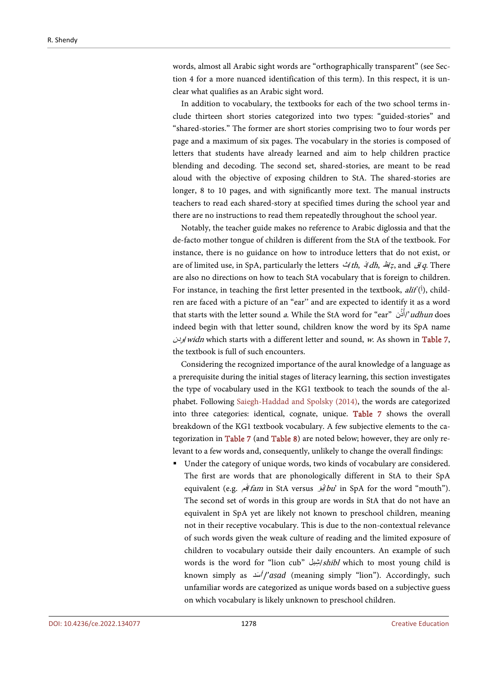words, almost all Arabic sight words are "orthographically transparent" (see Section 4 for a more nuanced identification of this term). In this respect, it is unclear what qualifies as an Arabic sight word.

In addition to vocabulary, the textbooks for each of the two school terms include thirteen short stories categorized into two types: "guided-stories" and "shared-stories." The former are short stories comprising two to four words per page and a maximum of six pages. The vocabulary in the stories is composed of letters that students have already learned and aim to help children practice blending and decoding. The second set, shared-stories, are meant to be read aloud with the objective of exposing children to StA. The shared-stories are longer, 8 to 10 pages, and with significantly more text. The manual instructs teachers to read each shared-story at specified times during the school year and there are no instructions to read them repeatedly throughout the school year.

Notably, the teacher guide makes no reference to Arabic diglossia and that the de-facto mother tongue of children is different from the StA of the textbook. For instance, there is no guidance on how to introduce letters that do not exist, or are of limited use, in SpA, particularly the letters ث/th, <sup>ذ</sup>/dh, <sup>ظ</sup>/*ẓ*, and ق/q. There are also no directions on how to teach StA vocabulary that is foreign to children. For instance, in teaching the first letter presented in the textbook,  $\text{diff}(\dot{\theta})$ , children are faced with a picture of an "ear'' and are expected to identify it as a word that starts with the letter sound a. While the StA word for "ear" أَنْ /'udhun does indeed begin with that letter sound, children know the word by its SpA name وِد*ن|widn* which starts with a different letter and sound, *w*. As shown in **Table 7,** the textbook is full of such encounters.

Considering the recognized importance of the aural knowledge of a language as a prerequisite during the initial stages of literacy learning, this section investigates the type of vocabulary used in the KG1 textbook to teach the sounds of the alphabet. Following [Saiegh-Haddad and](#page-52-1) Spolsky (2014), the words are categorized into three categories: identical, cognate, unique. [Table 7](#page-32-0) shows the overall breakdown of the KG1 textbook vocabulary. A few subjective elements to the categorization in [Table 7](#page-32-0) (and [Table 8\)](#page-35-0) are noted below; however, they are only relevant to a few words and, consequently, unlikely to change the overall findings:

 Under the category of unique words, two kinds of vocabulary are considered. The first are words that are phonologically different in StA to their SpA equivalent (e.g. فَبر fam in StA versus أَبُوُ) bu' in SpA for the word "mouth"). The second set of words in this group are words in StA that do not have an equivalent in SpA yet are likely not known to preschool children, meaning not in their receptive vocabulary. This is due to the non-contextual relevance of such words given the weak culture of reading and the limited exposure of children to vocabulary outside their daily encounters. An example of such words is the word for "lion cub" شبل /shibl which to most young child is known simply as  $\sqrt{2}$ /'asad (meaning simply "lion"). Accordingly, such unfamiliar words are categorized as unique words based on a subjective guess on which vocabulary is likely unknown to preschool children.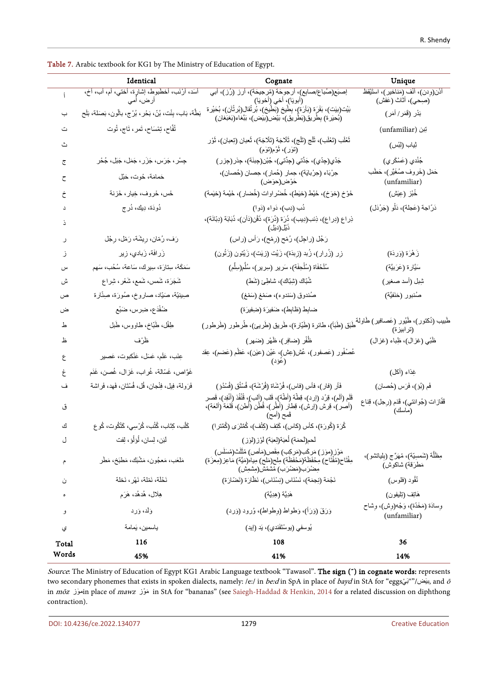|       | Identical                                                         | Cognate                                                                                                                                                                                   | Unique                                                          |
|-------|-------------------------------------------------------------------|-------------------------------------------------------------------------------------------------------------------------------------------------------------------------------------------|-----------------------------------------------------------------|
|       | أسَد، أرْنَب، أخطَّبوط، إشارٍة، أختي، أم، أب، أخ،<br>أر ض، أمي    | إصبَع(صُباع/صابِع)، أرجوحَة (مُرجيحَة)، أرز (رُز)، أبي<br>َ(أبويَا)،ِ أخي (ِأخويَا)                                                                                                       | أَذَن(وِدن)، أَنْف (مَناخير)، استَيْقظ<br>(صِحِي)، أَثاث (عَفش) |
| ب     | بَطَّة، بَاب، بِنْت، بُنّ، بَحْرٍ ، بُرْج، بالّون، بَصَلَة، بَلَح | بَيْت(بيت)، بَقَرَة (بَأَرَدَ)، بِطْيخ (بِّطْيُخ)، بُر ثَقَال(بُر ثُأن)، بُحَيْر ة<br>(بُحيرة) بِطْر يق(بَطْر يق)، بَيْض(بيّض)، بَيْعَاء(بَعْبَعَاء(بَعْبَعَان)                           | بَدْر (قَمَر/ أَمَر)                                            |
| ث     | تُفَّاح، تِمْسَاح، تَمر، تَاج، تُوت                               |                                                                                                                                                                                           | (unfamiliar) تِبْن                                              |
| ٹ     |                                                                   | تَعْلَب (تَعْلَب)، ثَلْج (تَلْج)، ثَلَاجَة (تَلَاجَة)، ثَعبان (تِعبان)، ثَوْر<br>(تَوَر)، ثُوْم(تَوَم)                                                                                    | ثِياب (لِبْس)                                                   |
| ج     | جِسْر، جَرَس، جَزَر، جَمَل، جَبَل، جُحْر                          | جَدّي(جِدّي)، جَدَّتي (جِدِّتي)، جُبْن(جِبنَة)، جِنْر (جِزر)                                                                                                                              | جُنْدي (عَسْكَر ي)                                              |
| ح     | حَمامَة، حُوت، حَبْل                                              | جِرْبَاء (حِرْبايَة)، حِمار (حُمار)، حِصان (حُصان)،<br>خَرْض(حرَّض)                                                                                                                       | حَمَل (خَروف صُغَيَّر)، حَطَب<br>(unfamiliar)                   |
| خ     | خَس، خَروف، خِيار، خَزنة                                          | خَوْخِ (خوَخِ)، خَيْط (خيْط)، خُضْراوات (خُضار)، خَيْمة (خيْمة)                                                                                                                           | خُبْز (عِيْش)                                                   |
|       | دُودَة، دِيك، دُر ج                                               | دُب (دِب)، دَواء (دَوا)                                                                                                                                                                   | دَرّاجة (عَجلة)، دَلْو (جَرْدَل)                                |
|       |                                                                   | نِراعِ (دِراعِ)، نِنْبِ(دِيبِ)، نُزِرَة (دُرَة)، ذَقْن(دَأن)، نُبَابَة (دِبّانَة)،<br>ذَبْل(دبٓل)                                                                                         |                                                                 |
| ر     | رَف، رُمّان، رِيشَة، رَمْل، رِجْل                                 | رَجُل (راجِل)، رُمْح (رِمْح)، رَأس (راس)                                                                                                                                                  |                                                                 |
| ز     | زَرافَة، زَبادي، زِير                                             | زِر (زُرار)، زُبد (زِبدَة)، زَيْت (زيّت)، زَيْتون (زَتُون)                                                                                                                                | زَ هُرَة (وَردَة)                                               |
| س     | سَمَكَة، سِتَارَة، سِيرِك، سَاعة، سُخُب، سَهم                     | سُلَحْفَاة (سُلْحِفَة)، سَرير (سِرير)، سُلَّم(سِلَّم)                                                                                                                                     | سَيَّار ة (عَرَبيَّة)                                           |
| ش     | شَجَرَة، شَمس، شَمع، شَعْر، شِراع                                 | شُبّاك (شِبّاك)، شاطِئ (شَط)                                                                                                                                                              | شِبل (أسد صغير)                                                 |
| ص     | صِينيّة، صَيّاد، صاروخ، صُورَة، صِنّارة                           | صُندوق (سَندوء)، صَمْغ (سَمْغ)                                                                                                                                                            | صُنبور (حَنَفيَّة)                                              |
| ض     | ضُفْدَع، ضِرِس، ضَبْع                                             | ضابِط (ظابِط)، ضَفيرَة (ضِفيرَة)                                                                                                                                                          |                                                                 |
| 上     | طِفْل، طَبّاخ، طاووس، طَبل                                        | طَبَق (طَبَأ)، طائرة (طَيّارة)، طَريق (طَريئ)، طُرطور (طَرطور)                                                                                                                            | طَبيب (دُكتور)، طُيُور (عَصافير) طَاولة<br>(ترابيزة)            |
| ظ     | ظَرْف                                                             | ظُفْر (ضافِر)، ظَهْر (ضَهر)                                                                                                                                                               | ظَنْبِي (غزال)، ظِباء (غزال)                                    |
| ع     | عِنَب، عَلَم، عَسَل، عَنْكبوت، عَصبير                             | عُصْفُور (عَصفور)، عُش(عِش)، عَيْن (عَيْن)، عَظْم (عَضم)، عِقد<br>(عَوُّد)                                                                                                                |                                                                 |
| غ     | غَوَّاص، غَسّالة، غُراب، غَزال، غُصن، غَذَم                       |                                                                                                                                                                                           | غِذاء (أكل)                                                     |
| ف     | فَرَولة، فِيل، فِنْجان، فُل، فُسْتَان، فَهد، فَراشة               | فَأَر (فار)، فأس (فاس)، فُرْشَاة (فُرْشَة)، فُسْتُق (فُسْدُوْ)                                                                                                                            | فَمِ (بُوْ )، فَرَس (حُصان)                                     |
| ق     |                                                                   | قَلَم (ألَم)، قِرْد (إرد)، قِطَة (أَطَة)، قَلب (ألب)، قُنْفُذ (أنْفِد)، قَصر<br>(أصر)، قِرش (إرش)، قِطارِ (أَطْرٍ)، قُطْن (أَطن)، قَلَعَة (أَلقة)،<br>قَمح (أمح)                          | قَفّازات (جُوانتي)، قَدَم (رِجل)، قِناع<br>(ماسك)               |
| ك     | كَلْب، كِتَاب، كُتُب، كُرْسِي، كَتْكُوت، كُو ع                    | كُرَة (كُورَة)، كأس (كاس)، كَتِف (كِتْف)، كُمَّتْرَى (كُمِّتْرا)                                                                                                                          |                                                                 |
| ل     | لَبَن، لِسان، لُوَلُوْ، لِفِت                                     | لَحم(لَحمَة) لُعبَة(لِعبَة) لَوْز (لوز)                                                                                                                                                   |                                                                 |
| م     | مَلْعَب، مَعجُون، مَشْبَك، مَطْبَخ، مَطَر                         | مَوْزِ (موٓز ) مَركَب(مَركِب) مِقَص(مَأص) مُثَلِّث(مُسَلِّس)<br>مِفْتَاحِ(مُفْتَاح) مِحْفَظَة(مَحْفَظَة) مِلْحِ(مَلْح) مِياه(مَيَّة) مَاعِز (مِعزَة)<br>مِضْرَب(مَضْرَب) مُشْمُش(مِشْمِش) | مِظَلَّة (شَمسِيَّة)، مُهَرِّج (بِلياتشو)،<br>مَطْرَقَة) شاكوش) |
| ن     | نَخْلَة، نَمْلَة، نَهْرٍ ، نَخلة                                  | نَجْمَة (نِجمَة)، نَسْنَاس (نِسْنَاس)، نَظَّارَة (نَصْلَارَة)                                                                                                                             | نُقُود (فلوس)                                                   |
| ۰     | هِلَال، هُدهُد، هَرَم                                             | هَدِيَّة (هِدِيَّة)                                                                                                                                                                       | هَاتِف (تِلْيفون)                                               |
| و     | وَلَد، وَرد                                                       | وَرَقَ (وَرَأ)، وَطواط (وِطواط)، وُرود (وَرد)                                                                                                                                             | وِسادَة (مَخَدّة)، وَجْه(وش)، وشاح<br>(unfamiliar)              |
| ي     | ياسمين، يَمامة                                                    | يُوسفى (يوسْتَفَندي)، يَد (إيد)                                                                                                                                                           |                                                                 |
| Total | 116                                                               | 108                                                                                                                                                                                       | 36                                                              |
| Words | 45%                                                               | 41%                                                                                                                                                                                       | 14%                                                             |

<span id="page-32-0"></span>Table 7. Arabic textbook for KG1 by The Ministry of Education of Egypt.

Source: The Ministry of Education of Egypt KG1 Arabic Language textbook "Tawasol". The sign (\*) in cognate words: represents two secondary phonemes that exists in spoken dialects, namely: /e:/ in *be:d* in SpA in place of *bayd* in StA for "eggs in mōz موزٓ in place of mawz وزْمَ in StA for "bananas" (see [Saiegh-Haddad &](#page-52-0) Henkin, 2014 for a related discussion on diphthong contraction).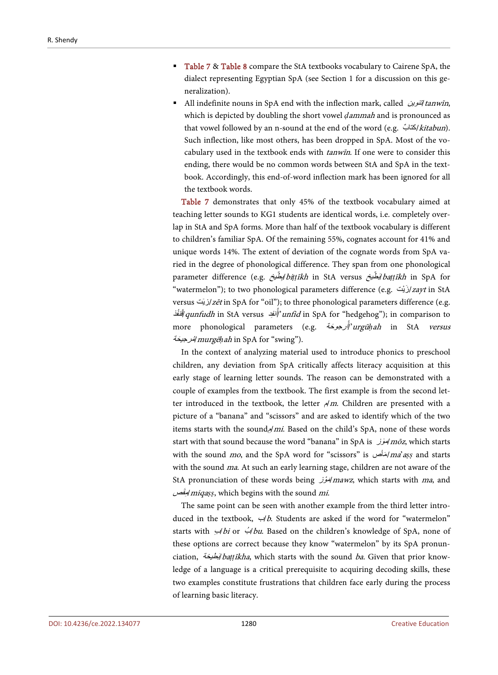- [Table 7](#page-32-0) & [Table 8](#page-35-0) compare the StA textbooks vocabulary to Cairene SpA, the dialect representing Egyptian SpA (see Section 1 for a discussion on this generalization).
- All indefinite nouns in SpA end with the inflection mark, called تنوین  $t$ anwīn, which is depicted by doubling the short vowel *ḍ*ammah and is pronounced as that vowel followed by an n-sound at the end of the word (e.g.  $\frac{\partial u}{\partial x}$ ). Such inflection, like most others, has been dropped in SpA. Most of the vocabulary used in the textbook ends with tanwīn. If one were to consider this ending, there would be no common words between StA and SpA in the textbook. Accordingly, this end-of-word inflection mark has been ignored for all the textbook words.

[Table 7](#page-32-0) demonstrates that only 45% of the textbook vocabulary aimed at teaching letter sounds to KG1 students are identical words, i.e. completely overlap in StA and SpA forms. More than half of the textbook vocabulary is different to children's familiar SpA. Of the remaining 55%, cognates account for 41% and unique words 14%. The extent of deviation of the cognate words from SpA varied in the degree of phonological difference. They span from one phonological parameter difference (e.g. اِبْطَيْخ biṭṭīkh in StA versus اِبْطَيْخ ) parameter difference (e.g. "watermelon"); to two phonological parameters difference (e.g. ارْبْت $z$ ayt in StA versus /زیّت /zēt in SpA for "oil"); to three phonological parameters difference (e.g. أُنفِد q*unfudh* in StA versus <sup>المُ</sup>نفِد q*unfudh* in StA versus أُنفِد an*fid* in SpA for "hedgehog"); in comparison to more phonological parameters (e.g. رجوحة َ ُ <sup>أ</sup>/'urgū*ḥ*ah in StA versus رجیحة َ مُ/murgē*ḥ*ah in SpA for "swing").

In the context of analyzing material used to introduce phonics to preschool children, any deviation from SpA critically affects literacy acquisition at this early stage of learning letter sounds. The reason can be demonstrated with a couple of examples from the textbook. The first example is from the second letter introduced in the textbook, the letter  $\frac{A}{m}$ . Children are presented with a picture of a "banana" and "scissors" and are asked to identify which of the two items starts with the sound $a/mi$ . Based on the child's SpA, none of these words start with that sound because the word "banana" in SpA is موز mōz, which starts with the sound mo, and the SpA word for "scissors" is مأصَ/ma'a*ṣṣ* and starts with the sound *ma*. At such an early learning stage, children are not aware of the StA pronunciation of these words being اتَموُّل mawz, which starts with ma, and َص مقِ/miqa*ṣṣ*, which begins with the sound mi.

The same point can be seen with another example from the third letter introduced in the textbook,  $\forall$ *b*. Students are asked if the word for "watermelon" starts with  $\frac{1}{2}$ bi or  $\frac{1}{2}$ bu. Based on the children's knowledge of SpA, none of these options are correct because they know "watermelon" by its SpA pronunciation, طیخةَ ب/ba*ṭṭ*īkha, which starts with the sound ba. Given that prior knowledge of a language is a critical prerequisite to acquiring decoding skills, these two examples constitute frustrations that children face early during the process of learning basic literacy.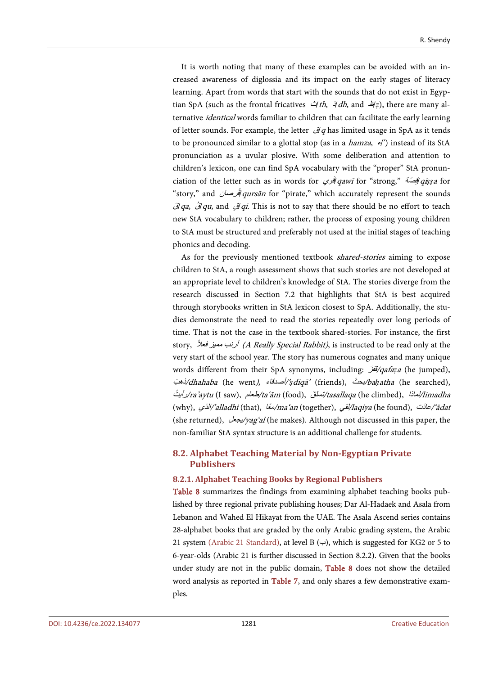It is worth noting that many of these examples can be avoided with an increased awareness of diglossia and its impact on the early stages of literacy learning. Apart from words that start with the sounds that do not exist in Egyptian SpA (such as the frontal fricatives *ث/th, 4dh*, and *ط/ẓ*), there are many alternative identical words familiar to children that can facilitate the early learning of letter sounds. For example, the letter  $\ddot{q}$  has limited usage in SpA as it tends to be pronounced similar to a glottal stop (as in a *hamza*,  $e$ ) instead of its StA pronunciation as a uvular plosive. With some deliberation and attention to children's lexicon, one can find SpA vocabulary with the "proper" StA pronunciation of the letter such as in words for ت*فوي qawī* for "strong," اقِصَة g*i*ș*sa* for "story," and أ*قرصان qursān* for "pirate," which accurately represent the sounds قَ *qa, قَالَ qu*, and  $\phi$ *i qi*. This is not to say that there should be no effort to teach new StA vocabulary to children; rather, the process of exposing young children to StA must be structured and preferably not used at the initial stages of teaching phonics and decoding.

As for the previously mentioned textbook shared-stories aiming to expose children to StA, a rough assessment shows that such stories are not developed at an appropriate level to children's knowledge of StA. The stories diverge from the research discussed in Section 7.2 that highlights that StA is best acquired through storybooks written in StA lexicon closest to SpA. Additionally, the studies demonstrate the need to read the stories repeatedly over long periods of time. That is not the case in the textbook shared-stories. For instance, the first story, *أرنب مميز فعلأ (A Really Special Rabbit)*, is instructed to be read only at the very start of the school year. The story has numerous cognates and many unique words different from their SpA synonyms, including: قفز َ /qafa*ẓ*<sup>a</sup> (he jumped), ذھب َ /dhahaba (he went), أصدقاء/'*ṣ*diqā' (friends), بحث َ /ba*ḥ*atha (he searched), رأیت ُ /ra'aytu (I saw), طعام/ta'ām (food), تسلق َ /tasallaqa (he climbed), لماذا/limadha (why), الذي/'alladhi (that), معاً /ma'an (together), لقي/laqiya (he found), عادتَ /'ādat (she returned), یجعل/yag'al (he makes). Although not discussed in this paper, the non-familiar StA syntax structure is an additional challenge for students.

# **8.2. Alphabet Teaching Material by Non-Egyptian Private Publishers**

#### **8.2.1. Alphabet Teaching Books by Regional Publishers**

[Table 8](#page-35-0) summarizes the findings from examining alphabet teaching books published by three regional private publishing houses; Dar Al-Hadaek and Asala from Lebanon and Wahed El Hikayat from the UAE. The Asala Ascend series contains 28-alphabet books that are graded by the only Arabic grading system, the Arabic 21 system [\(Arabic 21 Standard\),](#page-47-11) at level B  $(\rightarrow)$ , which is suggested for KG2 or 5 to 6-year-olds (Arabic 21 is further discussed in Section 8.2.2). Given that the books under study are not in the public domain, [Table 8](#page-35-0) does not show the detailed word analysis as reported in [Table 7,](#page-32-0) and only shares a few demonstrative examples.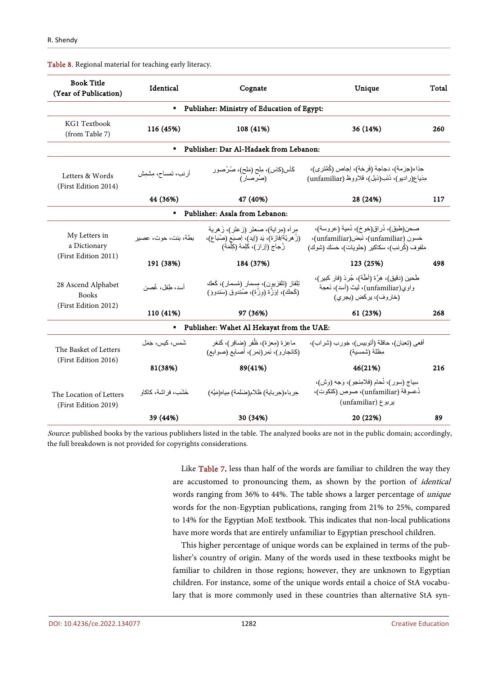| <b>Book Title</b><br>Identical<br>Cognate<br>(Year of Publication) |                      |                                                                                                                                 | Unique                                                                                                                          | Total |  |  |  |  |
|--------------------------------------------------------------------|----------------------|---------------------------------------------------------------------------------------------------------------------------------|---------------------------------------------------------------------------------------------------------------------------------|-------|--|--|--|--|
| Publisher: Ministry of Education of Egypt:<br>٠                    |                      |                                                                                                                                 |                                                                                                                                 |       |  |  |  |  |
| KG1 Textbook<br>(from Table 7)                                     | 116 (45%)            | 108 (41%)                                                                                                                       | 36 (14%)                                                                                                                        | 260   |  |  |  |  |
|                                                                    | $\blacksquare$       | Publisher: Dar Al-Hadaek from Lebanon:                                                                                          |                                                                                                                                 |       |  |  |  |  |
| Letters & Words<br>(First Edition 2014)                            | أرنب، تمساح، مِشْمِش | گأس(کاس)، مِلح (مَلح)، صُرْصـور<br>(صُرصـار)                                                                                    | جذاء(جزمة)، دجاجة (فَرخة)، إجاص (كُمِّترى)،<br>مِذياع(راديو)، ذَنَب(ذيل)، قلاووظ (unfamiliar)                                   |       |  |  |  |  |
|                                                                    | 44 (36%)             | 47 (40%)                                                                                                                        | 28 (24%)                                                                                                                        | 117   |  |  |  |  |
|                                                                    | ٠                    | Publisher: Asala from Lebanon:                                                                                                  |                                                                                                                                 |       |  |  |  |  |
| My Letters in<br>a Dictionary                                      | بطة، بنت، حوت، عصير  | مر أه (مر اية)، صَعْثَر (زَ عِثَر )، زَ هر ية<br>(زُ هريّة/فازة)، يَد (إيد)، إصبَع (صُباع)،<br>زُجاج (إزاز )، كَلِمَة (كِلْمَة) | صحن(طبق)، دُراق(خوخ)، دُمية (عروسة)،<br>حَسون (unfamiliar)، نَبض(unfamiliar)،<br>مَلفوف (كُرنب)، سَكاكير (حلويات)، حَسَكَ (شوك) |       |  |  |  |  |
| (First Edition 2011)                                               | 191 (38%)            | 184 (37%)                                                                                                                       | 123 (25%)                                                                                                                       | 498   |  |  |  |  |
| 28 Ascend Alphabet<br><b>Books</b>                                 | أسد، طِفل، غُصن      | نِلْفَاز (تَلْفَزْيُون)، مِسْمَار (مُسْمَار)، كَعْكَ<br>(كَحكَ)، إِوَزْة (وزْة)، صُندوق (سَندووْ)                               | طَحين (دقيق)، هِرَّة (أطِّة)، جُرِ ذ(فار كبير)،<br>واوي(unfamiliar)، ليث (أسد)، نَعجة<br>(خار وف)، پر کض (پجر ی)                |       |  |  |  |  |
| (First Edition 2012)                                               | 110 (41%)            | 97 (36%)                                                                                                                        | 61 (23%)                                                                                                                        | 268   |  |  |  |  |
|                                                                    | ٠                    | Publisher: Wahet Al Hekayat from the UAE:                                                                                       |                                                                                                                                 |       |  |  |  |  |
| The Basket of Letters                                              | شَمس، كيس، جَمَل     | ماعزة (معزة)، ظُفر (ضافر )، گُنغر<br>(كانجارو)، نَمر(نِمر)، أصابع (صوابع)                                                       | أفعي (تعبان)، حافلة (أتوبيس)، جَورب (شراب)،<br>مِظلة (شمسية)                                                                    |       |  |  |  |  |
| (First Edition 2016)                                               | 81(38%)              | 89(41%)                                                                                                                         | 46(21%)                                                                                                                         | 216   |  |  |  |  |
| The Location of Letters<br>(First Edition 2019)                    | خَشَب، فر اشة، كاكاو | حِرباء(حِرباية) ظلام(ضَلمة) مِياه(مَيَّه)                                                                                       | سِياج (سور)، نُحام (فلامِنجو)، وَجه (وش)،<br>دُعسوقة (unfamiliar)، صوص (كتكوت)،<br>بربوع (unfamiliar)                           |       |  |  |  |  |
|                                                                    | 39 (44%)             | 30 (34%)                                                                                                                        | 20 (22%)                                                                                                                        | 89    |  |  |  |  |

<span id="page-35-0"></span>Table 8. Regional material for teaching early literacy.

Source: published books by the various publishers listed in the table. The analyzed books are not in the public domain; accordingly, the full breakdown is not provided for copyrights considerations.

> Like [Table 7,](#page-32-0) less than half of the words are familiar to children the way they are accustomed to pronouncing them, as shown by the portion of identical words ranging from 36% to 44%. The table shows a larger percentage of unique words for the non-Egyptian publications, ranging from 21% to 25%, compared to 14% for the Egyptian MoE textbook. This indicates that non-local publications have more words that are entirely unfamiliar to Egyptian preschool children.

> This higher percentage of unique words can be explained in terms of the publisher's country of origin. Many of the words used in these textbooks might be familiar to children in those regions; however, they are unknown to Egyptian children. For instance, some of the unique words entail a choice of StA vocabulary that is more commonly used in these countries than alternative StA syn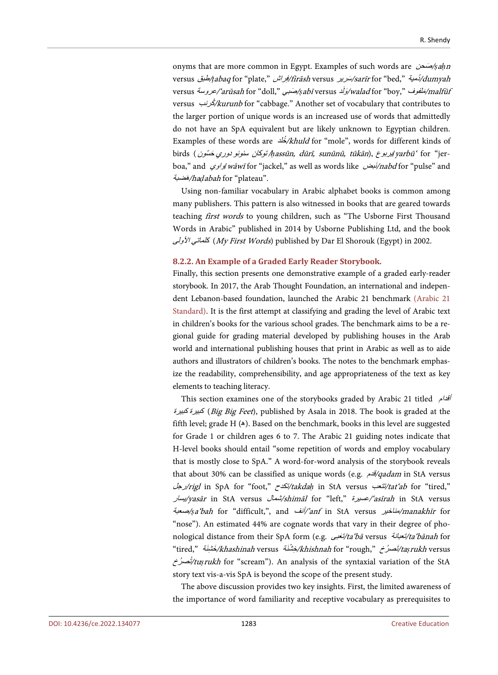onyms that are more common in Egypt. Examples of such words are صحنَ /*ṣ*a*ḥ*<sup>n</sup> versus طبق/*ṭ*abaq for "plate," راشِ <sup>ف</sup>/firāsh versus سریرَ /sarīr for "bed," دمیةُ/dumyah versus *عَلَفوف "walad* for "boy," عروسة/'*arūsah* for "doll," محروسة/w*alad* for "boy," دروسة/ versus كرنبُ /kurunb for "cabbage." Another set of vocabulary that contributes to the larger portion of unique words is an increased use of words that admittedly do not have an SpA equivalent but are likely unknown to Egyptian children. Examples of these words are  $\frac{1}{2}$ /khuld for "mole", words for different kinds of birds ( /*ḥ*assūn, dūrī, sunūnū, tūkān), یربوع/yarbū' for "jerboa," and *واوي wāwī* for "jackel," as well as words like *بأبخن(nabd* for "pulse" and َضبة <sup>ھ</sup>/ha*ḍ*abah for "plateau".

Using non-familiar vocabulary in Arabic alphabet books is common among many publishers. This pattern is also witnessed in books that are geared towards teaching first words to young children, such as "The Usborne First Thousand Words in Arabic" published in 2014 by Usborne Publishing Ltd, and the book كل*ماتي الأولى* (*My First Words*) published by Dar El Shorouk (Egypt) in 2002.

#### **8.2.2. An Example of a Graded Early Reader Storybook.**

Finally, this section presents one demonstrative example of a graded early-reader storybook. In 2017, the Arab Thought Foundation, an international and independent Lebanon-based foundation, launched the Arabic 21 benchmark [\(Arabic 21](#page-47-11)  [Standard\).](#page-47-11) It is the first attempt at classifying and grading the level of Arabic text in children's books for the various school grades. The benchmark aims to be a regional guide for grading material developed by publishing houses in the Arab world and international publishing houses that print in Arabic as well as to aide authors and illustrators of children's books. The notes to the benchmark emphasize the readability, comprehensibility, and age appropriateness of the text as key elements to teaching literacy.

This section examines one of the storybooks graded by Arabic 21 titled أقدام كبیرة كبیرة) Big Big Feet), published by Asala in 2018. The book is graded at the fifth level; grade H  $(A)$ . Based on the benchmark, books in this level are suggested for Grade 1 or children ages 6 to 7. The Arabic 21 guiding notes indicate that H-level books should entail "some repetition of words and employ vocabulary that is mostly close to SpA." A word-for-word analysis of the storybook reveals that about 30% can be classified as unique words (e.g. قدم/qadam in StA versus رجل/rigl in SpA for "foot," تكدح/takda*ḥ* in StA versus تتعب/tat'ab for "tired," یسار/yasār in StA versus شمال/shimāl for "left," عسیرة/'asīrah in StA versus صعبة/*ṣ*a'bah for "difficult,", and أنف/'anf in StA versus مناخیر/manakhīr for "nose"). An estimated 44% are cognate words that vary in their degree of phonological distance from their SpA form (e.g. تعبىَ /ta'bā versus تعبانة/ta'bānah for "tired," خَشْنَة /*khashinah* versus/حَشْنَة /*khishnah* for "rough," خَشْنَة //taṣ*rukh* versus ُ ُصرخ <sup>ت</sup>/tu*ṣ*rukh for "scream"). An analysis of the syntaxial variation of the StA story text vis-a-vis SpA is beyond the scope of the present study.

The above discussion provides two key insights. First, the limited awareness of the importance of word familiarity and receptive vocabulary as prerequisites to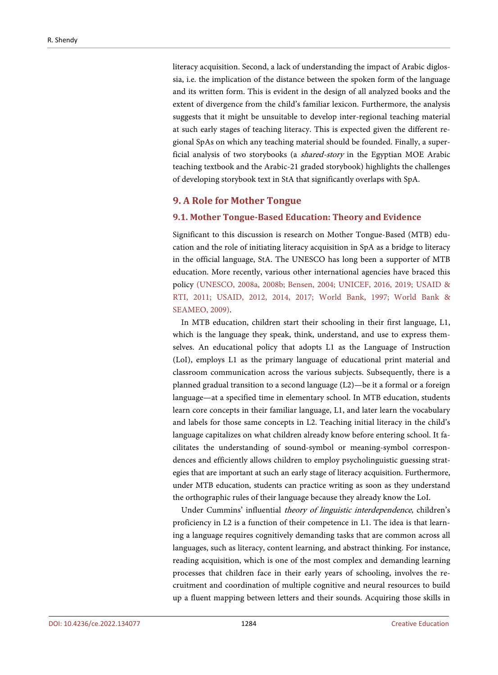literacy acquisition. Second, a lack of understanding the impact of Arabic diglossia, i.e. the implication of the distance between the spoken form of the language and its written form. This is evident in the design of all analyzed books and the extent of divergence from the child's familiar lexicon. Furthermore, the analysis suggests that it might be unsuitable to develop inter-regional teaching material at such early stages of teaching literacy. This is expected given the different regional SpAs on which any teaching material should be founded. Finally, a superficial analysis of two storybooks (a shared-story in the Egyptian MOE Arabic teaching textbook and the Arabic-21 graded storybook) highlights the challenges of developing storybook text in StA that significantly overlaps with SpA.

#### **9. A Role for Mother Tongue**

#### **9.1. Mother Tongue-Based Education: Theory and Evidence**

Significant to this discussion is research on Mother Tongue-Based (MTB) education and the role of initiating literacy acquisition in SpA as a bridge to literacy in the official language, StA. The UNESCO has long been a supporter of MTB education. More recently, various other international agencies have braced this policy [\(UNESCO, 2008a,](#page-53-5) [2008b;](#page-53-6) [Bensen, 2004;](#page-47-12) [UNICEF, 2016,](#page-53-7) [2019;](#page-53-8) [USAID](#page-53-9) & RTI, [2011;](#page-53-9) [USAID, 2012,](#page-53-3) [2014,](#page-53-10) [2017;](#page-53-11) [World Bank, 1997;](#page-54-5) [World Bank &](#page-54-6)  [SEAMEO,](#page-54-6) 2009).

In MTB education, children start their schooling in their first language, L1, which is the language they speak, think, understand, and use to express themselves. An educational policy that adopts L1 as the Language of Instruction (LoI), employs L1 as the primary language of educational print material and classroom communication across the various subjects. Subsequently, there is a planned gradual transition to a second language (L2)—be it a formal or a foreign language—at a specified time in elementary school. In MTB education, students learn core concepts in their familiar language, L1, and later learn the vocabulary and labels for those same concepts in L2. Teaching initial literacy in the child's language capitalizes on what children already know before entering school. It facilitates the understanding of sound-symbol or meaning-symbol correspondences and efficiently allows children to employ psycholinguistic guessing strategies that are important at such an early stage of literacy acquisition. Furthermore, under MTB education, students can practice writing as soon as they understand the orthographic rules of their language because they already know the LoI.

Under Cummins' influential theory of linguistic interdependence, children's proficiency in L2 is a function of their competence in L1. The idea is that learning a language requires cognitively demanding tasks that are common across all languages, such as literacy, content learning, and abstract thinking. For instance, reading acquisition, which is one of the most complex and demanding learning processes that children face in their early years of schooling, involves the recruitment and coordination of multiple cognitive and neural resources to build up a fluent mapping between letters and their sounds. Acquiring those skills in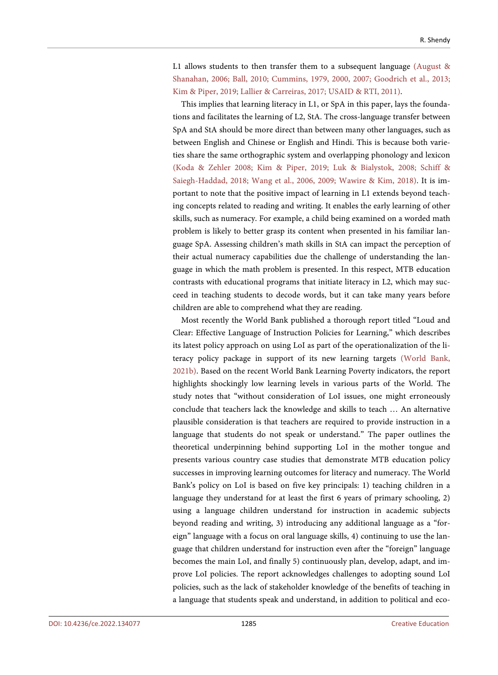L1 allows students to then transfer them to a subsequent language [\(August &](#page-47-13) [Shanahan, 2006;](#page-47-13) [Ball, 2010;](#page-47-14) [Cummins, 1979,](#page-47-2) [2000,](#page-48-12) [2007;](#page-48-13) [Goodrich et al., 2013;](#page-48-14) [Kim & Piper, 2019;](#page-49-1) [Lallier & Carreiras, 2017;](#page-50-6) [USAID & RTI, 2011\).](#page-53-9)

This implies that learning literacy in L1, or SpA in this paper, lays the foundations and facilitates the learning of L2, StA. The cross-language transfer between SpA and StA should be more direct than between many other languages, such as between English and Chinese or English and Hindi. This is because both varieties share the same orthographic system and overlapping phonology and lexicon [\(Koda & Zehler 2008;](#page-49-0) [Kim & Piper, 2019;](#page-49-1) [Luk & Bialystok, 2008;](#page-50-7) [Schiff &](#page-52-4)  [Saiegh-Haddad, 2018;](#page-52-4) [Wang et al., 2006,](#page-54-7) [2009;](#page-54-8) [Wawire & Kim, 2018\).](#page-54-3) It is important to note that the positive impact of learning in L1 extends beyond teaching concepts related to reading and writing. It enables the early learning of other skills, such as numeracy. For example, a child being examined on a worded math problem is likely to better grasp its content when presented in his familiar language SpA. Assessing children's math skills in StA can impact the perception of their actual numeracy capabilities due the challenge of understanding the language in which the math problem is presented. In this respect, MTB education contrasts with educational programs that initiate literacy in L2, which may succeed in teaching students to decode words, but it can take many years before children are able to comprehend what they are reading.

Most recently the World Bank published a thorough report titled "Loud and Clear: Effective Language of Instruction Policies for Learning," which describes its latest policy approach on using LoI as part of the operationalization of the literacy policy package in support of its new learning targets [\(World Bank,](#page-54-2)  [2021b\).](#page-54-2) Based on the recent World Bank Learning Poverty indicators, the report highlights shockingly low learning levels in various parts of the World. The study notes that "without consideration of LoI issues, one might erroneously conclude that teachers lack the knowledge and skills to teach … An alternative plausible consideration is that teachers are required to provide instruction in a language that students do not speak or understand." The paper outlines the theoretical underpinning behind supporting LoI in the mother tongue and presents various country case studies that demonstrate MTB education policy successes in improving learning outcomes for literacy and numeracy. The World Bank's policy on LoI is based on five key principals: 1) teaching children in a language they understand for at least the first 6 years of primary schooling, 2) using a language children understand for instruction in academic subjects beyond reading and writing, 3) introducing any additional language as a "foreign" language with a focus on oral language skills, 4) continuing to use the language that children understand for instruction even after the "foreign" language becomes the main LoI, and finally 5) continuously plan, develop, adapt, and improve LoI policies. The report acknowledges challenges to adopting sound LoI policies, such as the lack of stakeholder knowledge of the benefits of teaching in a language that students speak and understand, in addition to political and eco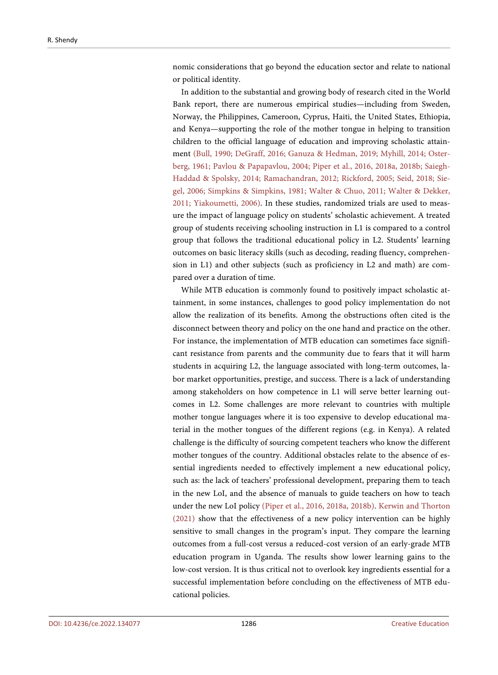nomic considerations that go beyond the education sector and relate to national or political identity.

In addition to the substantial and growing body of research cited in the World Bank report, there are numerous empirical studies—including from Sweden, Norway, the Philippines, Cameroon, Cyprus, Haiti, the United States, Ethiopia, and Kenya—supporting the role of the mother tongue in helping to transition children to the official language of education and improving scholastic attainment [\(Bull, 1990;](#page-47-15) [DeGraff, 2016;](#page-48-15) [Ganuza & Hedman, 2019;](#page-48-16) [Myhill, 2014;](#page-50-0) [Oster](#page-50-8)[berg, 1961;](#page-50-8) [Pavlou & Papapavlou, 2004;](#page-50-9) [Piper et al., 2016,](#page-50-10) [2018a,](#page-51-13) [2018b;](#page-50-11) [Saiegh-](#page-52-1)[Haddad & Spolsky, 2014;](#page-52-1) [Ramachandran, 2012;](#page-51-14) [Rickford,](#page-51-15) 2005; [Seid, 2018;](#page-52-9) [Sie](#page-52-10)[gel, 2006;](#page-52-10) [Simpkins & Simpkins, 1981;](#page-52-11) [Walter & Chuo, 2011;](#page-53-12) [Walter & Dekker,](#page-53-13)  [2011;](#page-53-13) [Yiakoumetti, 2006\).](#page-54-9) In these studies, randomized trials are used to measure the impact of language policy on students' scholastic achievement. A treated group of students receiving schooling instruction in L1 is compared to a control group that follows the traditional educational policy in L2. Students' learning outcomes on basic literacy skills (such as decoding, reading fluency, comprehension in L1) and other subjects (such as proficiency in L2 and math) are compared over a duration of time.

While MTB education is commonly found to positively impact scholastic attainment, in some instances, challenges to good policy implementation do not allow the realization of its benefits. Among the obstructions often cited is the disconnect between theory and policy on the one hand and practice on the other. For instance, the implementation of MTB education can sometimes face significant resistance from parents and the community due to fears that it will harm students in acquiring L2, the language associated with long-term outcomes, labor market opportunities, prestige, and success. There is a lack of understanding among stakeholders on how competence in L1 will serve better learning outcomes in L2. Some challenges are more relevant to countries with multiple mother tongue languages where it is too expensive to develop educational material in the mother tongues of the different regions (e.g. in Kenya). A related challenge is the difficulty of sourcing competent teachers who know the different mother tongues of the country. Additional obstacles relate to the absence of essential ingredients needed to effectively implement a new educational policy, such as: the lack of teachers' professional development, preparing them to teach in the new LoI, and the absence of manuals to guide teachers on how to teach under the new LoI policy [\(Piper et al., 2016,](#page-50-10) [2018a,](#page-51-13) [2018b\).](#page-50-11) [Kerwin and Thorton](#page-49-14)  [\(2021\)](#page-49-14) show that the effectiveness of a new policy intervention can be highly sensitive to small changes in the program's input. They compare the learning outcomes from a full-cost versus a reduced-cost version of an early-grade MTB education program in Uganda. The results show lower learning gains to the low-cost version. It is thus critical not to overlook key ingredients essential for a successful implementation before concluding on the effectiveness of MTB educational policies.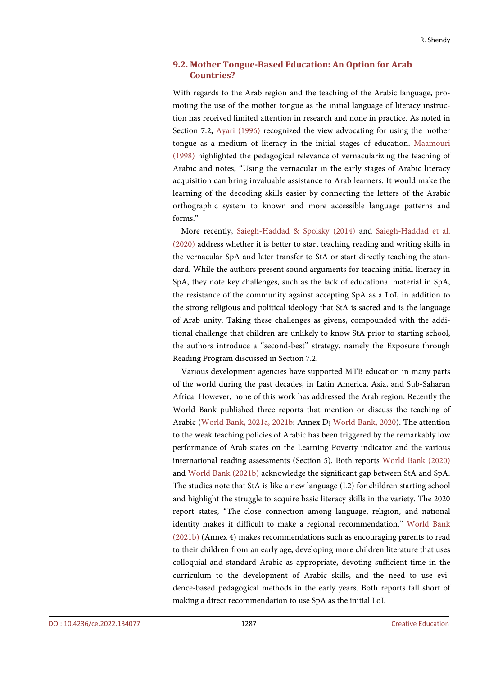# **9.2. Mother Tongue-Based Education: An Option for Arab Countries?**

With regards to the Arab region and the teaching of the Arabic language, promoting the use of the mother tongue as the initial language of literacy instruction has received limited attention in research and none in practice. As noted in Section 7.2, [Ayari \(1996\)](#page-47-1) recognized the view advocating for using the mother tongue as a medium of literacy in the initial stages of education. [Maamouri](#page-50-1)  [\(1998\)](#page-50-1) highlighted the pedagogical relevance of vernacularizing the teaching of Arabic and notes, "Using the vernacular in the early stages of Arabic literacy acquisition can bring invaluable assistance to Arab learners. It would make the learning of the decoding skills easier by connecting the letters of the Arabic orthographic system to known and more accessible language patterns and forms."

More recently, [Saiegh-Haddad & Spolsky \(2014\)](#page-52-1) and [Saiegh-Haddad et al.](#page-52-7)  [\(2020\)](#page-52-7) address whether it is better to start teaching reading and writing skills in the vernacular SpA and later transfer to StA or start directly teaching the standard. While the authors present sound arguments for teaching initial literacy in SpA, they note key challenges, such as the lack of educational material in SpA, the resistance of the community against accepting SpA as a LoI, in addition to the strong religious and political ideology that StA is sacred and is the language of Arab unity. Taking these challenges as givens, compounded with the additional challenge that children are unlikely to know StA prior to starting school, the authors introduce a "second-best" strategy, namely the Exposure through Reading Program discussed in Section 7.2.

Various development agencies have supported MTB education in many parts of the world during the past decades, in Latin America, Asia, and Sub-Saharan Africa. However, none of this work has addressed the Arab region. Recently the World Bank published three reports that mention or discuss the teaching of Arabic [\(World Bank,](#page-54-1) 2021a, [2021b:](#page-54-2) Annex D; [World Bank, 2020\)](#page-54-0). The attention to the weak teaching policies of Arabic has been triggered by the remarkably low performance of Arab states on the Learning Poverty indicator and the various international reading assessments (Section 5). Both reports [World Bank](#page-54-0) (2020) and [World Bank \(2021b\)](#page-54-2) acknowledge the significant gap between StA and SpA. The studies note that StA is like a new language (L2) for children starting school and highlight the struggle to acquire basic literacy skills in the variety. The 2020 report states, "The close connection among language, religion, and national identity makes it difficult to make a regional recommendation." [World Bank](#page-54-2)  [\(2021b\)](#page-54-2) (Annex 4) makes recommendations such as encouraging parents to read to their children from an early age, developing more children literature that uses colloquial and standard Arabic as appropriate, devoting sufficient time in the curriculum to the development of Arabic skills, and the need to use evidence-based pedagogical methods in the early years. Both reports fall short of making a direct recommendation to use SpA as the initial LoI.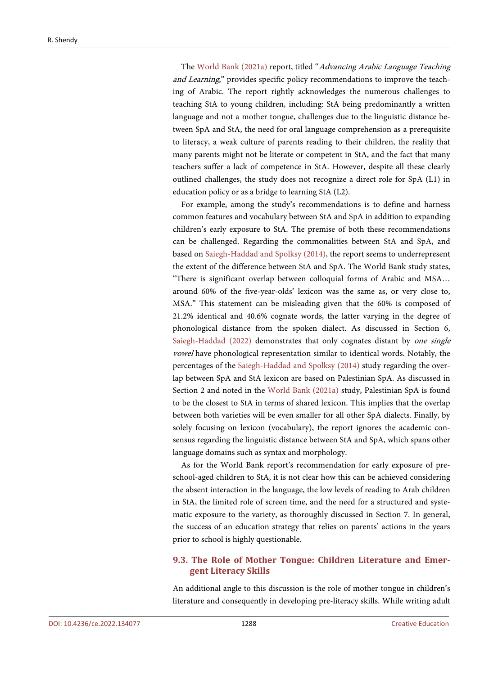The [World Bank \(2021a\)](#page-54-1) report, titled "Advancing Arabic Language Teaching and Learning," provides specific policy recommendations to improve the teaching of Arabic. The report rightly acknowledges the numerous challenges to teaching StA to young children, including: StA being predominantly a written language and not a mother tongue, challenges due to the linguistic distance between SpA and StA, the need for oral language comprehension as a prerequisite to literacy, a weak culture of parents reading to their children, the reality that many parents might not be literate or competent in StA, and the fact that many teachers suffer a lack of competence in StA. However, despite all these clearly outlined challenges, the study does not recognize a direct role for SpA (L1) in education policy or as a bridge to learning StA (L2).

For example, among the study's recommendations is to define and harness common features and vocabulary between StA and SpA in addition to expanding children's early exposure to StA. The premise of both these recommendations can be challenged. Regarding the commonalities between StA and SpA, and based o[n Saiegh-Haddad and](#page-52-1) Spolksy (2014), the report seems to underrepresent the extent of the difference between StA and SpA. The World Bank study states, "There is significant overlap between colloquial forms of Arabic and MSA… around 60% of the five-year-olds' lexicon was the same as, or very close to, MSA." This statement can be misleading given that the 60% is composed of 21.2% identical and 40.6% cognate words, the latter varying in the degree of phonological distance from the spoken dialect. As discussed in Section 6, [Saiegh-Haddad \(2022\)](#page-52-3) demonstrates that only cognates distant by *one single* vowel have phonological representation similar to identical words. Notably, the percentages of the [Saiegh-Haddad and](#page-52-1) Spolksy (2014) study regarding the overlap between SpA and StA lexicon are based on Palestinian SpA. As discussed in Section 2 and noted in the [World Bank \(2021a\)](#page-54-1) study, Palestinian SpA is found to be the closest to StA in terms of shared lexicon. This implies that the overlap between both varieties will be even smaller for all other SpA dialects. Finally, by solely focusing on lexicon (vocabulary), the report ignores the academic consensus regarding the linguistic distance between StA and SpA, which spans other language domains such as syntax and morphology.

As for the World Bank report's recommendation for early exposure of preschool-aged children to StA, it is not clear how this can be achieved considering the absent interaction in the language, the low levels of reading to Arab children in StA, the limited role of screen time, and the need for a structured and systematic exposure to the variety, as thoroughly discussed in Section 7. In general, the success of an education strategy that relies on parents' actions in the years prior to school is highly questionable.

# **9.3. The Role of Mother Tongue: Children Literature and Emergent Literacy Skills**

An additional angle to this discussion is the role of mother tongue in children's literature and consequently in developing pre-literacy skills. While writing adult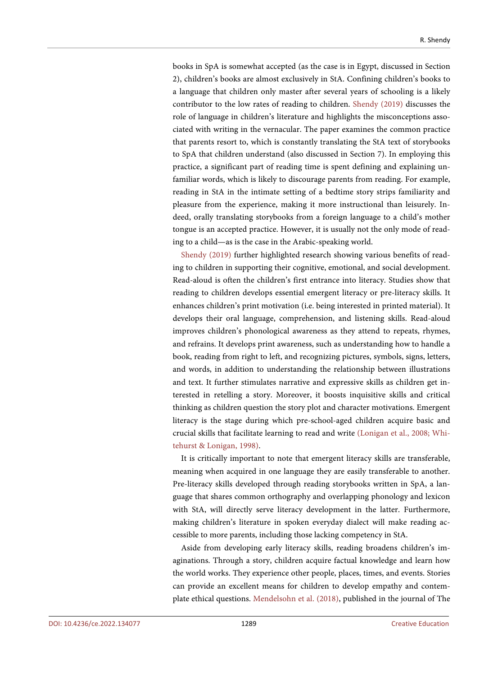books in SpA is somewhat accepted (as the case is in Egypt, discussed in Section 2), children's books are almost exclusively in StA. Confining children's books to a language that children only master after several years of schooling is a likely contributor to the low rates of reading to children. [Shendy \(2019\)](#page-52-12) discusses the role of language in children's literature and highlights the misconceptions associated with writing in the vernacular. The paper examines the common practice that parents resort to, which is constantly translating the StA text of storybooks to SpA that children understand (also discussed in Section 7). In employing this practice, a significant part of reading time is spent defining and explaining unfamiliar words, which is likely to discourage parents from reading. For example, reading in StA in the intimate setting of a bedtime story strips familiarity and pleasure from the experience, making it more instructional than leisurely. Indeed, orally translating storybooks from a foreign language to a child's mother tongue is an accepted practice. However, it is usually not the only mode of reading to a child—as is the case in the Arabic-speaking world.

[Shendy \(2019\)](#page-52-12) further highlighted research showing various benefits of reading to children in supporting their cognitive, emotional, and social development. Read-aloud is often the children's first entrance into literacy. Studies show that reading to children develops essential emergent literacy or pre-literacy skills. It enhances children's print motivation (i.e. being interested in printed material). It develops their oral language, comprehension, and listening skills. Read-aloud improves children's phonological awareness as they attend to repeats, rhymes, and refrains. It develops print awareness, such as understanding how to handle a book, reading from right to left, and recognizing pictures, symbols, signs, letters, and words, in addition to understanding the relationship between illustrations and text. It further stimulates narrative and expressive skills as children get interested in retelling a story. Moreover, it boosts inquisitive skills and critical thinking as children question the story plot and character motivations. Emergent literacy is the stage during which pre-school-aged children acquire basic and crucial skills that facilitate learning to read and write [\(Lonigan et al., 2008;](#page-50-12) [Whi](#page-54-10)[tehurst & Lonigan, 1998\).](#page-54-10)

It is critically important to note that emergent literacy skills are transferable, meaning when acquired in one language they are easily transferable to another. Pre-literacy skills developed through reading storybooks written in SpA, a language that shares common orthography and overlapping phonology and lexicon with StA, will directly serve literacy development in the latter. Furthermore, making children's literature in spoken everyday dialect will make reading accessible to more parents, including those lacking competency in StA.

Aside from developing early literacy skills, reading broadens children's imaginations. Through a story, children acquire factual knowledge and learn how the world works. They experience other people, places, times, and events. Stories can provide an excellent means for children to develop empathy and contemplate ethical questions. [Mendelsohn et al. \(2018\),](#page-50-13) published in the journal of The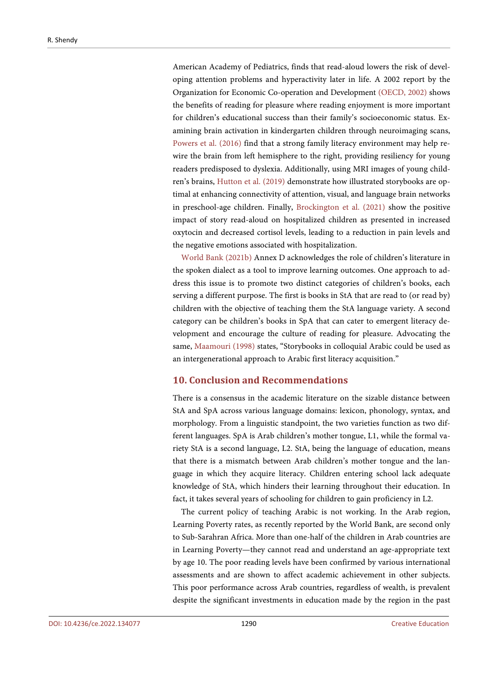American Academy of Pediatrics, finds that read-aloud lowers the risk of developing attention problems and hyperactivity later in life. A 2002 report by the Organization for Economic Co-operation and Development [\(OECD, 2002\)](#page-50-14) shows the benefits of reading for pleasure where reading enjoyment is more important for children's educational success than their family's socioeconomic status. Examining brain activation in kindergarten children through neuroimaging scans, [Powers et al. \(2016\)](#page-51-16) find that a strong family literacy environment may help rewire the brain from left hemisphere to the right, providing resiliency for young readers predisposed to dyslexia. Additionally, using MRI images of young children's brains[, Hutton et al. \(2019\)](#page-48-17) demonstrate how illustrated storybooks are optimal at enhancing connectivity of attention, visual, and language brain networks in preschool-age children. Finally, [Brockington et al. \(2021\)](#page-47-16) show the positive impact of story read-aloud on hospitalized children as presented in increased oxytocin and decreased cortisol levels, leading to a reduction in pain levels and the negative emotions associated with hospitalization.

[World Bank \(2021b\)](#page-54-2) Annex D acknowledges the role of children's literature in the spoken dialect as a tool to improve learning outcomes. One approach to address this issue is to promote two distinct categories of children's books, each serving a different purpose. The first is books in StA that are read to (or read by) children with the objective of teaching them the StA language variety. A second category can be children's books in SpA that can cater to emergent literacy development and encourage the culture of reading for pleasure. Advocating the same, [Maamouri \(1998\)](#page-50-1) states, "Storybooks in colloquial Arabic could be used as an intergenerational approach to Arabic first literacy acquisition."

# **10. Conclusion and Recommendations**

There is a consensus in the academic literature on the sizable distance between StA and SpA across various language domains: lexicon, phonology, syntax, and morphology. From a linguistic standpoint, the two varieties function as two different languages. SpA is Arab children's mother tongue, L1, while the formal variety StA is a second language, L2. StA, being the language of education, means that there is a mismatch between Arab children's mother tongue and the language in which they acquire literacy. Children entering school lack adequate knowledge of StA, which hinders their learning throughout their education. In fact, it takes several years of schooling for children to gain proficiency in L2.

The current policy of teaching Arabic is not working. In the Arab region, Learning Poverty rates, as recently reported by the World Bank, are second only to Sub-Sarahran Africa. More than one-half of the children in Arab countries are in Learning Poverty—they cannot read and understand an age-appropriate text by age 10. The poor reading levels have been confirmed by various international assessments and are shown to affect academic achievement in other subjects. This poor performance across Arab countries, regardless of wealth, is prevalent despite the significant investments in education made by the region in the past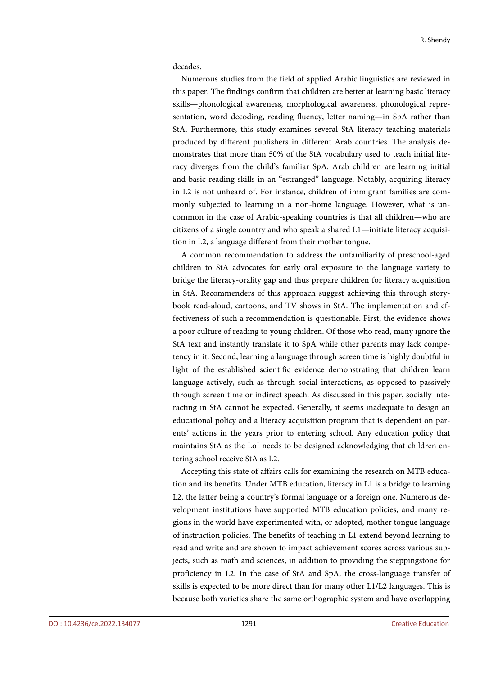decades.

Numerous studies from the field of applied Arabic linguistics are reviewed in this paper. The findings confirm that children are better at learning basic literacy skills—phonological awareness, morphological awareness, phonological representation, word decoding, reading fluency, letter naming—in SpA rather than StA. Furthermore, this study examines several StA literacy teaching materials produced by different publishers in different Arab countries. The analysis demonstrates that more than 50% of the StA vocabulary used to teach initial literacy diverges from the child's familiar SpA. Arab children are learning initial and basic reading skills in an "estranged" language. Notably, acquiring literacy in L2 is not unheard of. For instance, children of immigrant families are commonly subjected to learning in a non-home language. However, what is uncommon in the case of Arabic-speaking countries is that all children—who are citizens of a single country and who speak a shared L1—initiate literacy acquisition in L2, a language different from their mother tongue.

A common recommendation to address the unfamiliarity of preschool-aged children to StA advocates for early oral exposure to the language variety to bridge the literacy-orality gap and thus prepare children for literacy acquisition in StA. Recommenders of this approach suggest achieving this through storybook read-aloud, cartoons, and TV shows in StA. The implementation and effectiveness of such a recommendation is questionable. First, the evidence shows a poor culture of reading to young children. Of those who read, many ignore the StA text and instantly translate it to SpA while other parents may lack competency in it. Second, learning a language through screen time is highly doubtful in light of the established scientific evidence demonstrating that children learn language actively, such as through social interactions, as opposed to passively through screen time or indirect speech. As discussed in this paper, socially interacting in StA cannot be expected. Generally, it seems inadequate to design an educational policy and a literacy acquisition program that is dependent on parents' actions in the years prior to entering school. Any education policy that maintains StA as the LoI needs to be designed acknowledging that children entering school receive StA as L2.

Accepting this state of affairs calls for examining the research on MTB education and its benefits. Under MTB education, literacy in L1 is a bridge to learning L2, the latter being a country's formal language or a foreign one. Numerous development institutions have supported MTB education policies, and many regions in the world have experimented with, or adopted, mother tongue language of instruction policies. The benefits of teaching in L1 extend beyond learning to read and write and are shown to impact achievement scores across various subjects, such as math and sciences, in addition to providing the steppingstone for proficiency in L2. In the case of StA and SpA, the cross-language transfer of skills is expected to be more direct than for many other L1/L2 languages. This is because both varieties share the same orthographic system and have overlapping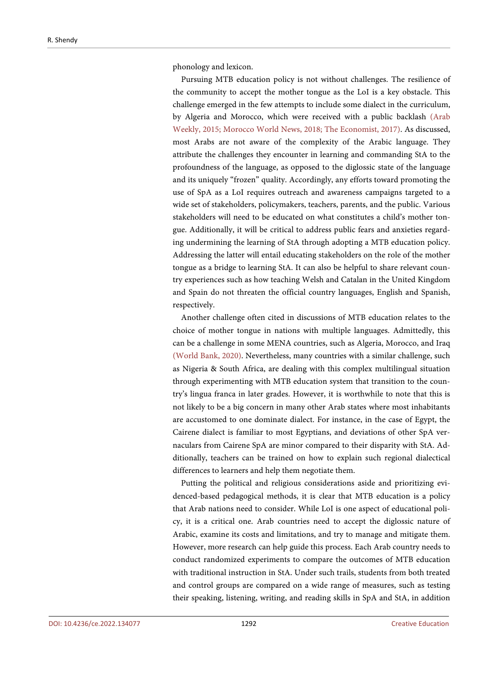phonology and lexicon.

Pursuing MTB education policy is not without challenges. The resilience of the community to accept the mother tongue as the LoI is a key obstacle. This challenge emerged in the few attempts to include some dialect in the curriculum, by Algeria and Morocco, which were received with a public backlash [\(Arab](#page-53-14)  [Weekly, 2015;](#page-53-14) [Morocco World News, 2018;](#page-50-15) [The Economist, 2017\).](#page-53-15) As discussed, most Arabs are not aware of the complexity of the Arabic language. They attribute the challenges they encounter in learning and commanding StA to the profoundness of the language, as opposed to the diglossic state of the language and its uniquely "frozen" quality. Accordingly, any efforts toward promoting the use of SpA as a LoI requires outreach and awareness campaigns targeted to a wide set of stakeholders, policymakers, teachers, parents, and the public. Various stakeholders will need to be educated on what constitutes a child's mother tongue. Additionally, it will be critical to address public fears and anxieties regarding undermining the learning of StA through adopting a MTB education policy. Addressing the latter will entail educating stakeholders on the role of the mother tongue as a bridge to learning StA. It can also be helpful to share relevant country experiences such as how teaching Welsh and Catalan in the United Kingdom and Spain do not threaten the official country languages, English and Spanish, respectively.

Another challenge often cited in discussions of MTB education relates to the choice of mother tongue in nations with multiple languages. Admittedly, this can be a challenge in some MENA countries, such as Algeria, Morocco, and Iraq [\(World Bank, 2020\).](#page-54-0) Nevertheless, many countries with a similar challenge, such as Nigeria & South Africa, are dealing with this complex multilingual situation through experimenting with MTB education system that transition to the country's lingua franca in later grades. However, it is worthwhile to note that this is not likely to be a big concern in many other Arab states where most inhabitants are accustomed to one dominate dialect. For instance, in the case of Egypt, the Cairene dialect is familiar to most Egyptians, and deviations of other SpA vernaculars from Cairene SpA are minor compared to their disparity with StA. Additionally, teachers can be trained on how to explain such regional dialectical differences to learners and help them negotiate them.

Putting the political and religious considerations aside and prioritizing evidenced-based pedagogical methods, it is clear that MTB education is a policy that Arab nations need to consider. While LoI is one aspect of educational policy, it is a critical one. Arab countries need to accept the diglossic nature of Arabic, examine its costs and limitations, and try to manage and mitigate them. However, more research can help guide this process. Each Arab country needs to conduct randomized experiments to compare the outcomes of MTB education with traditional instruction in StA. Under such trails, students from both treated and control groups are compared on a wide range of measures, such as testing their speaking, listening, writing, and reading skills in SpA and StA, in addition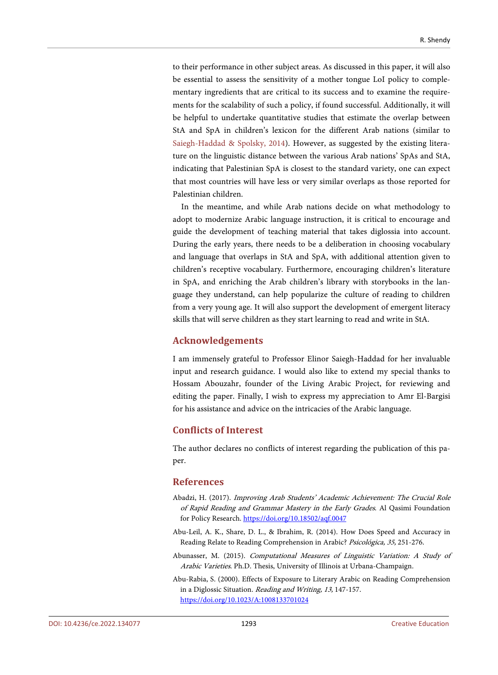to their performance in other subject areas. As discussed in this paper, it will also be essential to assess the sensitivity of a mother tongue LoI policy to complementary ingredients that are critical to its success and to examine the requirements for the scalability of such a policy, if found successful. Additionally, it will be helpful to undertake quantitative studies that estimate the overlap between StA and SpA in children's lexicon for the different Arab nations (similar to [Saiegh-Haddad & Spolsky,](#page-52-1) 2014). However, as suggested by the existing literature on the linguistic distance between the various Arab nations' SpAs and StA, indicating that Palestinian SpA is closest to the standard variety, one can expect that most countries will have less or very similar overlaps as those reported for Palestinian children.

In the meantime, and while Arab nations decide on what methodology to adopt to modernize Arabic language instruction, it is critical to encourage and guide the development of teaching material that takes diglossia into account. During the early years, there needs to be a deliberation in choosing vocabulary and language that overlaps in StA and SpA, with additional attention given to children's receptive vocabulary. Furthermore, encouraging children's literature in SpA, and enriching the Arab children's library with storybooks in the language they understand, can help popularize the culture of reading to children from a very young age. It will also support the development of emergent literacy skills that will serve children as they start learning to read and write in StA.

# **Acknowledgements**

I am immensely grateful to Professor Elinor Saiegh-Haddad for her invaluable input and research guidance. I would also like to extend my special thanks to Hossam Abouzahr, founder of the Living Arabic Project, for reviewing and editing the paper. Finally, I wish to express my appreciation to Amr El-Bargisi for his assistance and advice on the intricacies of the Arabic language.

# **Conflicts of Interest**

The author declares no conflicts of interest regarding the publication of this paper.

## **References**

- <span id="page-46-2"></span>Abadzi, H. (2017). Improving Arab Students' Academic Achievement: The Crucial Role of Rapid Reading and Grammar Mastery in the Early Grades. Al Qasimi Foundation for Policy Research.<https://doi.org/10.18502/aqf.0047>
- <span id="page-46-1"></span>Abu-Leil, A. K., Share, D. L., & Ibrahim, R. (2014). How Does Speed and Accuracy in Reading Relate to Reading Comprehension in Arabic? Psicológica, 35, 251-276.
- <span id="page-46-0"></span>Abunasser, M. (2015). Computational Measures of Linguistic Variation: A Study of Arabic Varieties. Ph.D. Thesis, University of Illinois at Urbana-Champaign.
- <span id="page-46-3"></span>Abu-Rabia, S. (2000). Effects of Exposure to Literary Arabic on Reading Comprehension in a Diglossic Situation. Reading and Writing, 13, 147-157. <https://doi.org/10.1023/A:1008133701024>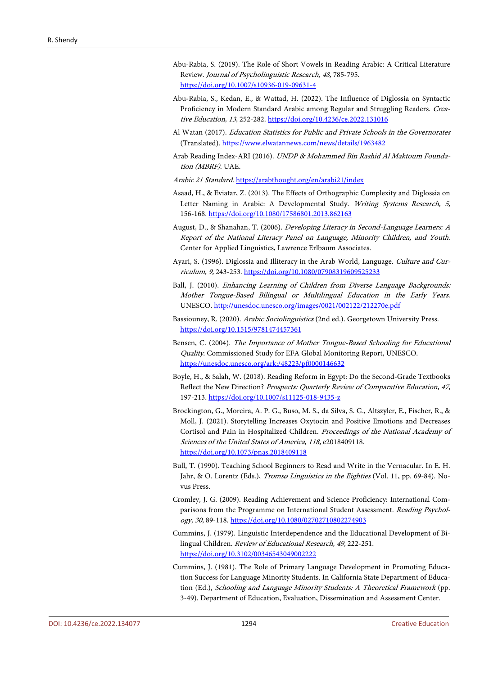- <span id="page-47-6"></span>Abu-Rabia, S. (2019). The Role of Short Vowels in Reading Arabic: A Critical Literature Review. Journal of Psycholinguistic Research, 48, 785-795. <https://doi.org/10.1007/s10936-019-09631-4>
- <span id="page-47-0"></span>Abu-Rabia, S., Kedan, E., & Wattad, H. (2022). The Influence of Diglossia on Syntactic Proficiency in Modern Standard Arabic among Regular and Struggling Readers. Creative Education, 13, 252-282[. https://doi.org/10.4236/ce.2022.131016](https://doi.org/10.4236/ce.2022.131016)
- <span id="page-47-10"></span>Al Watan (2017). Education Statistics for Public and Private Schools in the Governorates (Translated). <https://www.elwatannews.com/news/details/1963482>
- <span id="page-47-5"></span>Arab Reading Index-ARI (2016). UNDP & Mohammed Bin Rashid Al Maktoum Foundation (MBRF). UAE.
- <span id="page-47-11"></span>Arabic 21 Standard. <https://arabthought.org/en/arabi21/index>
- <span id="page-47-7"></span>Asaad, H., & Eviatar, Z. (2013). The Effects of Orthographic Complexity and Diglossia on Letter Naming in Arabic: A Developmental Study. Writing Systems Research, 5, 156-168. <https://doi.org/10.1080/17586801.2013.862163>
- <span id="page-47-13"></span>August, D., & Shanahan, T. (2006). Developing Literacy in Second-Language Learners: A Report of the National Literacy Panel on Language, Minority Children, and Youth. Center for Applied Linguistics, Lawrence Erlbaum Associates.
- <span id="page-47-1"></span>Ayari, S. (1996). Diglossia and Illiteracy in the Arab World, Language. Culture and Curriculum, 9, 243-253.<https://doi.org/10.1080/07908319609525233>
- <span id="page-47-14"></span>Ball, J. (2010). Enhancing Learning of Children from Diverse Language Backgrounds: Mother Tongue-Based Bilingual or Multilingual Education in the Early Years. UNESCO.<http://unesdoc.unesco.org/images/0021/002122/212270e.pdf>
- <span id="page-47-4"></span>Bassiouney, R. (2020). Arabic Sociolinguistics (2nd ed.). Georgetown University Press. <https://doi.org/10.1515/9781474457361>
- <span id="page-47-12"></span>Bensen, C. (2004). The Importance of Mother Tongue-Based Schooling for Educational Quality. Commissioned Study for EFA Global Monitoring Report, UNESCO. <https://unesdoc.unesco.org/ark:/48223/pf0000146632>
- <span id="page-47-9"></span>Boyle, H., & Salah, W. (2018). Reading Reform in Egypt: Do the Second-Grade Textbooks Reflect the New Direction? Prospects: Quarterly Review of Comparative Education, 47, 197-213[. https://doi.org/10.1007/s11125-018-9435-z](https://doi.org/10.1007/s11125-018-9435-z)
- <span id="page-47-16"></span>Brockington, G., Moreira, A. P. G., Buso, M. S., da Silva, S. G., Altszyler, E., Fischer, R., & Moll, J. (2021). Storytelling Increases Oxytocin and Positive Emotions and Decreases Cortisol and Pain in Hospitalized Children. Proceedings of the National Academy of Sciences of the United States of America, 118, e2018409118. <https://doi.org/10.1073/pnas.2018409118>
- <span id="page-47-15"></span>Bull, T. (1990). Teaching School Beginners to Read and Write in the Vernacular. In E. H. Jahr, & O. Lorentz (Eds.), Tromsø Linguistics in the Eighties (Vol. 11, pp. 69-84). Novus Press.
- <span id="page-47-8"></span>Cromley, J. G. (2009). Reading Achievement and Science Proficiency: International Comparisons from the Programme on International Student Assessment. Reading Psychology, 30, 89-118[. https://doi.org/10.1080/02702710802274903](https://doi.org/10.1080/02702710802274903)
- <span id="page-47-2"></span>Cummins, J. (1979). Linguistic Interdependence and the Educational Development of Bilingual Children. Review of Educational Research, 49, 222-251. <https://doi.org/10.3102/00346543049002222>
- <span id="page-47-3"></span>Cummins, J. (1981). The Role of Primary Language Development in Promoting Education Success for Language Minority Students. In California State Department of Education (Ed.), Schooling and Language Minority Students: A Theoretical Framework (pp. 3-49). Department of Education, Evaluation, Dissemination and Assessment Center.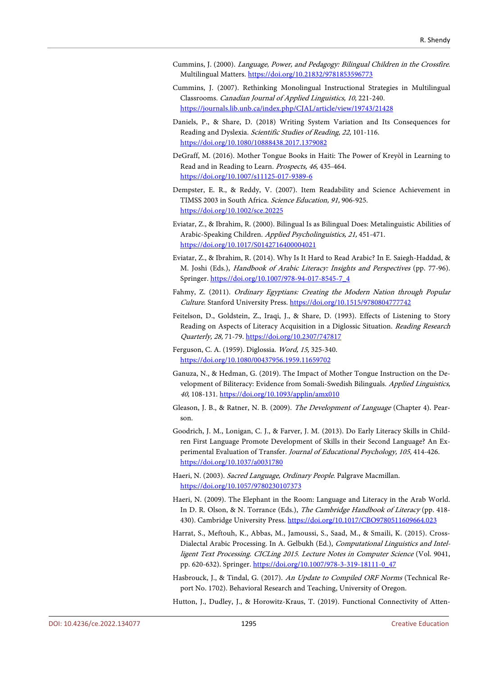- <span id="page-48-12"></span>Cummins, J. (2000). Language, Power, and Pedagogy: Bilingual Children in the Crossfire. Multilingual Matters[. https://doi.org/10.21832/9781853596773](https://doi.org/10.21832/9781853596773)
- <span id="page-48-13"></span>Cummins, J. (2007). Rethinking Monolingual Instructional Strategies in Multilingual Classrooms. Canadian Journal of Applied Linguistics, 10, 221-240. <https://journals.lib.unb.ca/index.php/CJAL/article/view/19743/21428>
- <span id="page-48-6"></span>Daniels, P., & Share, D. (2018) Writing System Variation and Its Consequences for Reading and Dyslexia. Scientific Studies of Reading, 22, 101-116. <https://doi.org/10.1080/10888438.2017.1379082>
- <span id="page-48-15"></span>DeGraff, M. (2016). Mother Tongue Books in Haiti: The Power of Kreyòl in Learning to Read and in Reading to Learn. Prospects, 46, 435-464. <https://doi.org/10.1007/s11125-017-9389-6>
- <span id="page-48-7"></span>Dempster, E. R., & Reddy, V. (2007). Item Readability and Science Achievement in TIMSS 2003 in South Africa. Science Education, 91, 906-925. <https://doi.org/10.1002/sce.20225>
- <span id="page-48-9"></span>Eviatar, Z., & Ibrahim, R. (2000). Bilingual Is as Bilingual Does: Metalinguistic Abilities of Arabic-Speaking Children. Applied Psycholinguistics, 21, 451-471. <https://doi.org/10.1017/S0142716400004021>
- <span id="page-48-5"></span>Eviatar, Z., & Ibrahim, R. (2014). Why Is It Hard to Read Arabic? In E. Saiegh-Haddad, & M. Joshi (Eds.), Handbook of Arabic Literacy: Insights and Perspectives (pp. 77-96). Springer. [https://doi.org/10.1007/978-94-017-8545-7\\_4](https://doi.org/10.1007/978-94-017-8545-7_4)
- <span id="page-48-3"></span>Fahmy, Z. (2011). Ordinary Egyptians: Creating the Modern Nation through Popular Culture. Stanford University Press[. https://doi.org/10.1515/9780804777742](https://doi.org/10.1515/9780804777742)
- <span id="page-48-10"></span>Feitelson, D., Goldstein, Z., Iraqi, J., & Share, D. (1993). Effects of Listening to Story Reading on Aspects of Literacy Acquisition in a Diglossic Situation. Reading Research Quarterly, 28, 71-79.<https://doi.org/10.2307/747817>
- <span id="page-48-1"></span>Ferguson, C. A. (1959). Diglossia. Word, 15, 325-340. <https://doi.org/10.1080/00437956.1959.11659702>
- <span id="page-48-16"></span>Ganuza, N., & Hedman, G. (2019). The Impact of Mother Tongue Instruction on the Development of Biliteracy: Evidence from Somali-Swedish Bilinguals. Applied Linguistics, 40, 108-131[. https://doi.org/10.1093/applin/amx010](https://doi.org/10.1093/applin/amx010)
- <span id="page-48-11"></span>Gleason, J. B., & Ratner, N. B. (2009). The Development of Language (Chapter 4). Pearson.
- <span id="page-48-14"></span>Goodrich, J. M., Lonigan, C. J., & Farver, J. M. (2013). Do Early Literacy Skills in Children First Language Promote Development of Skills in their Second Language? An Experimental Evaluation of Transfer. Journal of Educational Psychology, 105, 414-426. <https://doi.org/10.1037/a0031780>
- <span id="page-48-2"></span>Haeri, N. (2003). Sacred Language, Ordinary People. Palgrave Macmillan. <https://doi.org/10.1057/9780230107373>
- <span id="page-48-0"></span>Haeri, N. (2009). The Elephant in the Room: Language and Literacy in the Arab World. In D. R. Olson, & N. Torrance (Eds.), The Cambridge Handbook of Literacy (pp. 418430). Cambridge University Press.<https://doi.org/10.1017/CBO9780511609664.023>
- <span id="page-48-4"></span>Harrat, S., Meftouh, K., Abbas, M., Jamoussi, S., Saad, M., & Smaili, K. (2015). Cross-Dialectal Arabic Processing. In A. Gelbukh (Ed.), Computational Linguistics and Intelligent Text Processing. CICLing 2015. Lecture Notes in Computer Science (Vol. 9041, pp. 620-632). Springer[. https://doi.org/10.1007/978-3-319-18111-0\\_47](https://doi.org/10.1007/978-3-319-18111-0_47)
- <span id="page-48-8"></span>Hasbrouck, J., & Tindal, G. (2017). An Update to Compiled ORF Norms (Technical Report No. 1702). Behavioral Research and Teaching, University of Oregon.
- <span id="page-48-17"></span>Hutton, J., Dudley, J., & Horowitz-Kraus, T. (2019). Functional Connectivity of Atten-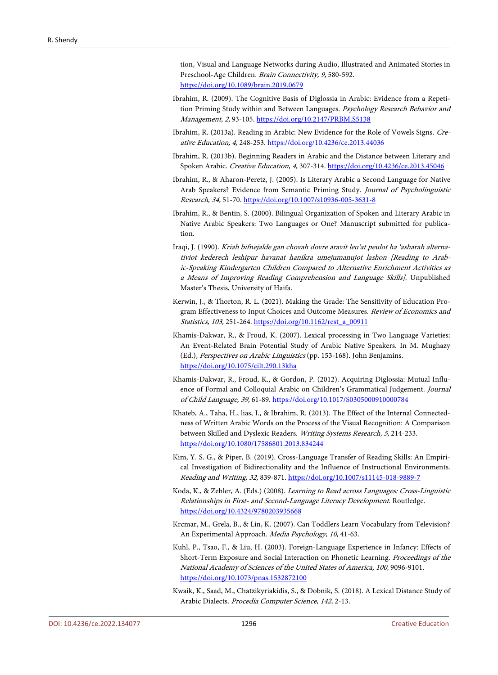tion, Visual and Language Networks during Audio, Illustrated and Animated Stories in Preschool-Age Children. Brain Connectivity, 9, 580-592. <https://doi.org/10.1089/brain.2019.0679>

- <span id="page-49-5"></span>Ibrahim, R. (2009). The Cognitive Basis of Diglossia in Arabic: Evidence from a Repetition Priming Study within and Between Languages. Psychology Research Behavior and Management, 2, 93-105.<https://doi.org/10.2147/PRBM.S5138>
- <span id="page-49-7"></span>Ibrahim, R. (2013a). Reading in Arabic: New Evidence for the Role of Vowels Signs. Creative Education, 4, 248-253.<https://doi.org/10.4236/ce.2013.44036>
- <span id="page-49-8"></span>Ibrahim, R. (2013b). Beginning Readers in Arabic and the Distance between Literary and Spoken Arabic. Creative Education, 4, 307-314.<https://doi.org/10.4236/ce.2013.45046>
- <span id="page-49-4"></span>Ibrahim, R., & Aharon-Peretz, J. (2005). Is Literary Arabic a Second Language for Native Arab Speakers? Evidence from Semantic Priming Study. Journal of Psycholinguistic Research, 34, 51-70[. https://doi.org/10.1007/s10936-005-3631-8](https://doi.org/10.1007/s10936-005-3631-8)
- <span id="page-49-3"></span>Ibrahim, R., & Bentin, S. (2000). Bilingual Organization of Spoken and Literary Arabic in Native Arabic Speakers: Two Languages or One? Manuscript submitted for publication.
- <span id="page-49-11"></span>Iraqi, J. (1990). Kriah bifnejalde gan chovah dovre aravit leu'at peulot ha 'asharah alternativiot kederech leshipur havanat hanikra umejumanujot lashon [Reading to Arabic-Speaking Kindergarten Children Compared to Alternative Enrichment Activities as a Means of Improving Reading Comprehension and Language Skills]. Unpublished Master's Thesis, University of Haifa.
- <span id="page-49-14"></span>Kerwin, J., & Thorton, R. L. (2021). Making the Grade: The Sensitivity of Education Program Effectiveness to Input Choices and Outcome Measures. Review of Economics and Statistics, 103, 251-264. [https://doi.org/10.1162/rest\\_a\\_00911](https://doi.org/10.1162/rest_a_00911)
- <span id="page-49-6"></span>Khamis-Dakwar, R., & Froud, K. (2007). Lexical processing in Two Language Varieties: An Event-Related Brain Potential Study of Arabic Native Speakers. In M. Mughazy (Ed.), Perspectives on Arabic Linguistics (pp. 153-168). John Benjamins. <https://doi.org/10.1075/cilt.290.13kha>
- <span id="page-49-10"></span>Khamis-Dakwar, R., Froud, K., & Gordon, P. (2012). Acquiring Diglossia: Mutual Influence of Formal and Colloquial Arabic on Children's Grammatical Judgement. Journal of Child Language, 39, 61-89.<https://doi.org/10.1017/S0305000910000784>
- <span id="page-49-9"></span>Khateb, A., Taha, H., lias, I., & Ibrahim, R. (2013). The Effect of the Internal Connectedness of Written Arabic Words on the Process of the Visual Recognition: A Comparison between Skilled and Dyslexic Readers. Writing Systems Research, 5, 214-233. <https://doi.org/10.1080/17586801.2013.834244>
- <span id="page-49-1"></span>Kim, Y. S. G., & Piper, B. (2019). Cross-Language Transfer of Reading Skills: An Empirical Investigation of Bidirectionality and the Influence of Instructional Environments. Reading and Writing, 32, 839-871.<https://doi.org/10.1007/s11145-018-9889-7>
- <span id="page-49-0"></span>Koda, K., & Zehler, A. (Eds.) (2008). Learning to Read across Languages: Cross-Linguistic Relationships in First- and Second-Language Literacy Development. Routledge. <https://doi.org/10.4324/9780203935668>
- <span id="page-49-13"></span>Krcmar, M., Grela, B., & Lin, K. (2007). Can Toddlers Learn Vocabulary from Television? An Experimental Approach. Media Psychology, 10, 41-63.
- <span id="page-49-12"></span>Kuhl, P., Tsao, F., & Liu, H. (2003). Foreign-Language Experience in Infancy: Effects of Short-Term Exposure and Social Interaction on Phonetic Learning. Proceedings of the National Academy of Sciences of the United States of America, 100, 9096-9101. <https://doi.org/10.1073/pnas.1532872100>
- <span id="page-49-2"></span>Kwaik, K., Saad, M., Chatzikyriakidis, S., & Dobnik, S. (2018). A Lexical Distance Study of Arabic Dialects. Procedia Computer Science, 142, 2-13.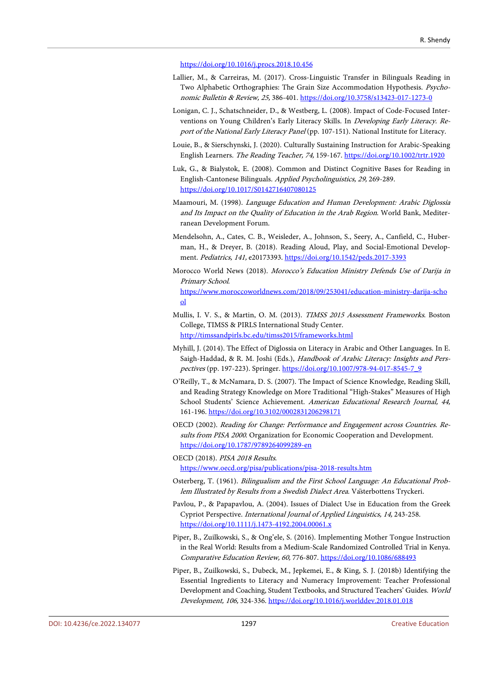#### <https://doi.org/10.1016/j.procs.2018.10.456>

- <span id="page-50-6"></span>Lallier, M., & Carreiras, M. (2017). Cross-Linguistic Transfer in Bilinguals Reading in Two Alphabetic Orthographies: The Grain Size Accommodation Hypothesis. Psychonomic Bulletin & Review, 25, 386-401.<https://doi.org/10.3758/s13423-017-1273-0>
- <span id="page-50-12"></span>Lonigan, C. J., Schatschneider, D., & Westberg, L. (2008). Impact of Code-Focused Interventions on Young Children's Early Literacy Skills. In Developing Early Literacy. Report of the National Early Literacy Panel (pp. 107-151). National Institute for Literacy.
- <span id="page-50-5"></span>Louie, B., & Sierschynski, J. (2020). Culturally Sustaining Instruction for Arabic-Speaking English Learners. The Reading Teacher, 74, 159-167.<https://doi.org/10.1002/trtr.1920>
- <span id="page-50-7"></span>Luk, G., & Bialystok, E. (2008). Common and Distinct Cognitive Bases for Reading in English-Cantonese Bilinguals. Applied Psycholinguistics, 29, 269-289. <https://doi.org/10.1017/S0142716407080125>
- <span id="page-50-1"></span>Maamouri, M. (1998). Language Education and Human Development: Arabic Diglossia and Its Impact on the Quality of Education in the Arab Region. World Bank, Mediterranean Development Forum.
- <span id="page-50-13"></span>Mendelsohn, A., Cates, C. B., Weisleder, A., Johnson, S., Seery, A., Canfield, C., Huberman, H., & Dreyer, B. (2018). Reading Aloud, Play, and Social-Emotional Development. Pediatrics, 141, e20173393[. https://doi.org/10.1542/peds.2017-3393](https://doi.org/10.1542/peds.2017-3393)
- <span id="page-50-15"></span>Morocco World News (2018). Morocco's Education Ministry Defends Use of Darija in Primary School.

[https://www.moroccoworldnews.com/2018/09/253041/education-ministry-darija-scho](https://www.moroccoworldnews.com/2018/09/253041/education-ministry-darija-school) [ol](https://www.moroccoworldnews.com/2018/09/253041/education-ministry-darija-school)

- <span id="page-50-3"></span>Mullis, I. V. S., & Martin, O. M. (2013). TIMSS 2015 Assessment Frameworks. Boston College, TIMSS & PIRLS International Study Center. <http://timssandpirls.bc.edu/timss2015/frameworks.html>
- <span id="page-50-0"></span>Myhill, J. (2014). The Effect of Diglossia on Literacy in Arabic and Other Languages. In E. Saigh-Haddad, & R. M. Joshi (Eds.), Handbook of Arabic Literacy: Insights and Perspectives (pp. 197-223). Springer. [https://doi.org/10.1007/978-94-017-8545-7\\_9](https://doi.org/10.1007/978-94-017-8545-7_9)
- <span id="page-50-4"></span>O'Reilly, T., & McNamara, D. S. (2007). The Impact of Science Knowledge, Reading Skill, and Reading Strategy Knowledge on More Traditional "High-Stakes" Measures of High School Students' Science Achievement. American Educational Research Journal, 44, 161-196[. https://doi.org/10.3102/0002831206298171](https://doi.org/10.3102/0002831206298171)
- <span id="page-50-14"></span>OECD (2002). Reading for Change: Performance and Engagement across Countries. Results from PISA 2000. Organization for Economic Cooperation and Development. <https://doi.org/10.1787/9789264099289-en>
- <span id="page-50-2"></span>OECD (2018). PISA <sup>2018</sup> Results. <https://www.oecd.org/pisa/publications/pisa-2018-results.htm>
- <span id="page-50-8"></span>Osterberg, T. (1961). Bilingualism and the First School Language: An Educational Problem Illustrated by Results from a Swedish Dialect Area. Vasterbottens Tryckeri.
- <span id="page-50-9"></span>Pavlou, P., & Papapavlou, A. (2004). Issues of Dialect Use in Education from the Greek Cypriot Perspective. International Journal of Applied Linguistics, 14, 243-258. <https://doi.org/10.1111/j.1473-4192.2004.00061.x>
- <span id="page-50-10"></span>Piper, B., Zuilkowski, S., & Ong'ele, S. (2016). Implementing Mother Tongue Instruction in the Real World: Results from a Medium-Scale Randomized Controlled Trial in Kenya. Comparative Education Review, 60, 776-807[. https://doi.org/10.1086/688493](https://doi.org/10.1086/688493)
- <span id="page-50-11"></span>Piper, B., Zuilkowski, S., Dubeck, M., Jepkemei, E., & King, S. J. (2018b) Identifying the Essential Ingredients to Literacy and Numeracy Improvement: Teacher Professional Development and Coaching, Student Textbooks, and Structured Teachers' Guides. World Development, 106, 324-336[. https://doi.org/10.1016/j.worlddev.2018.01.018](https://doi.org/10.1016/j.worlddev.2018.01.018)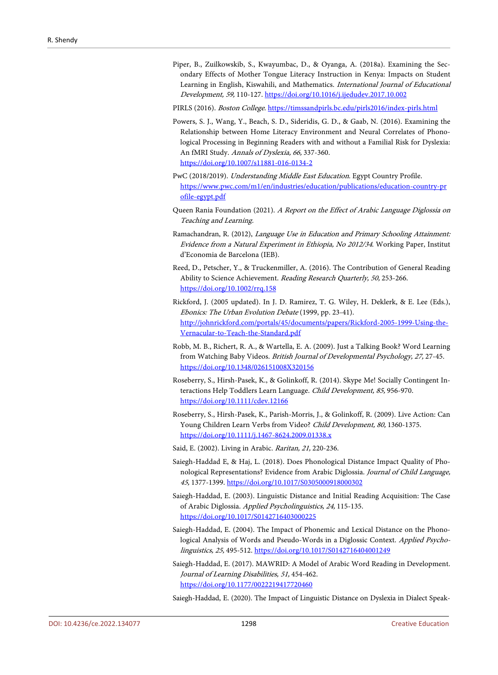- <span id="page-51-13"></span>Piper, B., Zuilkowskib, S., Kwayumbac, D., & Oyanga, A. (2018a). Examining the Secondary Effects of Mother Tongue Literacy Instruction in Kenya: Impacts on Student Learning in English, Kiswahili, and Mathematics. International Journal of Educational Development, 59, 110-127. <https://doi.org/10.1016/j.ijedudev.2017.10.002>
- PIRLS (2016). Boston College[. https://timssandpirls.bc.edu/pirls2016/index-pirls.html](https://timssandpirls.bc.edu/pirls2016/index-pirls.html)
- <span id="page-51-16"></span><span id="page-51-4"></span>Powers, S. J., Wang, Y., Beach, S. D., Sideridis, G. D., & Gaab, N. (2016). Examining the Relationship between Home Literacy Environment and Neural Correlates of Phonological Processing in Beginning Readers with and without a Familial Risk for Dyslexia: An fMRI Study. Annals of Dyslexia, 66, 337-360. <https://doi.org/10.1007/s11881-016-0134-2>
- <span id="page-51-9"></span>PwC (2018/2019). Understanding Middle East Education. Egypt Country Profile. [https://www.pwc.com/m1/en/industries/education/publications/education-country-pr](https://www.pwc.com/m1/en/industries/education/publications/education-country-profile-egypt.pdf) [ofile-egypt.pdf](https://www.pwc.com/m1/en/industries/education/publications/education-country-profile-egypt.pdf)
- <span id="page-51-3"></span>Queen Rania Foundation (2021). A Report on the Effect of Arabic Language Diglossia on Teaching and Learning.
- <span id="page-51-14"></span>Ramachandran, R. (2012), Language Use in Education and Primary Schooling Attainment: Evidence from a Natural Experiment in Ethiopia, No 2012/34. Working Paper, Institut d'Economia de Barcelona (IEB).
- <span id="page-51-5"></span>Reed, D., Petscher, Y., & Truckenmiller, A. (2016). The Contribution of General Reading Ability to Science Achievement. Reading Research Quarterly, 50, 253-266. <https://doi.org/10.1002/rrq.158>
- <span id="page-51-15"></span>Rickford, J. (2005 updated). In J. D. Ramirez, T. G. Wiley, H. Deklerk, & E. Lee (Eds.), Ebonics: The Urban Evolution Debate (1999, pp. 23-41). [http://johnrickford.com/portals/45/documents/papers/Rickford-2005-1999-Using-the-](http://johnrickford.com/portals/45/documents/papers/Rickford-2005-1999-Using-the-Vernacular-to-Teach-the-Standard.pdf)[Vernacular-to-Teach-the-Standard.pdf](http://johnrickford.com/portals/45/documents/papers/Rickford-2005-1999-Using-the-Vernacular-to-Teach-the-Standard.pdf)
- <span id="page-51-10"></span>Robb, M. B., Richert, R. A., & Wartella, E. A. (2009). Just a Talking Book? Word Learning from Watching Baby Videos. British Journal of Developmental Psychology, 27, 27-45. <https://doi.org/10.1348/026151008X320156>
- <span id="page-51-12"></span>Roseberry, S., Hirsh-Pasek, K., & Golinkoff, R. (2014). Skype Me! Socially Contingent Interactions Help Toddlers Learn Language. Child Development, 85, 956-970. <https://doi.org/10.1111/cdev.12166>
- <span id="page-51-11"></span>Roseberry, S., Hirsh-Pasek, K., Parish-Morris, J., & Golinkoff, R. (2009). Live Action: Can Young Children Learn Verbs from Video? Child Development, 80, 1360-1375. <https://doi.org/10.1111/j.1467-8624.2009.01338.x>
- <span id="page-51-2"></span>Said, E. (2002). Living in Arabic. Raritan, 21, 220-236.
- <span id="page-51-7"></span>Saiegh-Haddad E, & Haj, L. (2018). Does Phonological Distance Impact Quality of Phonological Representations? Evidence from Arabic Diglossia. Journal of Child Language, 45, 1377-1399[. https://doi.org/10.1017/S0305000918000302](https://doi.org/10.1017/S0305000918000302)
- <span id="page-51-0"></span>Saiegh-Haddad, E. (2003). Linguistic Distance and Initial Reading Acquisition: The Case of Arabic Diglossia. Applied Psycholinguistics, 24, 115-135. <https://doi.org/10.1017/S0142716403000225>
- <span id="page-51-6"></span>Saiegh-Haddad, E. (2004). The Impact of Phonemic and Lexical Distance on the Phonological Analysis of Words and Pseudo-Words in a Diglossic Context. Applied Psycholinguistics, 25, 495-512[. https://doi.org/10.1017/S0142716404001249](https://doi.org/10.1017/S0142716404001249)
- <span id="page-51-1"></span>Saiegh-Haddad, E. (2017). MAWRID: A Model of Arabic Word Reading in Development. Journal of Learning Disabilities, 51, 454-462. <https://doi.org/10.1177/0022219417720460>

<span id="page-51-8"></span>Saiegh-Haddad, E. (2020). The Impact of Linguistic Distance on Dyslexia in Dialect Speak-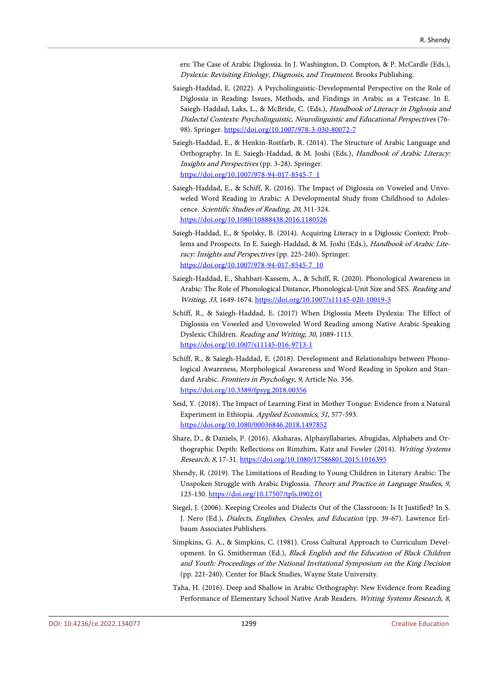ers: The Case of Arabic Diglossia. In J. Washington, D. Compton, & P. McCardle (Eds.), Dyslexia: Revisiting Etiology, Diagnosis, and Treatment. Brooks Publishing.

- <span id="page-52-3"></span>Saiegh-Haddad, E. (2022). A Psycholinguistic-Developmental Perspective on the Role of Diglossia in Reading: Issues, Methods, and Findings in Arabic as a Testcase. In E. Saiegh-Haddad, Laks, L., & McBride, C. (Eds.), Handbook of Literacy in Diglossia and Dialectal Contexts: Psycholinguistic, Neurolinguistic and Educational Perspectives (76- 98). Springer.<https://doi.org/10.1007/978-3-030-80072-7>
- <span id="page-52-0"></span>Saiegh-Haddad, E., & Henkin-Roitfarb, R. (2014). The Structure of Arabic Language and Orthography. In E. Saiegh-Haddad, & M. Joshi (Eds.), Handbook of Arabic Literacy: Insights and Perspectives (pp. 3-28). Springer. [https://doi.org/10.1007/978-94-017-8545-7\\_1](https://doi.org/10.1007/978-94-017-8545-7_1)
- <span id="page-52-2"></span>Saiegh-Haddad, E., & Schiff, R. (2016). The Impact of Diglossia on Voweled and Unvoweled Word Reading in Arabic: A Developmental Study from Childhood to Adolescence. Scientific Studies of Reading, 20, 311-324. <https://doi.org/10.1080/10888438.2016.1180526>
- <span id="page-52-1"></span>Saiegh-Haddad, E., & Spolsky, B. (2014). Acquiring Literacy in a Diglossic Context: Problems and Prospects. In E. Saiegh-Haddad, & M. Joshi (Eds.), Handbook of Arabic Literacy: Insights and Perspectives (pp. 225-240). Springer. [https://doi.org/10.1007/978-94-017-8545-7\\_10](https://doi.org/10.1007/978-94-017-8545-7_10)
- <span id="page-52-7"></span>Saiegh-Haddad, E., Shahbari-Kassem, A., & Schiff, R. (2020). Phonological Awareness in Arabic: The Role of Phonological Distance, Phonological-Unit Size and SES. Reading and Writing, 33, 1649-1674.<https://doi.org/10.1007/s11145-020-10019-3>
- <span id="page-52-8"></span>Schiff, R., & Saiegh-Haddad, E. (2017) When Diglossia Meets Dyslexia: The Effect of Diglossia on Voweled and Unvoweled Word Reading among Native Arabic-Speaking Dyslexic Children. Reading and Writing, 30, 1089-1113. <https://doi.org/10.1007/s11145-016-9713-1>
- <span id="page-52-4"></span>Schiff, R., & Saiegh-Haddad, E. (2018). Development and Relationships between Phonological Awareness, Morphological Awareness and Word Reading in Spoken and Standard Arabic. Frontiers in Psychology, 9, Article No. 356. <https://doi.org/10.3389/fpsyg.2018.00356>
- <span id="page-52-9"></span>Seid, Y. (2018). The Impact of Learning First in Mother Tongue: Evidence from a Natural Experiment in Ethiopia. Applied Economics, 51, 577-593. <https://doi.org/10.1080/00036846.2018.1497852>
- <span id="page-52-5"></span>Share, D., & Daniels, P. (2016). Aksharas, Alphasyllabaries, Abugidas, Alphabets and Orthographic Depth: Reflections on Rimzhim, Katz and Fowler (2014). Writing Systems Research, 8, 17-31. <https://doi.org/10.1080/17586801.2015.1016395>
- <span id="page-52-12"></span>Shendy, R. (2019). The Limitations of Reading to Young Children in Literary Arabic: The Unspoken Struggle with Arabic Diglossia. Theory and Practice in Language Studies, 9, 123-130[. https://doi.org/10.17507/tpls.0902.01](https://doi.org/10.17507/tpls.0902.01)
- <span id="page-52-10"></span>Siegel, J. (2006). Keeping Creoles and Dialects Out of the Classroom: Is It Justified? In S. J. Nero (Ed.), Dialects, Englishes, Creoles, and Education (pp. 39-67). Lawrence Erlbaum Associates Publishers.
- <span id="page-52-11"></span>Simpkins, G. A., & Simpkins, C. (1981). Cross Cultural Approach to Curriculum Development. In G. Smitherman (Ed.), Black English and the Education of Black Children and Youth: Proceedings of the National Invitational Symposium on the King Decision (pp. 221-240). Center for Black Studies, Wayne State University.
- <span id="page-52-6"></span>Taha, H. (2016). Deep and Shallow in Arabic Orthography: New Evidence from Reading Performance of Elementary School Native Arab Readers. Writing Systems Research, 8,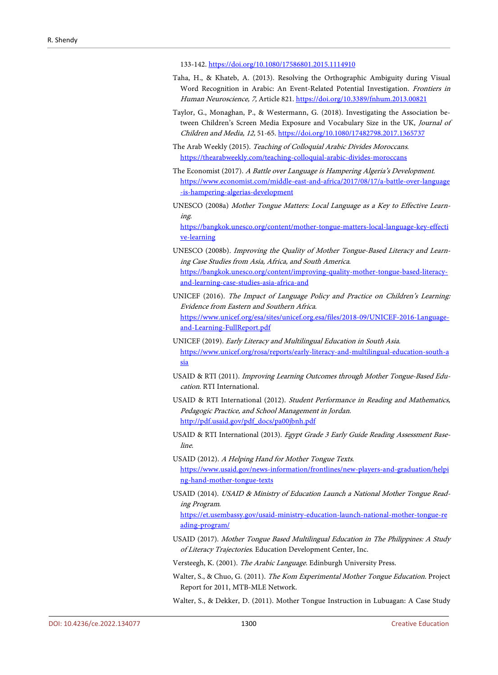133-142[. https://doi.org/10.1080/17586801.2015.1114910](https://doi.org/10.1080/17586801.2015.1114910)

- <span id="page-53-1"></span>Taha, H., & Khateb, A. (2013). Resolving the Orthographic Ambiguity during Visual Word Recognition in Arabic: An Event-Related Potential Investigation. Frontiers in Human Neuroscience, 7, Article 821.<https://doi.org/10.3389/fnhum.2013.00821>
- <span id="page-53-4"></span>Taylor, G., Monaghan, P., & Westermann, G. (2018). Investigating the Association between Children's Screen Media Exposure and Vocabulary Size in the UK, Journal of Children and Media, 12, 51-65[. https://doi.org/10.1080/17482798.2017.1365737](https://doi.org/10.1080/17482798.2017.1365737)
- <span id="page-53-14"></span>The Arab Weekly (2015). Teaching of Colloquial Arabic Divides Moroccans. <https://thearabweekly.com/teaching-colloquial-arabic-divides-moroccans>
- <span id="page-53-15"></span>The Economist (2017). A Battle over Language is Hampering Algeria's Development. [https://www.economist.com/middle-east-and-africa/2017/08/17/a-battle-over-language](https://www.economist.com/middle-east-and-africa/2017/08/17/a-battle-over-language-is-hampering-algerias-development) [-is-hampering-algerias-development](https://www.economist.com/middle-east-and-africa/2017/08/17/a-battle-over-language-is-hampering-algerias-development)
- <span id="page-53-5"></span>UNESCO (2008a) Mother Tongue Matters: Local Language as a Key to Effective Learning.

[https://bangkok.unesco.org/content/mother-tongue-matters-local-language-key-effecti](https://bangkok.unesco.org/content/mother-tongue-matters-local-language-key-effective-learning) [ve-learning](https://bangkok.unesco.org/content/mother-tongue-matters-local-language-key-effective-learning)

- <span id="page-53-6"></span>UNESCO (2008b). Improving the Quality of Mother Tongue-Based Literacy and Learning Case Studies from Asia, Africa, and South America. [https://bangkok.unesco.org/content/improving-quality-mother-tongue-based-literacy](https://bangkok.unesco.org/content/improving-quality-mother-tongue-based-literacy-and-learning-case-studies-asia-africa-and)[and-learning-case-studies-asia-africa-and](https://bangkok.unesco.org/content/improving-quality-mother-tongue-based-literacy-and-learning-case-studies-asia-africa-and)
- <span id="page-53-7"></span>UNICEF (2016). The Impact of Language Policy and Practice on Children's Learning: Evidence from Eastern and Southern Africa. [https://www.unicef.org/esa/sites/unicef.org.esa/files/2018-09/UNICEF-2016-Language](https://www.unicef.org/esa/sites/unicef.org.esa/files/2018-09/UNICEF-2016-Language-and-Learning-FullReport.pdf)[and-Learning-FullReport.pdf](https://www.unicef.org/esa/sites/unicef.org.esa/files/2018-09/UNICEF-2016-Language-and-Learning-FullReport.pdf)
- <span id="page-53-8"></span>UNICEF (2019). Early Literacy and Multilingual Education in South Asia. [https://www.unicef.org/rosa/reports/early-literacy-and-multilingual-education-south-a](https://www.unicef.org/rosa/reports/early-literacy-and-multilingual-education-south-asia) [sia](https://www.unicef.org/rosa/reports/early-literacy-and-multilingual-education-south-asia)
- <span id="page-53-9"></span>USAID & RTI (2011). Improving Learning Outcomes through Mother Tongue-Based Education. RTI International.
- <span id="page-53-3"></span>USAID & RTI International (2012). Student Performance in Reading and Mathematics, Pedagogic Practice, and School Management in Jordan. [http://pdf.usaid.gov/pdf\\_docs/pa00jbnh.pdf](http://pdf.usaid.gov/pdf_docs/pa00jbnh.pdf)
- <span id="page-53-2"></span>USAID & RTI International (2013). Egypt Grade 3 Early Guide Reading Assessment Baseline.
- USAID (2012). A Helping Hand for Mother Tongue Texts. [https://www.usaid.gov/news-information/frontlines/new-players-and-graduation/helpi](https://www.usaid.gov/news-information/frontlines/new-players-and-graduation/helping-hand-mother-tongue-texts) [ng-hand-mother-tongue-texts](https://www.usaid.gov/news-information/frontlines/new-players-and-graduation/helping-hand-mother-tongue-texts)
- <span id="page-53-10"></span>USAID (2014). USAID & Ministry of Education Launch a National Mother Tongue Reading Program.

[https://et.usembassy.gov/usaid-ministry-education-launch-national-mother-tongue-re](https://et.usembassy.gov/usaid-ministry-education-launch-national-mother-tongue-reading-program/) [ading-program/](https://et.usembassy.gov/usaid-ministry-education-launch-national-mother-tongue-reading-program/)

<span id="page-53-11"></span>USAID (2017). Mother Tongue Based Multilingual Education in The Philippines: A Study of Literacy Trajectories. Education Development Center, Inc.

<span id="page-53-0"></span>Versteegh, K. (2001). The Arabic Language. Edinburgh University Press.

<span id="page-53-12"></span>Walter, S., & Chuo, G. (2011). The Kom Experimental Mother Tongue Education. Project Report for 2011, MTB-MLE Network.

<span id="page-53-13"></span>Walter, S., & Dekker, D. (2011). Mother Tongue Instruction in Lubuagan: A Case Study